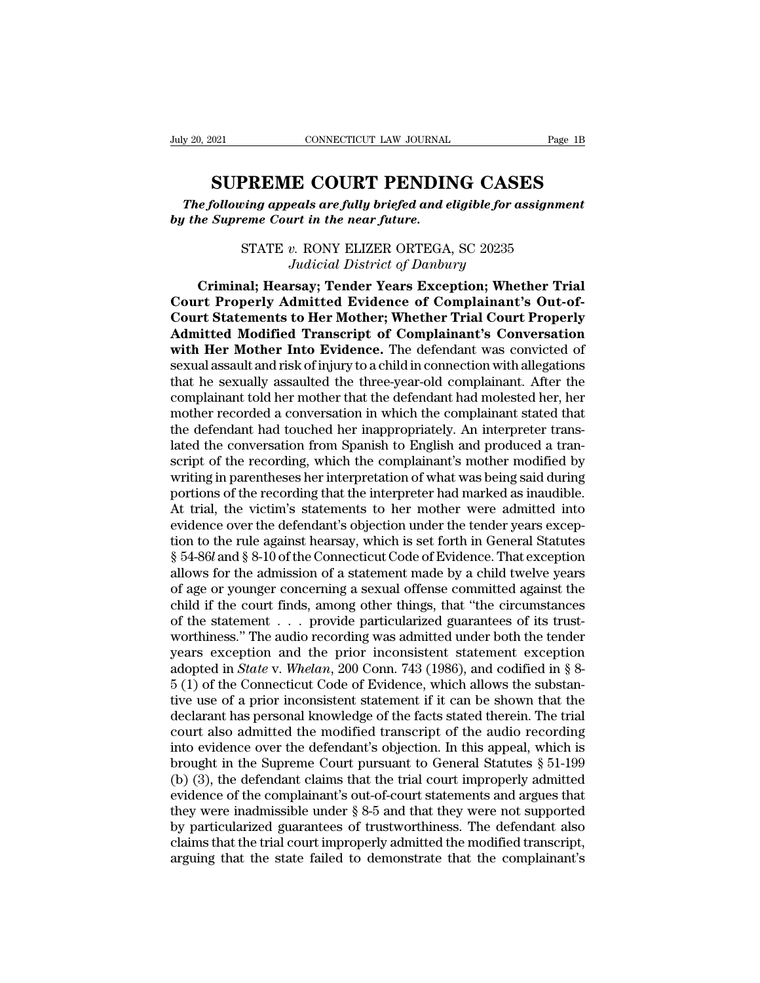Fage 1B<br> **SUPREME COURT PENDING CASES**<br> **SUPREME COURT PENDING CASES**<br> *Supreme Court in the near future. The following appeals are fully briefed and eligible for assignment*<br> *The following appeals are fully briefed and eligible for assignment*<br> *The Supreme Court in the near future. buly 20, 2021* CONNECTICUT LAW JOURNAL Page 1B<br> **SUPREME COURT PENDING CASES**<br> *The following appeals are fully briefed and eligible for assignment*<br> *by the Supreme Court in the near future.*<br>
STATE *v.* RONY ELIZER ORTE **PREME COURT PENDING CASES**<br> *ving appeals are fully briefed and eligible for assignmer*<br> *eme Court in the near future.*<br>
STATE v. RONY ELIZER ORTEGA, SC 20235<br>
Judicial District of Danbury

**SUPREME COURT PENDING CASES**<br> *The following appeals are fully briefed and eligible for assignment*<br> *by the Supreme Court in the near future.*<br>
STATE v. RONY ELIZER ORTEGA, SC 20235<br> *Judicial District of Danbury*<br>
Crimi **SUPKENIE COUKT PEINDING CASES**<br> *Chilowing appeals are fully briefed and eligible for assignment*<br> *Chilowing appeals are fully briefed and eligible for assignment*<br> *Criminal*; Fears Faception; Whether Trial<br> *Criminal*; The following appeals are fully briefed and eligible for assignment<br>
by the Supreme Court in the near future.<br>
STATE v. RONY ELIZER ORTEGA, SC 20235<br>
Judicial District of Danbury<br> **Criminal; Hearsay; Tender Years Exception Court in the near future.**<br>
STATE v. RONY ELIZER ORTEGA, SC 20235<br>
Judicial District of Danbury<br>
Criminal; Hearsay; Tender Years Exception; Whether Trial<br>
Court Properly Admitted Evidence of Complainant's Out-of-<br>
Court S STATE v. RONY ELIZER ORTEGA, SC 20235<br>*Judicial District of Danbury*<br>**Criminal; Hearsay; Tender Years Exception; Whether Trial**<br>**Court Properly Admitted Evidence of Complainant's Out-of-**<br>**Court Statements to Her Mother; W EXAMPLE CONTEGA, SC 20235**<br>*Judicial District of Danbury*<br>**Criminal; Hearsay; Tender Years Exception; Whether Trial<br>Court Properly Admitted Evidence of Complainant's Out-of-<br>Court Statements to Her Mother; Whether Trial C** Sudicial District of Danbury<br>
Criminal; Hearsay; Tender Years Exception; Whether Trial<br>
Court Properly Admitted Evidence of Complainant's Out-of-<br>
Court Statements to Her Mother; Whether Trial Court Properly<br>
Admitted Modi Criminal; Hearsay; Tender Years Exception; Whether Trial<br>Court Properly Admitted Evidence of Complainant's Out-of-<br>Court Statements to Her Mother; Whether Trial Court Properly<br>Admitted Modified Transcript of Complainant's Court Properly Admitted Evidence of Complainant's Out-of-<br>Court Statements to Her Mother; Whether Trial Court Properly<br>Admitted Modified Transcript of Complainant's Conversation<br>with Her Mother Into Evidence. The defendant **Court Statements to Her Mother; Whether Trial Court Properly Admitted Modified Transcript of Complainant's Conversation with Her Mother Into Evidence.** The defendant was convicted of sexual assault and risk of injury to a Admitted Modified Transcript of Complainant's Conversation<br>with Her Mother Into Evidence. The defendant was convicted of<br>sexual assault and risk of injury to a child in connection with allegations<br>that he sexually assaulte with Her Mother Into Evidence. The defendant was convicted of sexual assault and risk of injury to a child in connection with allegations that he sexually assaulted the three-year-old complainant. After the complainant tol sexual assault and risk of injury to a child in connection with allegations<br>that he sexually assaulted the three-year-old complainant. After the<br>complainant told her mother that the defendant had molested her, her<br>mother r that he sexually assaulted the three-year-old complainant. After the complainant told her mother that the defendant had molested her, her mother recorded a conversation in which the complainant stated that the defendant ha complainant told her mother that the defendant had molested her, her mother recorded a conversation in which the complainant stated that the defendant had touched her inappropriately. An interpreter translated the conversa mother recorded a conversation in which the complainant stated that<br>the defendant had touched her inappropriately. An interpreter trans-<br>lated the conversation from Spanish to English and produced a tran-<br>script of the rec the defendant had touched her inappropriately. An interpreter trans-<br>lated the conversation from Spanish to English and produced a tran-<br>script of the recording, which the complainant's mother modified by<br>writing in parent lated the conversation from Spanish to English and produced a transcript of the recording, which the complainant's mother modified by writing in parentheses her interpretation of what was being said during portions of the script of the recording, which the complainant's mother modified by<br>writing in parentheses her interpretation of what was being said during<br>portions of the recording that the interpreter had marked as inaudible.<br>At trial, writing in parentheses her interpretation of what was being said during<br>portions of the recording that the interpreter had marked as inaudible.<br>At trial, the victim's statements to her mother were admitted into<br>evidence ov portions of the recording that the interpreter had marked as inaudible.<br>At trial, the victim's statements to her mother were admitted into<br>evidence over the defendant's objection under the tender years excep-<br>tion to the r At trial, the victim's statements to her mother were admitted into<br>evidence over the defendant's objection under the tender years excep-<br>tion to the rule against hearsay, which is set forth in General Statutes<br>§ 54-86 $l$  a evidence over the defendant's objection under the tender years exception to the rule against hearsay, which is set forth in General Statutes § 54-861 and § 8-10 of the Connecticut Code of Evidence. That exception allows fo tion to the rule against hearsay, which is set forth in General Statutes  $\S$  54-86*l* and  $\S$  8-10 of the Connecticut Code of Evidence. That exception allows for the admission of a statement made by a child twelve years o § 54-86*l* and § 8-10 of the Connecticut Code of Evidence. That exception allows for the admission of a statement made by a child twelve years of age or younger concerning a sexual offense committed against the child if t allows for the admission of a statement made by a child twelve years<br>of age or younger concerning a sexual offense committed against the<br>child if the court finds, among other things, that "the circumstances<br>of the statemen of age or younger concerning a sexual offense committed against the child if the court finds, among other things, that "the circumstances of the statement  $\ldots$  provide particularized guarantees of its trust-worthiness." child if the court finds, among other things, that "the circumstances<br>of the statement  $\ldots$  provide particularized guarantees of its trust-<br>worthiness." The audio recording was admitted under both the tender<br>years except of the statement . . . provide particularized guarantees of its trust-<br>worthiness." The audio recording was admitted under both the tender<br>years exception and the prior inconsistent statement exception<br>adopted in *State* worthiness." The audio recording was admitted under both the tender<br>years exception and the prior inconsistent statement exception<br>adopted in *State* v. Whelan, 200 Conn. 743 (1986), and codified in § 8-<br>5 (1) of the Conn years exception and the prior inconsistent statement exception<br>adopted in *State* v. *Whelan*, 200 Conn. 743 (1986), and codified in § 8-<br>5 (1) of the Connecticut Code of Evidence, which allows the substan-<br>tive use of a adopted in *State* v. *Whelan*, 200 Conn. 743 (1986), and codified in § 8-<br>5 (1) of the Connecticut Code of Evidence, which allows the substan-<br>tive use of a prior inconsistent statement if it can be shown that the<br>declar 5 (1) of the Connecticut Code of Evidence, which allows the substantive use of a prior inconsistent statement if it can be shown that the declarant has personal knowledge of the facts stated therein. The trial court also tive use of a prior inconsistent statement if it can be shown that the declarant has personal knowledge of the facts stated therein. The trial court also admitted the modified transcript of the audio recording into evidenc declarant has personal knowledge of the facts stated therein. The trial<br>court also admitted the modified transcript of the audio recording<br>into evidence over the defendant's objection. In this appeal, which is<br>brought in t court also admitted the modified transcript of the audio recording<br>into evidence over the defendant's objection. In this appeal, which is<br>brought in the Supreme Court pursuant to General Statutes § 51-199<br>(b) (3), the defe into evidence over the defendant's objection. In this appeal, which is<br>brought in the Supreme Court pursuant to General Statutes  $\S 51-199$ <br>(b) (3), the defendant claims that the trial court improperly admitted<br>evidence o brought in the Supreme Court pursuant to General Statutes  $\S$  51-199 (b) (3), the defendant claims that the trial court improperly admitted evidence of the complainant's out-of-court statements and argues that they were i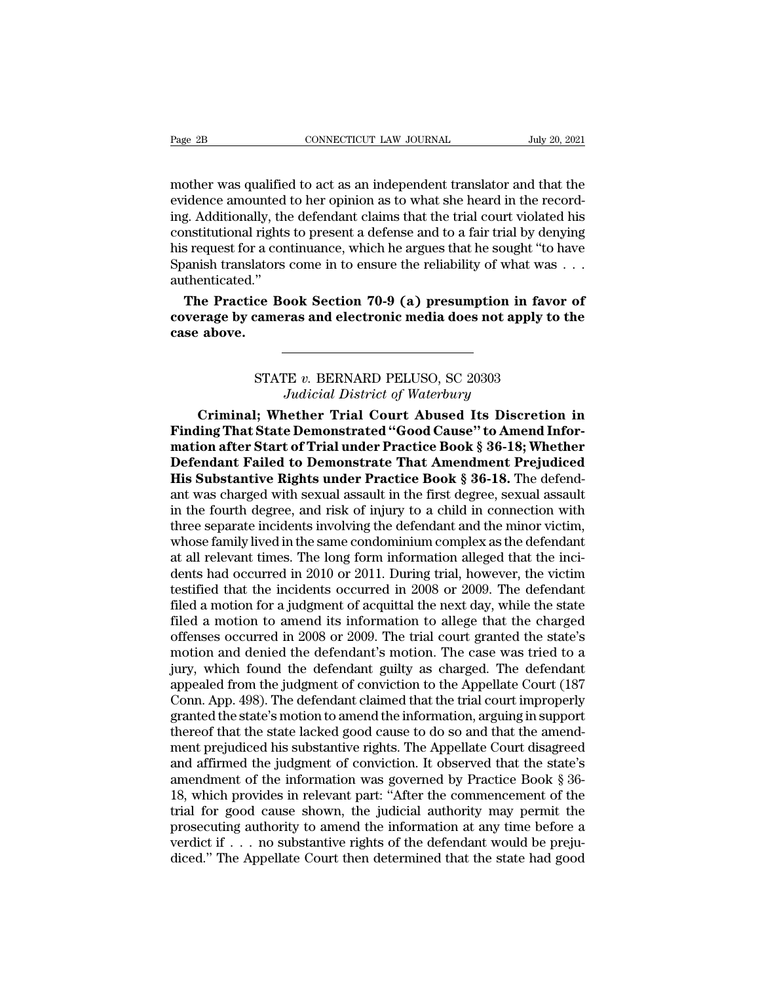Page 2B<br>
CONNECTICUT LAW JOURNAL July 20, 2021<br>
mother was qualified to act as an independent translator and that the<br>
evidence amounted to her opinion as to what she heard in the record-<br>
ing Additionally, the defendant c Page 2B<br>
connecticut LAW JOURNAL<br>
July 20, 2021<br>
mother was qualified to act as an independent translator and that the<br>
evidence amounted to her opinion as to what she heard in the record-<br>
ing. Additionally, the defendant Page 2B CONNECTICUT LAW JOURNAL July 20, 2021<br>mother was qualified to act as an independent translator and that the<br>evidence amounted to her opinion as to what she heard in the record-<br>ing. Additionally, the defendant clai Page 2B<br>
constitution Law Journal July 20, 2021<br>
mother was qualified to act as an independent translator and that the<br>
evidence amounted to her opinion as to what she heard in the record-<br>
ing. Additionally, the defendant mother was qualified to act as an independent translator and that the evidence amounted to her opinion as to what she heard in the recording. Additionally, the defendant claims that the trial court violated his constitutio mother was qualified to act as an independent translator and that the evidence amounted to her opinion as to what she heard in the recording. Additionally, the defendant claims that the trial court violated his constitutio authenticated.'' idence amounted to her opinion as to what she heard in the record-<br>g. Additionally, the defendant claims that the trial court violated his<br>nstitutional rights to present a defense and to a fair trial by denying<br>s request f ing. Additionally, the defendant claims that the trial court violated his constitutional rights to present a defense and to a fair trial by denying his request for a continuance, which he argues that he sought "to have Spa constitutional right<br>his request for a co<br>Spanish translator:<br>authenticated."<br>**The Practice B**<br>coverage by came<br>case above.

or Book Section 70-9 (a) presumption in favor<br>
cameras and electronic media does not apply to<br>
STATE *v*. BERNARD PELUSO, SC 20303<br> *Judicial District of Waterbury* **Frame Section 70-9 (a) presumption in faith and electronic media does not apply<br>** *Judicial District of Waterbury***<br>
<b>Judicial District of Waterbury**<br> **Lether Trial Court Abused Its Discre** 

**CRIMIT: The CRIMAGE SET OF STATE U. BERNARD PELUSO, SC 20303**<br> *Criminal*; Whether Trial Court Abused Its Discretion in<br>
ling That State Demonstrated "Good Cause" to Amend Infor-<br>
Line of the State Trial Under Practice Bo **FIATE v. BERNARD PELUSO, SC 20303**<br> *Hadicial District of Waterbury*<br> **Criminal; Whether Trial Court Abused Its Discretion in**<br> **Finding That State Demonstrated ''Good Cause'' to Amend Infor-**<br> **Mation after Start of Tria matter of Waterbury**<br> **matter of Waterbury**<br> **mation after Start of Trial Court Abused Its Discretion in<br>
<b>Finding That State Demonstrated "Good Cause" to Amend Information after Start of Trial under Practice Book § 36-18** STATE v. BERNARD PELUSO, SC 20303<br>*Judicial District of Waterbury*<br>**Criminal; Whether Trial Court Abused Its Discretion in**<br>**Finding That State Demonstrated "Good Cause" to Amend Infor-<br>mation after Start of Trial under Pr** STATE v. BERNARD PELUSO, SC 20303<br>*Judicial District of Waterbury*<br>**Criminal; Whether Trial Court Abused Its Discretion in**<br>**Finding That State Demonstrated "Good Cause" to Amend Infor-**<br>mation after Start of Trial under P Judicial District of Waterbury<br>Criminal; Whether Trial Court Abused Its Discretion in<br>Finding That State Demonstrated "Good Cause" to Amend Infor-<br>mation after Start of Trial under Practice Book § 36-18; Whether<br>Defendant Criminal; Whether Trial Court Abused Its Discretion in<br>Finding That State Demonstrated "Good Cause" to Amend Infor-<br>mation after Start of Trial under Practice Book § 36-18; Whether<br>Defendant Failed to Demonstrate That Amen Finding That State Demonstrated "Good Cause" to Amend Information after Start of Trial under Practice Book § 36-18; Whether Defendant Failed to Demonstrate That Amendment Prejudiced His Substantive Rights under Practice B mation after Start of Trial under Practice Book § 36-18; Whether<br>Defendant Failed to Demonstrate That Amendment Prejudiced<br>His Substantive Rights under Practice Book § 36-18. The defend-<br>ant was charged with sexual assaul **Defendant Failed to Demonstrate That Amendment Prejudiced**<br>**His Substantive Rights under Practice Book § 36-18.** The defendant was charged with sexual assault in the first degree, sexual assault<br>in the fourth degree, and **His Substantive Rights under Practice Book § 36-18.** The defendant was charged with sexual assault in the first degree, sexual assault in the fourth degree, and risk of injury to a child in connection with three separate ant was charged with sexual assault in the first degree, sexual assault<br>in the fourth degree, and risk of injury to a child in connection with<br>three separate incidents involving the defendant and the minor victim,<br>whose fa in the fourth degree, and risk of injury to a child in connection with<br>three separate incidents involving the defendant and the minor victim,<br>whose family lived in the same condominium complex as the defendant<br>at all rele three separate incidents involving the defendant and the minor victim,<br>whose family lived in the same condominium complex as the defendant<br>at all relevant times. The long form information alleged that the inci-<br>dents had o whose family lived in the same condominium complex as the defendant<br>at all relevant times. The long form information alleged that the inci-<br>dents had occurred in 2010 or 2011. During trial, however, the victim<br>testified th at all relevant times. The long form information alleged that the incidents had occurred in 2010 or 2011. During trial, however, the victim<br>testified that the incidents occurred in 2008 or 2009. The defendant<br>filed a motio dents had occurred in 2010 or 2011. During trial, however, the victim<br>testified that the incidents occurred in 2008 or 2009. The defendant<br>filed a motion for a judgment of acquittal the next day, while the state<br>filed a mo testified that the incidents occurred in 2008 or 2009. The defendant<br>filed a motion for a judgment of acquittal the next day, while the state<br>filed a motion to amend its information to allege that the charged<br>offenses occu filed a motion for a judgment of acquittal the next day, while the state<br>filed a motion to amend its information to allege that the charged<br>offenses occurred in 2008 or 2009. The trial court granted the state's<br>motion and filed a motion to amend its information to allege that the charged<br>offenses occurred in 2008 or 2009. The trial court granted the state's<br>motion and denied the defendant's motion. The case was tried to a<br>jury, which found offenses occurred in 2008 or 2009. The trial court granted the state's<br>motion and denied the defendant's motion. The case was tried to a<br>jury, which found the defendant guilty as charged. The defendant<br>appealed from the ju motion and denied the defendant's motion. The case was tried to a<br>jury, which found the defendant guilty as charged. The defendant<br>appealed from the judgment of conviction to the Appellate Court (187<br>Conn. App. 498). The d jury, which found the defendant guilty as charged. The defendant appealed from the judgment of conviction to the Appellate Court (187 Conn. App. 498). The defendant claimed that the trial court improperly granted the state appealed from the judgment of conviction to the Appellate Court (187<br>Conn. App. 498). The defendant claimed that the trial court improperly<br>granted the state's motion to amend the information, arguing in support<br>thereof th Conn. App. 498). The defendant claimed that the trial court improperly<br>granted the state's motion to amend the information, arguing in support<br>thereof that the state lacked good cause to do so and that the amend-<br>ment prej granted the state's motion to amend the information, arguing in support<br>thereof that the state lacked good cause to do so and that the amend-<br>ment prejudiced his substantive rights. The Appellate Court disagreed<br>and affirm thereof that the state lacked good cause to do so and that the amendment prejudiced his substantive rights. The Appellate Court disagreed and affirmed the judgment of conviction. It observed that the state's amendment of t ment prejudiced his substantive rights. The Appellate Court disagreed<br>and affirmed the judgment of conviction. It observed that the state's<br>amendment of the information was governed by Practice Book § 36-<br>18, which provid and affirmed the judgment of conviction. It observed that the state's amendment of the information was governed by Practice Book  $\S$  36-18, which provides in relevant part: "After the commencement of the trial for good ca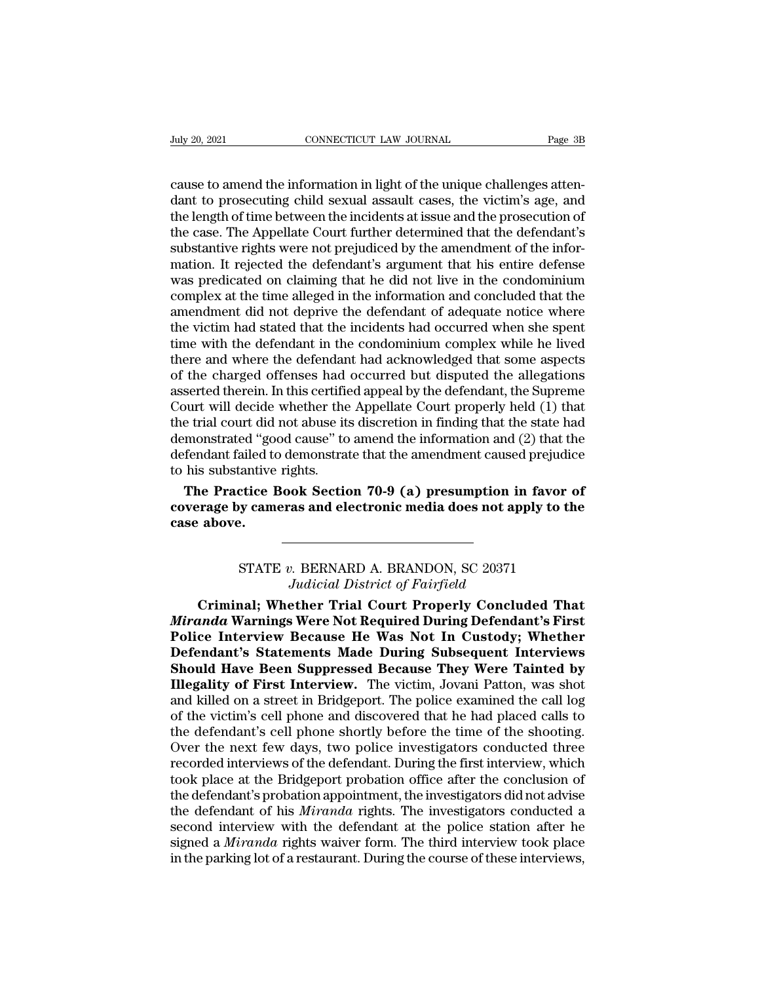CONNECTICUT LAW JOURNAL Page 3B<br>
cause to amend the information in light of the unique challenges atten-<br>
dant to prosecuting child sexual assault cases, the victim's age, and<br>
the length of time between the incidents at i dant to prosecuting child sexual assault cases, the victim's age, and the length of time between the incidents at issue and the prosecution of the case. The Appellate Court further determined that the defendant's The length of time between the information in light of the unique challenges attendant to prosecuting child sexual assault cases, the victim's age, and the length of time between the incidents at issue and the prosecution Fully 20, 2021<br>
CONNECTICUT LAW JOURNAL<br>
Cause to amend the information in light of the unique challenges attendant to prosecuting child sexual assault cases, the victim's age, and<br>
the length of time between the incidents cause to amend the information in light of the unique challenges atten-<br>dant to prosecuting child sexual assault cases, the victim's age, and<br>the length of time between the incidents at issue and the prosecution of<br>the cas cause to amend the information in light of the unique challenges atten-<br>dant to prosecuting child sexual assault cases, the victim's age, and<br>the length of time between the incidents at issue and the prosecution of<br>the cas cause to amend the information in light of the unique challenges atten-<br>dant to prosecuting child sexual assault cases, the victim's age, and<br>the length of time between the incidents at issue and the prosecution of<br>the cas dant to prosecuting child sexual assault cases, the victim's age, and<br>the length of time between the incidents at issue and the prosecution of<br>the case. The Appellate Court further determined that the defendant's<br>substanti the length of time between the incidents at issue and the prosecution of<br>the case. The Appellate Court further determined that the defendant's<br>substantive rights were not prejudiced by the amendment of the infor-<br>mation. I the case. The Appellate Court further determined that the defendant's substantive rights were not prejudiced by the amendment of the information. It rejected the defendant's argument that his entire defense was predicated substantive rights were not prejudiced by the amendment of the information. It rejected the defendant's argument that his entire defense was predicated on claiming that he did not live in the condominium complex at the tim mation. It rejected the defendant's argument that his entire defense<br>was predicated on claiming that he did not live in the condominium<br>complex at the time alleged in the information and concluded that the<br>amendment did no was predicated on claiming that he did not live in the condominium<br>complex at the time alleged in the information and concluded that the<br>amendment did not deprive the defendant of adequate notice where<br>the victim had state complex at the time alleged in the information and concluded that the amendment did not deprive the defendant of adequate notice where the victim had stated that the incidents had occurred when she spent time with the defe amendment did not deprive the defendant of adequate notice where<br>the victim had stated that the incidents had occurred when she spent<br>time with the defendant in the condominium complex while he lived<br>there and where the de the victim had stated that the incidents had occurred when she spent<br>time with the defendant in the condominium complex while he lived<br>there and where the defendant had acknowledged that some aspects<br>of the charged offense time with the defendant in the condominium complex while he lived<br>there and where the defendant had acknowledged that some aspects<br>of the charged offenses had occurred but disputed the allegations<br>asserted therein. In this there and where the defendant had acknowledged that some aspects<br>of the charged offenses had occurred but disputed the allegations<br>asserted therein. In this certified appeal by the defendant, the Supreme<br>Court will decide of the charged offenses had<br>asserted therein. In this certific<br>Court will decide whether the<br>the trial court did not abuse it<br>demonstrated "good cause" to<br>defendant failed to demonstra<br>to his substantive rights.<br>**The Pract** serted therein. In this certified appeal by the defendant, the Supreme<br>burt will decide whether the Appellate Court properly held (1) that<br>e trial court did not abuse its discretion in finding that the state had<br>monstrated Court will decide whether the Appellate Court properly held (1) that<br>the trial court did not abuse its discretion in finding that the state had<br>demonstrated "good cause" to amend the information and (2) that the<br>defendant the trial court did i<br>demonstrated "good<br>defendant failed to<br>to his substantive<br>**The Practice B**<br>coverage by came<br>case above.

Exercice Book Section 70-9 (a) presumption in favor only cameras and electronic media does not apply to the exercise of the contract of Fairfield contract of Fairfield contract of Fairfield contract of Fairfield contract o **Judicial 70-9 (a) presumption in 1<br>
<b>Judicial District of Fairfield**<br> **Judicial District of Fairfield**<br> **Judicial District of Fairfield**<br> **Judicial District of Fairfield**<br> **Judicial Court Properly Conclude** 

**CRIMITY: CONTROVER AND ALTER SET AND ALTER SETARD ALTER STATE v. BERNARD A. BRANDON, SC 20371<br>
FIATE v. BERNARD A. BRANDON, SC 20371<br>** *Judicial District of Fairfield***<br>
<b>Criminal; Whether Trial Court Properly Concluded Tha EXECUTE: THE PRONOM SETATE PERIMARD A. BRANDON, SC 20371<br>** *Miranda* **Varnings Were Not Required During Defendant's First<br>
Police Interview Because He Was Not In Custody; Whether<br>
Pofondant's Statements Made During Subseque Police Interview Because Henry STATE v. BERNARD A. BRANDON, SC 20371**<br> *Pudicial District of Fairfield*<br> **Police Interview Because He Was Not In Custody; Whether**<br> **Defendant's Statements Made During Subsequent Interviews STATE v. BERNARD A. BRANDON, SC 20371**<br> *Judicial District of Fairfield*<br> **Criminal; Whether Trial Court Properly Concluded That**<br> *Miranda* Warnings Were Not Required During Defendant's First<br>
Police Interview Because He STATE *v.* BERNARD A. BRANDON, SC 20371<br>*Judicial District of Fairfield*<br>**Criminal; Whether Trial Court Properly Concluded That**<br>*Miranda* Warnings Were Not Required During Defendant's First<br>Police Interview Because He Was *Illegality Criminal;* Whether Trial Court Properly Concluded That<br> *Miranda* Warnings Were Not Required During Defendant's First<br>
Police Interview Because He Was Not In Custody; Whether<br>
Defendant's Statements Made During Criminal; Whether Trial Court Properly Concluded That<br>
Miranda Warnings Were Not Required During Defendant's First<br>
Police Interview Because He Was Not In Custody; Whether<br>
Defendant's Statements Made During Subsequent Int Miranda Warnings Were Not Required During Defendant's First<br>Police Interview Because He Was Not In Custody; Whether<br>Defendant's Statements Made During Subsequent Interviews<br>Should Have Been Suppressed Because They Were Tai Police Interview Because He Was Not In Custody; Whether<br>Defendant's Statements Made During Subsequent Interviews<br>Should Have Been Suppressed Because They Were Tainted by<br>Illegality of First Interview. The victim, Jovani Pa Defendant's Statements Made During Subsequent Interviews<br>Should Have Been Suppressed Because They Were Tainted by<br>Illegality of First Interview. The victim, Jovani Patton, was shot<br>and killed on a street in Bridgeport. The **Should Have Been Suppressed Because They Were Tainted by Illegality of First Interview.** The victim, Jovani Patton, was shot and killed on a street in Bridgeport. The police examined the call log of the victim's cell phon **Illegality of First Interview.** The victim, Jovani Patton, was shot and killed on a street in Bridgeport. The police examined the call log of the victim's cell phone and discovered that he had placed calls to the defendan and killed on a street in Bridgeport. The police examined the call log<br>of the victim's cell phone and discovered that he had placed calls to<br>the defendant's cell phone shortly before the time of the shooting.<br>Over the next of the victim's cell phone and discovered that he had placed calls to<br>the defendant's cell phone shortly before the time of the shooting.<br>Over the next few days, two police investigators conducted three<br>recorded interviews the defendant's cell phone shortly before the time of the shooting.<br>Over the next few days, two police investigators conducted three<br>recorded interviews of the defendant. During the first interview, which<br>took place at the Over the next few days, two police investigators conducted three<br>recorded interviews of the defendant. During the first interview, which<br>took place at the Bridgeport probation office after the conclusion of<br>the defendant's recorded interviews of the defendant. During the first interview, which<br>took place at the Bridgeport probation office after the conclusion of<br>the defendant's probation appointment, the investigators did not advise<br>the defe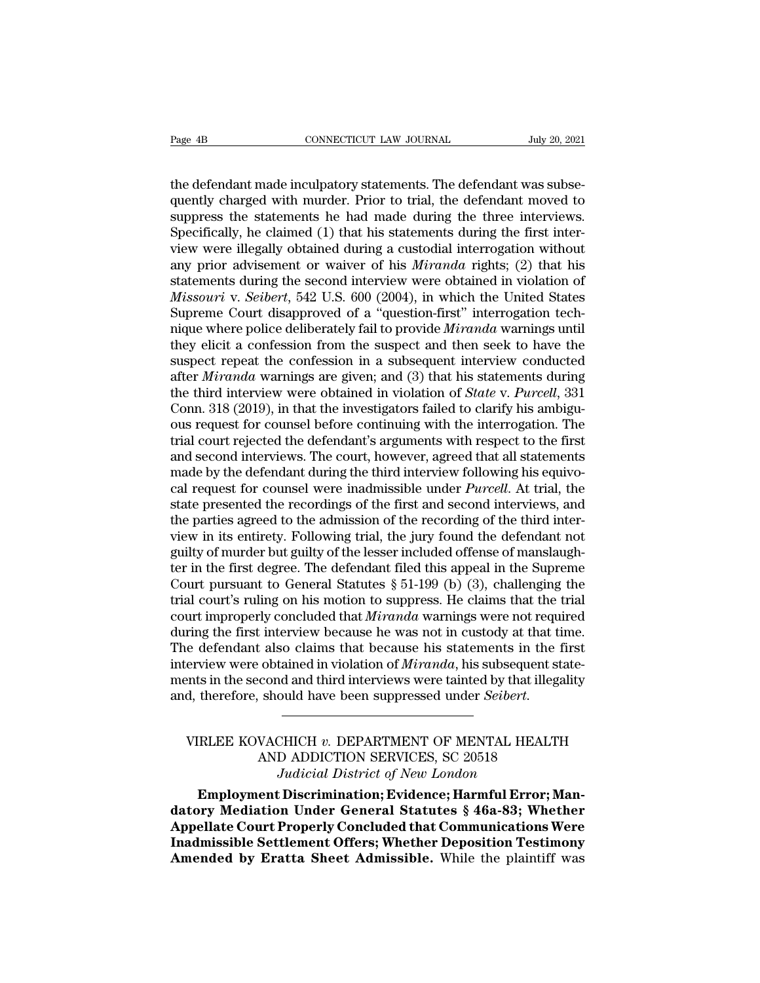The defendant made inculpatory statements. The defendant was subsequently charged with murder. Prior to trial, the defendant moved to suppress the statements he had made during the three interviews Page 4B<br>
connectricut LAW JOURNAL<br>
the defendant made inculpatory statements. The defendant was subsequently charged with murder. Prior to trial, the defendant moved to<br>
suppress the statements he had made during the three Page 4B<br>
connectricut LAW JOURNAL<br>
Suly 20, 2021<br>
the defendant made inculpatory statements. The defendant was subsequently charged with murder. Prior to trial, the defendant moved to<br>
suppress the statements he had made d Page 4B<br>
CONNECTICUT LAW JOURNAL<br>
the defendant made inculpatory statements. The defendant was subse-<br>
quently charged with murder. Prior to trial, the defendant moved to<br>
suppress the statements he had made during the thr the defendant made inculpatory statements. The defendant was subsequently charged with murder. Prior to trial, the defendant moved to suppress the statements he had made during the three interviews. Specifically, he claime the defendant made inculpatory statements. The defendant was subsequently charged with murder. Prior to trial, the defendant moved to suppress the statements he had made during the three interviews. Specifically, he claime the defendant made inculpatory statements. The defendant was subsequently charged with murder. Prior to trial, the defendant moved to suppress the statements he had made during the three interviews. Specifically, he claime quently charged with murder. Prior to trial, the defendant moved to<br>suppress the statements he had made during the three interviews.<br>Specifically, he claimed (1) that his statements during the first inter-<br>view were illega suppress the statements he had made during the three interviews.<br>Specifically, he claimed (1) that his statements during the first inter-<br>view were illegally obtained during a custodial interrogation without<br>any prior advi Specifically, he claimed (1) that his statements during the first inter-<br>view were illegally obtained during a custodial interrogation without<br>any prior advisement or waiver of his *Miranda* rights; (2) that his<br>statements view were illegally obtained during a custodial interrogation without<br>any prior advisement or waiver of his *Miranda* rights; (2) that his<br>statements during the second interview were obtained in violation of<br>*Missouri* v. any prior advisement or waiver of his *Miranda* rights; (2) that his statements during the second interview were obtained in violation of *Missouri* v. *Seibert*, 542 U.S. 600 (2004), in which the United States Supreme Cou statements during the second interview were obtained in violation of *Missouri* v. *Seibert*, 542 U.S. 600 (2004), in which the United States Supreme Court disapproved of a "question-first" interrogation technique where po *Missouri v. Seibert*, 542 U.S. 600 (2004), in which the United States<br>Supreme Court disapproved of a "question-first" interrogation tech-<br>nique where police deliberately fail to provide *Miranda* warnings until<br>they elici Supreme Court disapproved of a "question-first" interrogation technique where police deliberately fail to provide *Miranda* warnings until they elicit a confession from the suspect and then seek to have the suspect repeat mique where police deliberately fail to provide *Miranda* warnings until<br>they elicit a confession from the suspect and then seek to have the<br>suspect repeat the confession in a subsequent interview conducted<br>after *Miranda* they elicit a confession from the suspect and then seek to have the suspect repeat the confession in a subsequent interview conducted after *Miranda* warnings are given; and (3) that his statements during the third intervi suspect repeat the confession in a subsequent interview conducted<br>after *Miranda* warnings are given; and (3) that his statements during<br>the third interview were obtained in violation of *State* v. *Purcell*, 331<br>Conn. 318 after *Miranda* warnings are given; and (3) that his statements during<br>the third interview were obtained in violation of *State* v. *Purcell*, 331<br>Conn. 318 (2019), in that the investigators failed to clarify his ambigu-<br> the third interview were obtained in violation of *State* v. *Purcell*, 331 Conn. 318 (2019), in that the investigators failed to clarify his ambiguous request for counsel before continuing with the interrogation. The tria Conn. 318 (2019), in that the investigators failed to clarify his ambiguous request for counsel before continuing with the interrogation. The trial court rejected the defendant's arguments with respect to the first and sec ous request for counsel before continuing with the interrogation. The trial court rejected the defendant's arguments with respect to the first and second interviews. The court, however, agreed that all statements made by t trial court rejected the defendant's arguments with respect to the first<br>and second interviews. The court, however, agreed that all statements<br>made by the defendant during the third interview following his equivo-<br>cal requ and second interviews. The court, however, agreed that all statements<br>made by the defendant during the third interview following his equivo-<br>cal request for counsel were inadmissible under *Purcell*. At trial, the<br>state p made by the defendant during the third interview following his equivo-<br>cal request for counsel were inadmissible under *Purcell*. At trial, the<br>state presented the recordings of the first and second interviews, and<br>the pa cal request for counsel were inadmissible under *Purcell*. At trial, the state presented the recordings of the first and second interviews, and the parties agreed to the admission of the recording of the third interview i state presented the recordings of the first and second interviews, and<br>the parties agreed to the admission of the recording of the third inter-<br>view in its entirety. Following trial, the jury found the defendant not<br>guilt the parties agreed to the admission of the recording of the third inter-<br>view in its entirety. Following trial, the jury found the defendant not<br>guilty of murder but guilty of the lesser included offense of manslaugh-<br>ter view in its entirety. Following trial, the jury found the defendant not<br>guilty of murder but guilty of the lesser included offense of manslaugh-<br>ter in the first degree. The defendant filed this appeal in the Supreme<br>Court guilty of murder but guilty of the lesser included offense of manslaugh-<br>ter in the first degree. The defendant filed this appeal in the Supreme<br>Court pursuant to General Statutes § 51-199 (b) (3), challenging the<br>trial co ter in the first degree. The defendant filed this appeal in the Supreme<br>Court pursuant to General Statutes § 51-199 (b) (3), challenging the<br>trial court's ruling on his motion to suppress. He claims that the trial<br>court im Court pursuant to General Statutes § 51-199 (b) (3), challenging the trial court's ruling on his motion to suppress. He claims that the trial court improperly concluded that *Miranda* warnings were not required during the trial court's ruling on his motion to suppress. He claims that the trial<br>court improperly concluded that *Miranda* warnings were not required<br>during the first interview because he was not in custody at that time.<br>The defen And and third interviews were tainted by that illegered and third interviews were tainted by that illegered should have been suppressed under *Seibert*.<br>
AND ADDICTION SERVICES, SC 20518<br>
AND ADDICTION SERVICES, SC 20518<br>

# *Judicial Interviews were tainted by that ille*<br> *Judicial District of New London*<br> *Judicial District of New London*<br> **Discrimination; Evidence; Harmful Error;** therefore, should have been suppressed under *Seibert*.<br> **EXECUACHICH v. DEPARTMENT OF MENTAL HEALTH**<br>
AND ADDICTION SERVICES, SC 20518<br> *Judicial District of New London*<br> **Employment Discrimination; Evidence; Harmful Erro**

VIRLEE KOVACHICH v. DEPARTMENT OF MENTAL HEALTH<br>
AND ADDICTION SERVICES, SC 20518<br>
Judicial District of New London<br> **Employment Discrimination; Evidence; Harmful Error; Man-**<br> **datory Mediation Under General Statutes § 46a** VIRLEE KOVACHICH v. DEPARTMENT OF MENTAL HEALTH<br>
AND ADDICTION SERVICES, SC 20518<br>
Judicial District of New London<br> **Employment Discrimination; Evidence; Harmful Error; Man-**<br> **datory Mediation Under General Statutes § 46a** VIRLEE KOVACHICH v. DEPARTMENT OF MENTAL HEALTH<br>
AND ADDICTION SERVICES, SC 20518<br>
Judicial District of New London<br> **Employment Discrimination; Evidence; Harmful Error; Man-**<br> **datory Mediation Under General Statutes § 46a** AND ADDICTION SERVICES, SC 20518<br>*Judicial District of New London*<br>**Employment Discrimination; Evidence; Harmful Error; Man-**<br>datory Mediation Under General Statutes § 46a-83; Whether<br>Appellate Court Properly Concluded tha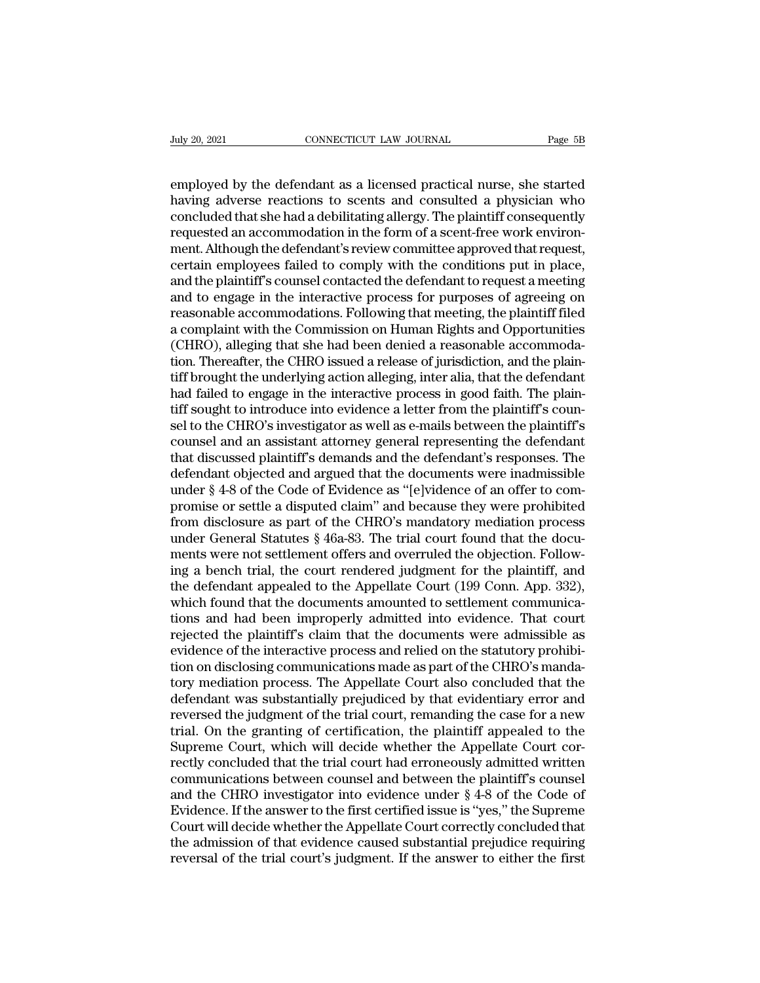Figure 20, 2021<br>
EMPLOYER CONNECTICUT LAW JOURNAL Page 5B<br>
employed by the defendant as a licensed practical nurse, she started<br>
having adverse reactions to scents and consulted a physician who<br>
concluded that she had a de having 20, 2021<br> **Examployed by the defendant as a licensed practical nurse, she started having adverse reactions to scents and consulted a physician who concluded that she had a debilitating allergy. The plaintiff consequ** CONNECTICUT LAW JOURNAL Page 5B<br>
employed by the defendant as a licensed practical nurse, she started<br>
having adverse reactions to scents and consulted a physician who<br>
concluded that she had a debilitating allergy. The pl Fully 20, 2021 CONNECTICUT LAW JOURNAL Page 5B<br>
employed by the defendant as a licensed practical nurse, she started<br>
having adverse reactions to scents and consulted a physician who<br>
concluded that she had a debilitating employed by the defendant as a licensed practical nurse, she started<br>having adverse reactions to scents and consulted a physician who<br>concluded that she had a debilitating allergy. The plaintiff consequently<br>requested an a employed by the defendant as a licensed practical nurse, she started<br>having adverse reactions to scents and consulted a physician who<br>concluded that she had a debilitating allergy. The plaintiff consequently<br>requested an a employed by the defendant as a licensed practical nurse, she started<br>having adverse reactions to scents and consulted a physician who<br>concluded that she had a debilitating allergy. The plaintiff consequently<br>requested an a having adverse reactions to scents and consulted a physician who concluded that she had a debilitating allergy. The plaintiff consequently requested an accommodation in the form of a scent-free work environment. Although t concluded that she had a debilitating allergy. The plaintiff consequently<br>requested an accommodation in the form of a scent-free work environ-<br>ment. Although the defendant's review committee approved that request,<br>certain requested an accommodation in the form of a scent-free work environment. Although the defendant's review committee approved that request, certain employees failed to comply with the conditions put in place, and the plainti ment. Although the defendant's review committee approved that request, certain employees failed to comply with the conditions put in place, and the plaintiff's counsel contacted the defendant to request a meeting and to en certain employees failed to comply with the conditions put in place, and the plaintiff's counsel contacted the defendant to request a meeting and to engage in the interactive process for purposes of agreeing on reasonable and the plaintiff's counsel contacted the defendant to request a meeting<br>and to engage in the interactive process for purposes of agreeing on<br>reasonable accommodations. Following that meeting, the plaintiff filed<br>a complai and to engage in the interactive process for purposes of agreeing on reasonable accommodations. Following that meeting, the plaintiff filed a complaint with the Commission on Human Rights and Opportunities (CHRO), alleging reasonable accommodations. Following that meeting, the plaintiff filed<br>a complaint with the Commission on Human Rights and Opportunities<br>(CHRO), alleging that she had been denied a reasonable accommoda-<br>tion. Thereafter, t a complaint with the Commission on Human Rights and Opportunities<br>(CHRO), alleging that she had been denied a reasonable accommoda-<br>tion. Thereafter, the CHRO issued a release of jurisdiction, and the plain-<br>tiff brought t (CHRO), alleging that she had been denied a reasonable accommodation. Thereafter, the CHRO issued a release of jurisdiction, and the plaintiff brought the underlying action alleging, inter alia, that the defendant had fail tion. Thereafter, the CHRO issued a release of jurisdiction, and the plaintiff brought the underlying action alleging, inter alia, that the defendant had failed to engage in the interactive process in good faith. The plai tiff brought the underlying action alleging, inter alia, that the defendant<br>had failed to engage in the interactive process in good faith. The plain-<br>tiff sought to introduce into evidence a letter from the plaintiff's cou had failed to engage in the interactive process in good faith. The plain-<br>tiff sought to introduce into evidence a letter from the plaintiff's coun-<br>sel to the CHRO's investigator as well as e-mails between the plaintiff's tiff sought to introduce into evidence a letter from the plaintiff's counsel to the CHRO's investigator as well as e-mails between the plaintiff's counsel and an assistant attorney general representing the defendant that d sel to the CHRO's investigator as well as e-mails between the plaintiff's<br>counsel and an assistant attorney general representing the defendant<br>that discussed plaintiff's demands and the defendant's responses. The<br>defendant counsel and an assistant attorney general representing the defendant<br>that discussed plaintiff's demands and the defendant's responses. The<br>defendant objected and argued that the documents were inadmissible<br>under § 4-8 of t that discussed plaintiff's demands and the defendant's responses. The<br>defendant objected and argued that the documents were inadmissible<br>under § 4-8 of the Code of Evidence as "[e]vidence of an offer to com-<br>promise or se defendant objected and argued that the documents were inadmissible<br>under § 4-8 of the Code of Evidence as "[e]vidence of an offer to com-<br>promise or settle a disputed claim" and because they were prohibited<br>from disclosure

under § 4-8 of the Code of Evidence as "[e]vidence of an offer to compromise or settle a disputed claim" and because they were prohibited from disclosure as part of the CHRO's mandatory mediation process under General Stat promise or settle a disputed claim" and because they were prohibited<br>from disclosure as part of the CHRO's mandatory mediation process<br>under General Statutes § 46a-83. The trial court found that the docu-<br>ments were not se from disclosure as part of the CHRO's mandatory mediation process<br>under General Statutes  $\S$  46a-83. The trial court found that the docu-<br>ments were not settlement offers and overruled the objection. Follow-<br>ing a bench t under General Statutes § 46a-83. The trial court found that the documents were not settlement offers and overruled the objection. Following a bench trial, the court rendered judgment for the plaintiff, and the defendant ap ments were not settlement offers and overruled the objection. Following a bench trial, the court rendered judgment for the plaintiff, and the defendant appealed to the Appellate Court (199 Conn. App. 332), which found that ing a bench trial, the court rendered judgment for the plaintiff, and<br>the defendant appealed to the Appellate Court (199 Conn. App. 332),<br>which found that the documents amounted to settlement communica-<br>tions and had been the defendant appealed to the Appellate Court (199 Conn. App. 332), which found that the documents amounted to settlement communications and had been improperly admitted into evidence. That court rejected the plaintiff's c which found that the documents amounted to settlement communications and had been improperly admitted into evidence. That court<br>rejected the plaintiff's claim that the documents were admissible as<br>evidence of the interacti tions and had been improperly admitted into evidence. That court<br>rejected the plaintiff's claim that the documents were admissible as<br>evidence of the interactive process and relied on the statutory prohibi-<br>tion on disclos rejected the plaintiff's claim that the documents were admissible as<br>evidence of the interactive process and relied on the statutory prohibi-<br>tion on disclosing communications made as part of the CHRO's manda-<br>tory mediati evidence of the interactive process and relied on the statutory prohibition on disclosing communications made as part of the CHRO's mandatory mediation process. The Appellate Court also concluded that the defendant was sub tion on disclosing communications made as part of the CHRO's manda-<br>tory mediation process. The Appellate Court also concluded that the<br>defendant was substantially prejudiced by that evidentiary error and<br>reversed the jud tory mediation process. The Appellate Court also concluded that the defendant was substantially prejudiced by that evidentiary error and reversed the judgment of the trial court, remanding the case for a new trial. On the defendant was substantially prejudiced by that evidentiary error and<br>reversed the judgment of the trial court, remanding the case for a new<br>trial. On the granting of certification, the plaintiff appealed to the<br>Supreme Cou reversed the judgment of the trial court, remanding the case for a new<br>trial. On the granting of certification, the plaintiff appealed to the<br>Supreme Court, which will decide whether the Appellate Court cor-<br>rectly conclud trial. On the granting of certification, the plaintiff appealed to the Supreme Court, which will decide whether the Appellate Court correctly concluded that the trial court had erroneously admitted written communications b Supreme Court, which will decide whether the Appellate Court correctly concluded that the trial court had erroneously admitted written communications between counsel and between the plaintiff's counsel and the CHRO investi rectly concluded that the trial court had erroneously admitted written<br>communications between counsel and between the plaintiff's counsel<br>and the CHRO investigator into evidence under § 4-8 of the Code of<br>Evidence. If the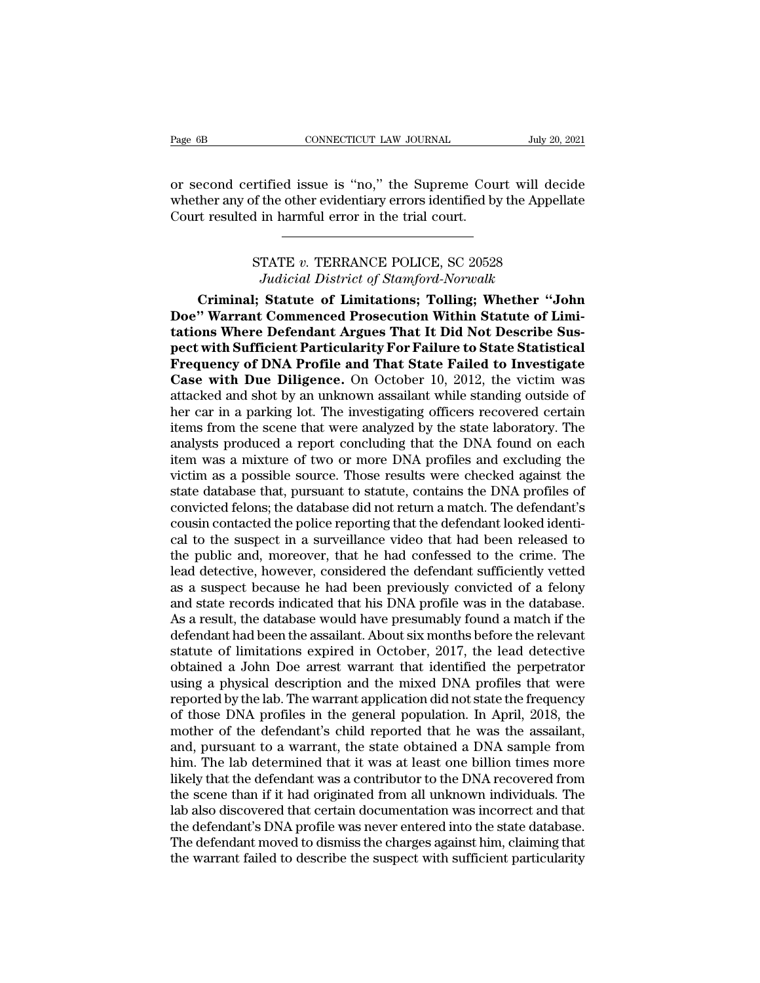Page 6B<br>
CONNECTICUT LAW JOURNAL<br>
Or second certified issue is "no," the Supreme Court will decide<br>
whether any of the other evidentiary errors identified by the Appellate<br>
Court resulted in harmful error in the trial cour Page 6B<br>
CONNECTICUT LAW JOURNAL<br>
Or second certified issue is "no," the Supreme Court will decide<br>
whether any of the other evidentiary errors identified by the Appellate<br>
Court resulted in harmful error in the trial cour Page 6B CONNECTICUT LAW JOURNAL<br>
CONNECTICUT LAW JOURNAL<br>
COUR SECOND COURT FOR SUPPER COURTER FOR STRING TO THE SUPPER COURT<br>
COURT FESTURE IN THE TRING TO THE TRING COURT FOR SUPPER COURT. rtified issue is "no," the Supreme Court will dec<br>
of the other evidentiary errors identified by the Appel<br>
d in harmful error in the trial court.<br>
STATE v. TERRANCE POLICE, SC 20528<br>
Judicial District of Stamford-Norwalk tified issue is "no," the Supreme Court will de<br>the other evidentiary errors identified by the Appe<br>in harmful error in the trial court.<br>TATE v. TERRANCE POLICE, SC 20528<br>Judicial District of Stamford-Norwalk<br>**Statute of L** 

ther any of the other evidentiary errors identified by the Appellate<br>
t resulted in harmful error in the trial court.<br>
FIATE v. TERRANCE POLICE, SC 20528<br> *Judicial District of Stamford-Norwalk*<br> **Criminal; Statute of Limi** Court resulted in harmful error in the trial court.<br>
FIATE v. TERRANCE POLICE, SC 20528<br>
Judicial District of Stamford-Norwalk<br> **Criminal; Statute of Limitations; Tolling; Whether "John**<br> **Doe" Warrant Commenced Prosecutio tations STATE v. TERRANCE POLICE, SC 20528**<br> *Judicial District of Stamford-Norwalk*<br> **Criminal; Statute of Limitations; Tolling; Whether "John<br>
Doe" Warrant Commenced Prosecution Within Statute of Limitations Where Defen pectrum STATE v. TERRANCE POLICE, SC 20528**<br>*Judicial District of Stamford-Norwalk*<br>**Criminal; Statute of Limitations; Tolling; Whether "John<br>Doe" Warrant Commenced Prosecution Within Statute of Limi-<br>tations Where Defend FRANCE POLICE, SC 20528**<br>*Judicial District of Stamford-Norwalk*<br>**Criminal; Statute of Limitations; Tolling; Whether "John<br>Doe" Warrant Commenced Prosecution Within Statute of Limi-<br>tations Where Defendant Argues That It** Judicial District of Stamford-Norwalk<br>Criminal; Statute of Limitations; Tolling; Whether "John<br>Doe" Warrant Commenced Prosecution Within Statute of Limi-<br>tations Where Defendant Argues That It Did Not Describe Sus-<br>pect wi Criminal; Statute of Limitations; Tolling; Whether "John<br>Doe" Warrant Commenced Prosecution Within Statute of Limi-<br>tations Where Defendant Argues That It Did Not Describe Sus-<br>pect with Sufficient Particularity For Failur Doe" Warrant Commenced Prosecution Within Statute of Limitations Where Defendant Argues That It Did Not Describe Suspect with Sufficient Particularity For Failure to State Statistical Frequency of DNA Profile and That Stat tations Where Defendant Argues That It Did Not Describe Sus-<br>pect with Sufficient Particularity For Failure to State Statistical<br>Frequency of DNA Profile and That State Failed to Investigate<br>Case with Due Diligence. On Oct pect with Sufficient Particularity For Failure to State Statistical<br>Frequency of DNA Profile and That State Failed to Investigate<br>Case with Due Diligence. On October 10, 2012, the victim was<br>attacked and shot by an unknown **Frequency of DNA Profile and That State Failed to Investigate**<br>**Case with Due Diligence.** On October 10, 2012, the victim was<br>attacked and shot by an unknown assailant while standing outside of<br>her car in a parking lot. T **Case with Due Diligence.** On October 10, 2012, the victim was attacked and shot by an unknown assailant while standing outside of her car in a parking lot. The investigating officers recovered certain items from the scene attacked and shot by an unknown assailant while standing outside of<br>her car in a parking lot. The investigating officers recovered certain<br>items from the scene that were analyzed by the state laboratory. The<br>analysts produ her car in a parking lot. The investigating officers recovered certain<br>items from the scene that were analyzed by the state laboratory. The<br>analysts produced a report concluding that the DNA found on each<br>item was a mixtur items from the scene that were analyzed by the state laboratory. The analysts produced a report concluding that the DNA found on each item was a mixture of two or more DNA profiles and excluding the victim as a possible so analysts produced a report concluding that the DNA found on each<br>item was a mixture of two or more DNA profiles and excluding the<br>victim as a possible source. Those results were checked against the<br>state database that, pur item was a mixture of two or more DNA profiles and excluding the<br>victim as a possible source. Those results were checked against the<br>state database that, pursuant to statute, contains the DNA profiles of<br>convicted felons; victim as a possible source. Those results were checked against the<br>state database that, pursuant to statute, contains the DNA profiles of<br>convicted felons; the database did not return a match. The defendant's<br>cousin conta state database that, pursuant to statute, contains the DNA profiles of<br>convicted felons; the database did not return a match. The defendant's<br>cousin contacted the police reporting that the defendant looked identi-<br>cal to t convicted felons; the database did not return a match. The defendant's<br>cousin contacted the police reporting that the defendant looked identi-<br>cal to the suspect in a surveillance video that had been released to<br>the public cousin contacted the police reporting that the defendant looked identi-<br>cal to the suspect in a surveillance video that had been released to<br>the public and, moreover, that he had confessed to the crime. The<br>lead detective, cal to the suspect in a surveillance video that had been released to<br>the public and, moreover, that he had confessed to the crime. The<br>lead detective, however, considered the defendant sufficiently vetted<br>as a suspect beca the public and, moreover, that he had confessed to the crime. The<br>lead detective, however, considered the defendant sufficiently vetted<br>as a suspect because he had been previously convicted of a felony<br>and state records in lead detective, however, considered the defendant sufficiently vetted<br>as a suspect because he had been previously convicted of a felony<br>and state records indicated that his DNA profile was in the database.<br>As a result, the as a suspect because he had been previously convicted of a felony<br>and state records indicated that his DNA profile was in the database.<br>As a result, the database would have presumably found a match if the<br>defendant had bee and state records indicated that his DNA profile was in the database.<br>As a result, the database would have presumably found a match if the<br>defendant had been the assailant. About six months before the relevant<br>statute of l As a result, the database would have presumably found a match if the defendant had been the assailant. About six months before the relevant statute of limitations expired in October, 2017, the lead detective obtained a Joh defendant had been the assailant. About six months before the relevant<br>statute of limitations expired in October, 2017, the lead detective<br>obtained a John Doe arrest warrant that identified the perpetrator<br>using a physical statute of limitations expired in October, 2017, the lead detective<br>obtained a John Doe arrest warrant that identified the perpetrator<br>using a physical description and the mixed DNA profiles that were<br>reported by the lab. obtained a John Doe arrest warrant that identified the perpetrator<br>using a physical description and the mixed DNA profiles that were<br>reported by the lab. The warrant application did not state the frequency<br>of those DNA pro using a physical description and the mixed DNA profiles that were<br>reported by the lab. The warrant application did not state the frequency<br>of those DNA profiles in the general population. In April, 2018, the<br>mother of the reported by the lab. The warrant application did not state the frequency<br>of those DNA profiles in the general population. In April, 2018, the<br>mother of the defendant's child reported that he was the assailant,<br>and, pursuan of those DNA profiles in the general population. In April, 2018, the mother of the defendant's child reported that he was the assailant, and, pursuant to a warrant, the state obtained a DNA sample from him. The lab determi mother of the defendant's child reported that he was the assailant,<br>and, pursuant to a warrant, the state obtained a DNA sample from<br>him. The lab determined that it was at least one billion times more<br>likely that the defen and, pursuant to a warrant, the state obtained a DNA sample from<br>him. The lab determined that it was at least one billion times more<br>likely that the defendant was a contributor to the DNA recovered from<br>the scene than if i him. The lab determined that it was at least one billion times more<br>likely that the defendant was a contributor to the DNA recovered from<br>the scene than if it had originated from all unknown individuals. The<br>lab also disco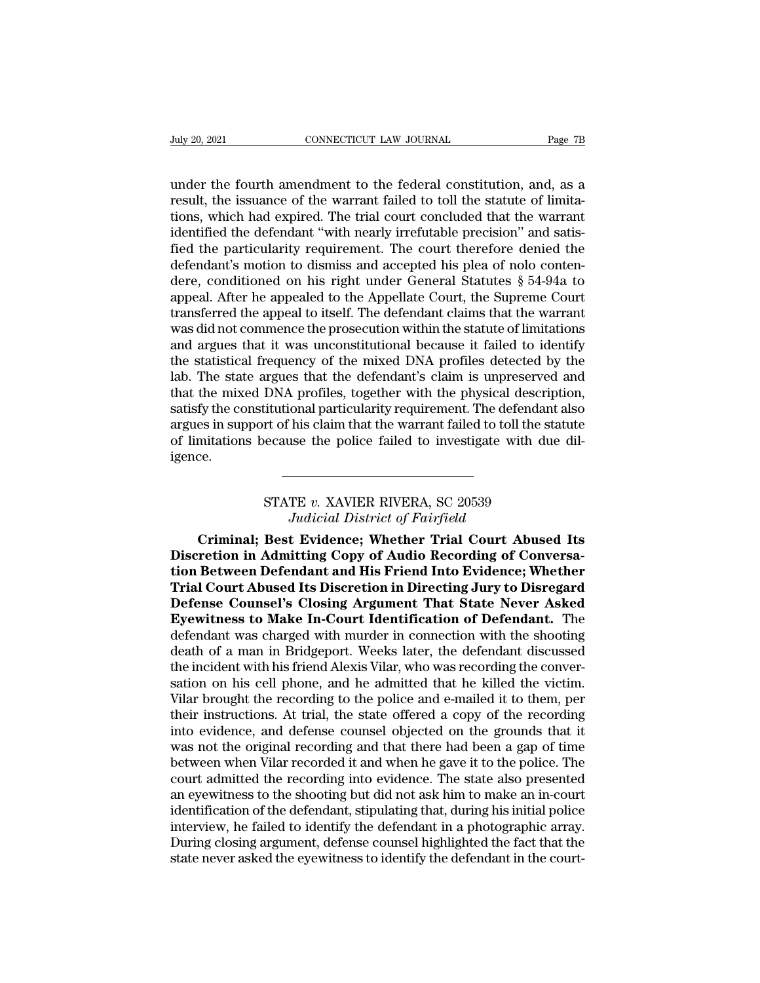Univ 20, 2021<br>
CONNECTICUT LAW JOURNAL Page 7B<br>
under the fourth amendment to the federal constitution, and, as a<br>
result, the issuance of the warrant failed to toll the statute of limita-<br>
tions, which had expired. The t Figure 20, 2021<br>
Figure 20, 2021<br>
CONNECTICUT LAW JOURNAL<br>
Page 7B<br>
under the fourth amendment to the federal constitution, and, as a<br>
result, the issuance of the warrant failed to toll the statute of limita-<br>
identified t The July 20, 2021<br>
The tions of the connections of the federal constitution, and, as a<br>
trial court the issuance of the warrant failed to toll the statute of limita-<br>
tions, which had expired. The trial court concluded tha In the defendant is connected the defendant of the defendant of the defendant failed to toll the statute of limitations, which had expired. The trial court concluded that the warrant identified the defendant "with nearly i under the fourth amendment to the federal constitution, and, as a<br>result, the issuance of the warrant failed to toll the statute of limita-<br>tions, which had expired. The trial court concluded that the warrant<br>identified th under the fourth amendment to the federal constitution, and, as a result, the issuance of the warrant failed to toll the statute of limitations, which had expired. The trial court concluded that the warrant identified the under the fourth amendment to the federal constitution, and, as a<br>result, the issuance of the warrant failed to toll the statute of limita-<br>tions, which had expired. The trial court concluded that the warrant<br>identified th result, the issuance of the warrant failed to toll the statute of limitations, which had expired. The trial court concluded that the warrant identified the defendant "with nearly irrefutable precision" and satisfied the pa tions, which had expired. The trial court concluded that the warrant<br>identified the defendant "with nearly irrefutable precision" and satis-<br>fied the particularity requirement. The court therefore denied the<br>defendant's mo identified the defendant "with nearly irrefutable precision" and satisfied the particularity requirement. The court therefore denied the defendant's motion to dismiss and accepted his plea of nolo contendere, conditioned o fied the particularity requirement. The court therefore denied the<br>defendant's motion to dismiss and accepted his plea of nolo conten-<br>dere, conditioned on his right under General Statutes § 54-94a to<br>appeal. After he appe defendant's motion to dismiss and accepted his plea of nolo conten-<br>dere, conditioned on his right under General Statutes § 54-94a to<br>appeal. After he appealed to the Appellate Court, the Supreme Court<br>transferred the appe dere, conditioned on his right under General Statutes § 54-94a to<br>appeal. After he appealed to the Appellate Court, the Supreme Court<br>transferred the appeal to itself. The defendant claims that the warrant<br>was did not comm appeal. After he appealed to the Appellate Court, the Supreme Court transferred the appeal to itself. The defendant claims that the warrant was did not commence the prosecution within the statute of limitations and argues transferred the appeal to itself. The defendant claims that the warrant<br>was did not commence the prosecution within the statute of limitations<br>and argues that it was unconstitutional because it failed to identify<br>the stati was did not commence the prosecution within the statute of limitations<br>and argues that it was unconstitutional because it failed to identify<br>the statistical frequency of the mixed DNA profiles detected by the<br>lab. The stat and argues that it was unconstitutional because it failed to identify<br>the statistical frequency of the mixed DNA profiles detected by the<br>lab. The state argues that the defendant's claim is unpreserved and<br>that the mixed D igence. Fractional particularity requirement. The defendant of his claim that the warrant failed to toll the st<br>
recause the police failed to investigate with du<br>
FRIVER RIVERA, SC 20539<br> *Judicial District of Fairfield Judicial meta* is claim that the warrant failed to toll the set the police failed to investigate with<br>*Judicial District of Fairfield*<br>**Judicial District of Fairfield**<br>**t Evidence; Whether Trial Court Abu** 

mitations because the police failed to investigate with due dil-<br>
Criminal; Carl Court Abused Unitstand District of Fairfield<br>
Criminal; Best Evidence; Whether Trial Court Abused Its<br>
retion in Admitting Copy of Audio Reco STATE *v.* XAVIER RIVERA, SC 20539<br>*Judicial District of Fairfield*<br>**Criminal; Best Evidence; Whether Trial Court Abused Its<br>Discretion in Admitting Copy of Audio Recording of Conversa-<br>tion Between Defendant and His Frien the Between Defendant and His Friend Internal Court Abused Its**<br>Discretion in Admitting Copy of Audio Recording of Conversa-<br>tion Between Defendant and His Friend Into Evidence; Whether<br>Trial Court Abused Its Discretion i STATE *v*. XAVIER RIVERA, SC 20539<br>*Judicial District of Fairfield*<br>**Criminal; Best Evidence; Whether Trial Court Abused Its<br>Discretion in Admitting Copy of Audio Recording of Conversa-<br>tion Between Defendant and His Frien** STATE *v. XAVIER RIVERA, SC 20539*<br>*Judicial District of Fairfield*<br>**Criminal; Best Evidence; Whether Trial Court Abused Its**<br>**Discretion in Admitting Copy of Audio Recording of Conversa-<br>tion Between Defendant and His Fri** Judicial District of Fairfield<br>Criminal; Best Evidence; Whether Trial Court Abused Its<br>Discretion in Admitting Copy of Audio Recording of Conversa-<br>tion Between Defendant and His Friend Into Evidence; Whether<br>Trial Court A Criminal; Best Evidence; Whether Trial Court Abused Its<br>Discretion in Admitting Copy of Audio Recording of Conversa-<br>tion Between Defendant and His Friend Into Evidence; Whether<br>Trial Court Abused Its Discretion in Directi Discretion in Admitting Copy of Audio Recording of Conversation Between Defendant and His Friend Into Evidence; Whether<br>Trial Court Abused Its Discretion in Directing Jury to Disregard<br>Defense Counsel's Closing Argument Th tion Between Defendant and His Friend Into Evidence; Whether<br>Trial Court Abused Its Discretion in Directing Jury to Disregard<br>Defense Counsel's Closing Argument That State Never Asked<br>Eyewitness to Make In-Court Identifica Trial Court Abused Its Discretion in Directing Jury to Disregard<br>Defense Counsel's Closing Argument That State Never Asked<br>Eyewitness to Make In-Court Identification of Defendant. The<br>defendant was charged with murder in c **Defense Counsel's Closing Argument That State Never Asked Eyewitness to Make In-Court Identification of Defendant.** The defendant was charged with murder in connection with the shooting death of a man in Bridgeport. Weeks Eyewitness to Make In-Court Identification of Defendant. The<br>defendant was charged with murder in connection with the shooting<br>death of a man in Bridgeport. Weeks later, the defendant discussed<br>the incident with his friend defendant was charged with murder in connection with the shooting<br>death of a man in Bridgeport. Weeks later, the defendant discussed<br>the incident with his friend Alexis Vilar, who was recording the conver-<br>sation on his ce death of a man in Bridgeport. Weeks later, the defendant discussed<br>the incident with his friend Alexis Vilar, who was recording the conver-<br>sation on his cell phone, and he admitted that he killed the victim.<br>Vilar brought the incident with his friend Alexis Vilar, who was recording the conversation on his cell phone, and he admitted that he killed the victim.<br>Vilar brought the recording to the police and e-mailed it to them, per<br>their instr sation on his cell phone, and he admitted that he killed the victim.<br>Vilar brought the recording to the police and e-mailed it to them, per<br>their instructions. At trial, the state offered a copy of the recording<br>into evide Vilar brought the recording to the police and e-mailed it to them, per<br>their instructions. At trial, the state offered a copy of the recording<br>into evidence, and defense counsel objected on the grounds that it<br>was not the their instructions. At trial, the state offered a copy of the recording<br>into evidence, and defense counsel objected on the grounds that it<br>was not the original recording and that there had been a gap of time<br>between when V into evidence, and defense counsel objected on the grounds that it was not the original recording and that there had been a gap of time<br>between when Vilar recorded it and when he gave it to the police. The<br>court admitted t was not the original recording and that there had been a gap of time<br>between when Vilar recorded it and when he gave it to the police. The<br>court admitted the recording into evidence. The state also presented<br>an eyewitness between when Vilar recorded it and when he gave it to the police. The court admitted the recording into evidence. The state also presented an eyewitness to the shooting but did not ask him to make an in-court identificatio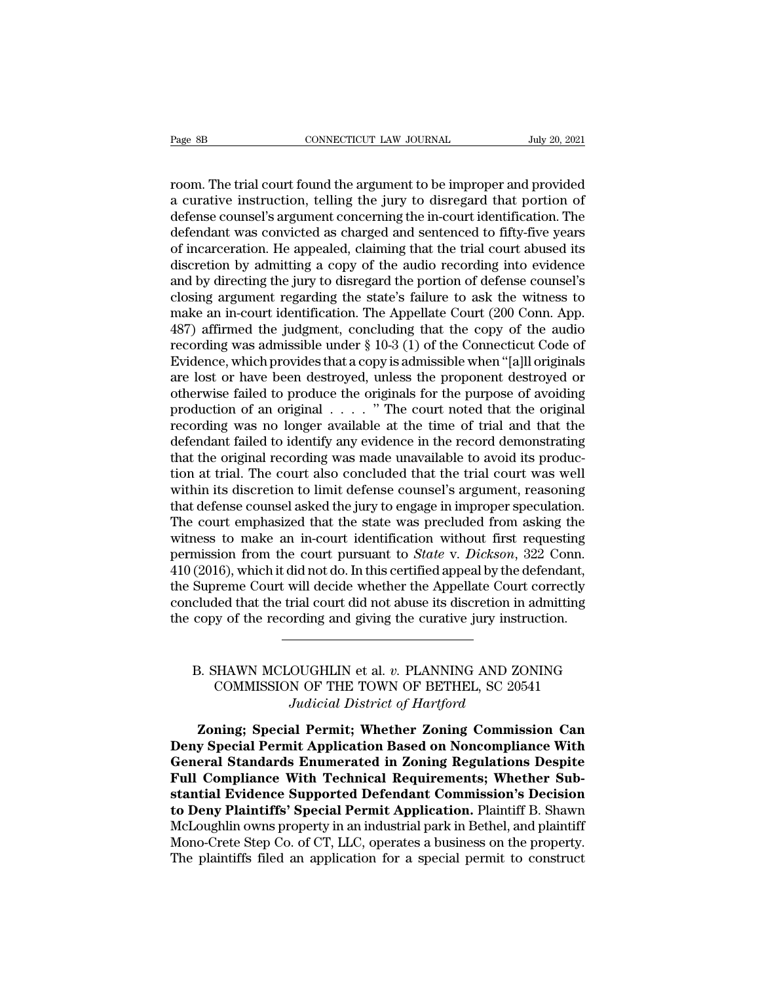Page 8B<br>
CONNECTICUT LAW JOURNAL July 20, 2021<br>
room. The trial court found the argument to be improper and provided<br>
a curative instruction, telling the jury to disregard that portion of<br>
dofonso counsel's argument concer Page 8B<br>
cONNECTICUT LAW JOURNAL July 20, 2021<br>
room. The trial court found the argument to be improper and provided<br>
a curative instruction, telling the jury to disregard that portion of<br>
defense counsel's argument concer Page 8B<br>
connectricut LAW JOURNAL<br>
July 20, 2021<br>
com. The trial court found the argument to be improper and provided<br>
a curative instruction, telling the jury to disregard that portion of<br>
defendant was convicted as charg Page 8B<br>
convicted Law Journal Law July 20, 2021<br>
com. The trial court found the argument to be improper and provided<br>
a curative instruction, telling the jury to disregard that portion of<br>
defendent was convicted as charg room. The trial court found the argument to be improper and provided<br>a curative instruction, telling the jury to disregard that portion of<br>defense counsel's argument concerning the in-court identification. The<br>defendant wa room. The trial court found the argument to be improper and provided<br>a curative instruction, telling the jury to disregard that portion of<br>defense counsel's argument concerning the in-court identification. The<br>defendant wa room. The trial court found the argument to be improper and provided<br>a curative instruction, telling the jury to disregard that portion of<br>defense counsel's argument concerning the in-court identification. The<br>defendant wa a curative instruction, telling the jury to disregard that portion of<br>defense counsel's argument concerning the in-court identification. The<br>defendant was convicted as charged and sentenced to fifty-five years<br>of incarcera defense counsel's argument concerning the in-court identification. The<br>defendant was convicted as charged and sentenced to fifty-five years<br>of incarceration. He appealed, claiming that the trial court abused its<br>discretion defendant was convicted as charged and sentenced to fifty-five years<br>of incarceration. He appealed, claiming that the trial court abused its<br>discretion by admitting a copy of the audio recording into evidence<br>and by direct of incarceration. He appealed, claiming that the trial court abused its<br>discretion by admitting a copy of the audio recording into evidence<br>and by directing the jury to disregard the portion of defense counsel's<br>closing ar discretion by admitting a copy of the audio recording into evidence<br>and by directing the jury to disregard the portion of defense counsel's<br>closing argument regarding the state's failure to ask the witness to<br>make an in-co and by directing the jury to disregard the portion of defense counsel's<br>closing argument regarding the state's failure to ask the witness to<br>make an in-court identification. The Appellate Court (200 Conn. App.<br>487) affirme closing argument regarding the state's failure to ask the witness to<br>make an in-court identification. The Appellate Court (200 Conn. App.<br>487) affirmed the judgment, concluding that the copy of the audio<br>recording was adm make an in-court identification. The Appellate Court (200 Conn. App.<br>487) affirmed the judgment, concluding that the copy of the audio<br>recording was admissible under § 10-3 (1) of the Connecticut Code of<br>Evidence, which p 487) affirmed the judgment, concluding that the copy of the audio<br>recording was admissible under  $\S 10-3 (1)$  of the Connecticut Code of<br>Evidence, which provides that a copy is admissible when "[a]ll originals<br>are lost or recording was admissible under  $\S$  10-3 (1) of the Connecticut Code of<br>Evidence, which provides that a copy is admissible when "[a]ll originals<br>are lost or have been destroyed, unless the proponent destroyed or<br>otherwise Evidence, which provides that a copy is admissible when "[a]ll originals are lost or have been destroyed, unless the proponent destroyed or otherwise failed to produce the originals for the purpose of avoiding production are lost or have been destroyed, unless the proponent destroyed or otherwise failed to produce the originals for the purpose of avoiding production of an original  $\ldots$ , " The court noted that the original recording was n otherwise failed to produce the originals for the purpose of avoiding<br>production of an original . . . . " The court noted that the original<br>recording was no longer available at the time of trial and that the<br>defendant fail production of an original  $\ldots$  . . . . " The court noted that the original recording was no longer available at the time of trial and that the defendant failed to identify any evidence in the record demonstrating that th recording was no longer available at the time of trial and that the defendant failed to identify any evidence in the record demonstrating that the original recording was made unavailable to avoid its production at trial. T defendant failed to identify any evidence in the record demonstrating<br>that the original recording was made unavailable to avoid its produc-<br>tion at trial. The court also concluded that the trial court was well<br>within its that the original recording was made unavailable to avoid its production at trial. The court also concluded that the trial court was well within its discretion to limit defense counsel's argument, reasoning that defense co tion at trial. The court also concluded that the trial court was well<br>within its discretion to limit defense counsel's argument, reasoning<br>that defense counsel asked the jury to engage in improper speculation.<br>The court em within its discretion to limit defense counsel's argument, reasoning<br>that defense counsel asked the jury to engage in improper speculation.<br>The court emphasized that the state was precluded from asking the<br>witness to make that defense counsel asked the jury to engage in improper speculation.<br>The court emphasized that the state was precluded from asking the<br>witness to make an in-court identification without first requesting<br>permission from t The court emphasized that the state was precluded from asking the witness to make an in-court identification without first requesting permission from the court pursuant to *State* v. *Dickson*, 322 Conn. 410 (2016), which (2016), which it did not do. In this certified appeal by the defendant,<br>Supreme Court will decide whether the Appellate Court correctly<br>cluded that the trial court did not abuse its discretion in admitting<br>copy of the reco Freme Court will decide whether the Appellate Court correctly<br>ded that the trial court did not abuse its discretion in admitting<br>by of the recording and giving the curative jury instruction.<br>EXPERENT DERETHEL, SC 20541<br>COM

# rial court did not abuse its discretion in a<br>*Juding and giving the curative jury instru*<br>*Judicial District of Hartford*<br>**All Permit; Whether Zoning Commissi**<br>*Judicial District of Hartford* **EXECUTE:**<br> **EXECUTE:**<br> **ZONIMISSION OF THE TOWN OF BETHEL, SC 20541**<br> **Zoning; Special Permit; Whether Zoning Commission Can**<br> **Zoning; Special Permit; Whether Zoning Commission Can**<br> **Zoning: Special Permit Application B**

B. SHAWN MCLOUGHLIN et al. *v.* PLANNING AND ZONING<br>COMMISSION OF THE TOWN OF BETHEL, SC 20541<br>*Judicial District of Hartford*<br>**Zoning**; Special Permit; Whether Zoning Commission Can<br>Deny Special Permit Application Based o B. SHAWN MCLOUGHLIN et al. *v.* PLANNING AND ZONING<br>COMMISSION OF THE TOWN OF BETHEL, SC 20541<br>*Judicial District of Hartford*<br>**Zoning**; Special Permit; Whether Zoning Commission Can<br>Deny Special Permit Application Based o **FULL COMMISSION OF THE TOWN OF BETHEL, SC 20541**<br> *Judicial District of Hartford*<br> **Zoning: Special Permit; Whether Zoning Commission Can<br>
Deny Special Permit Application Based on Noncompliance With<br>
General Standards Enu** *Solandsservert of that Youther Barring, so 20011*<br>*Judicial District of Hartford*<br>**Zoning**; Special Permit, Whether Zoning Commission Can<br>Deny Special Permit Application Based on Noncompliance With<br>General Standards Enume **The Plaintiffs:** Special Permit; Whether Zoning Commission Can<br>Deny Special Permit Application Based on Noncompliance With<br>General Standards Enumerated in Zoning Regulations Despite<br>Full Compliance With Technical Requirem Zoning; Special Permit; Whether Zoning Commission Can<br>Deny Special Permit Application Based on Noncompliance With<br>General Standards Enumerated in Zoning Regulations Despite<br>Full Compliance With Technical Requirements; Whet Deny Special Permit Application Based on Noncompliance With<br>General Standards Enumerated in Zoning Regulations Despite<br>Full Compliance With Technical Requirements; Whether Sub-<br>stantial Evidence Supported Defendant Commiss General Standards Enumerated in Zoning Regulations Despite<br>Full Compliance With Technical Requirements; Whether Substantial Evidence Supported Defendant Commission's Decision<br>to Deny Plaintiffs' Special Permit Application.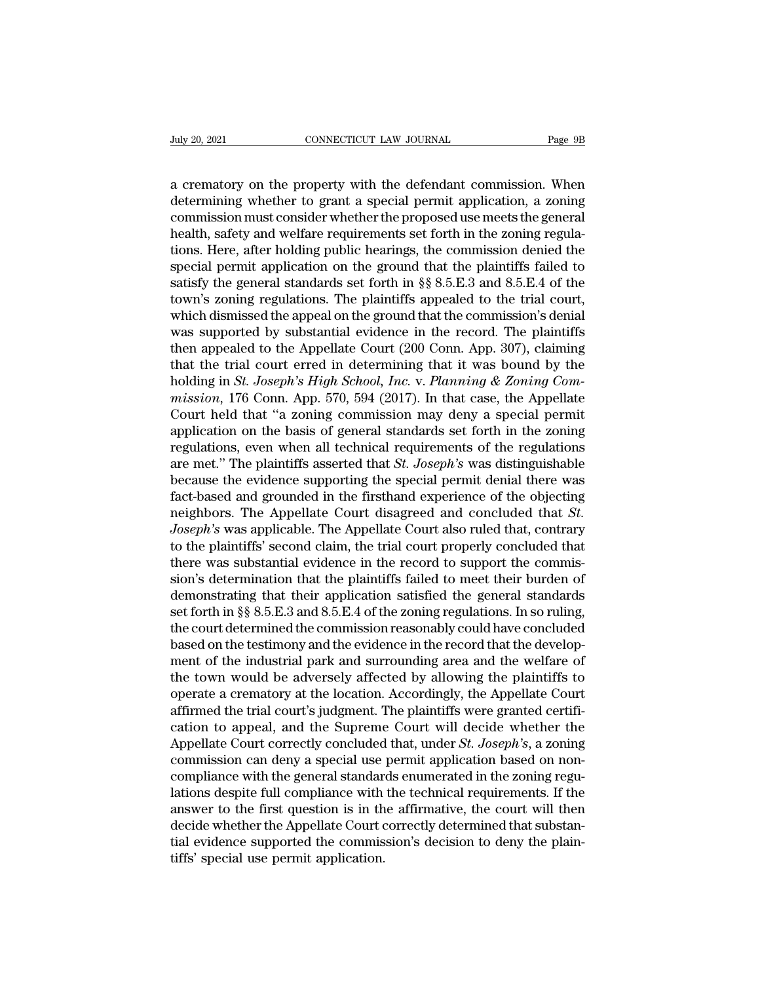Figure 20, 2021<br>
a crematory on the property with the defendant commission. When<br>
determining whether to grant a special permit application, a zoning<br>
commission must consider whether the proposed use mosts the general determining whether to grant a special permit application, a zoning<br>commission must consider whether the proposed use meets the general<br>health cafety and welfare requirements set forth in the zoning regularity<br>health cafet CONNECTICUT LAW JOURNAL Page 9B<br>
a crematory on the property with the defendant commission. When<br>
determining whether to grant a special permit application, a zoning<br>
commission must consider whether the proposed use meets July 20, 2021 CONNECTICUT LAW JOURNAL Page 9B<br>
a crematory on the property with the defendant commission. When<br>
determining whether to grant a special permit application, a zoning<br>
commission must consider whether the prop a crematory on the property with the defendant commission. When<br>determining whether to grant a special permit application, a zoning<br>commission must consider whether the proposed use meets the general<br>health, safety and we a crematory on the property with the defendant commission. When<br>determining whether to grant a special permit application, a zoning<br>commission must consider whether the proposed use meets the general<br>health, safety and wel a crematory on the property with the defendant commission. When<br>determining whether to grant a special permit application, a zoning<br>commission must consider whether the proposed use meets the general<br>health, safety and wel determining whether to grant a special permit application, a zoning<br>commission must consider whether the proposed use meets the general<br>health, safety and welfare requirements set forth in the zoning regula-<br>tions. Here, a

commission must consider whether the proposed use meets the general<br>health, safety and welfare requirements set forth in the zoning regula-<br>tions. Here, after holding public hearings, the commission denied the<br>special perm health, safety and welfare requirements set forth in the zoning regula-<br>tions. Here, after holding public hearings, the commission denied the<br>special permit application on the ground that the plaintiffs failed to<br>satisfy t tions. Here, after holding public hearings, the commission denied the special permit application on the ground that the plaintiffs failed to satisfy the general standards set forth in §§ 8.5.E.3 and 8.5.E.4 of the town's special permit application on the ground that the plaintiffs failed to<br>satisfy the general standards set forth in §§ 8.5.E.3 and 8.5.E.4 of the<br>town's zoning regulations. The plaintiffs appealed to the trial court,<br>which satisfy the general standards set forth in §§ 8.5.E.3 and 8.5.E.4 of the<br>town's zoning regulations. The plaintiffs appealed to the trial court,<br>which dismissed the appeal on the ground that the commission's denial<br>was supp *town's zoning regulations. The plaintiffs appealed to the trial court,* which dismissed the appeal on the ground that the commission's denial was supported by substantial evidence in the record. The plaintiffs then appeal which dismissed the appeal on the ground that the commission's denial<br>was supported by substantial evidence in the record. The plaintiffs<br>then appealed to the Appellate Court (200 Conn. App. 307), claiming<br>that the trial was supported by substantial evidence in the record. The plaintiffs<br>then appealed to the Appellate Court (200 Conn. App. 307), claiming<br>that the trial court erred in determining that it was bound by the<br>holding in *St. Jo* then appealed to the Appellate Court (200 Conn. App. 307), claiming<br>that the trial court erred in determining that it was bound by the<br>holding in *St. Joseph's High School, Inc.* v. *Planning & Zoning Com-<br>mission*, 176 C that the trial court erred in determining that it was bound by the<br>holding in *St. Joseph's High School, Inc. v. Planning & Zoning Com-*<br>mission, 176 Conn. App. 570, 594 (2017). In that case, the Appellate<br>Court held that holding in *St. Joseph's High School, Inc.* v. *Planning & Zoning Commission*, 176 Conn. App. 570, 594 (2017). In that case, the Appellate Court held that "a zoning commission may deny a special permit application on the mission, 176 Conn. App. 570, 594 (2017). In that case, the Appellate<br>Court held that "a zoning commission may deny a special permit<br>application on the basis of general standards set forth in the zoning<br>regulations, even w Court held that "a zoning commission may deny a special permit<br>application on the basis of general standards set forth in the zoning<br>regulations, even when all technical requirements of the regulations<br>are met." The plaint application on the basis of general standards set forth in the zoning<br>regulations, even when all technical requirements of the regulations<br>are met." The plaintiffs asserted that *St. Joseph's* was distinguishable<br>because t regulations, even when all technical requirements of the regulations<br>are met." The plaintiffs asserted that *St. Joseph's* was distinguishable<br>because the evidence supporting the special permit denial there was<br>fact-based are met." The plaintiffs asserted that *St. Joseph's* was distinguishable<br>because the evidence supporting the special permit denial there was<br>fact-based and grounded in the firsthand experience of the objecting<br>neighbors. because the evidence supporting the special permit denial there was<br>fact-based and grounded in the firsthand experience of the objecting<br>neighbors. The Appellate Court disagreed and concluded that *St.*<br>Joseph's was appli fact-based and grounded in the firsthand experience of the objecting<br>neighbors. The Appellate Court disagreed and concluded that *St.*<br>Joseph's was applicable. The Appellate Court also ruled that, contrary<br>to the plaintiff neighbors. The Appellate Court disagreed and concluded that *St.*<br>Joseph's was applicable. The Appellate Court also ruled that, contrary<br>to the plaintiffs' second claim, the trial court properly concluded that<br>there was su Joseph's was applicable. The Appellate Court also ruled that, contrary<br>to the plaintiffs' second claim, the trial court properly concluded that<br>there was substantial evidence in the record to support the commis-<br>sion's det to the plaintiffs' second claim, the trial court properly concluded that<br>there was substantial evidence in the record to support the commis-<br>sion's determination that the plaintiffs failed to meet their burden of<br>demonstra there was substantial evidence in the record to support the commission's determination that the plaintiffs failed to meet their burden of demonstrating that their application satisfied the general standards set forth in §§ sion's determination that the plaintiffs failed to meet their burden of<br>demonstrating that their application satisfied the general standards<br>set forth in §§ 8.5.E.3 and 8.5.E.4 of the zoning regulations. In so ruling,<br>the demonstrating that their application satisfied the general standards<br>set forth in §§ 8.5.E.3 and 8.5.E.4 of the zoning regulations. In so ruling,<br>the court determined the commission reasonably could have concluded<br>based on set forth in §§ 8.5.E.3 and 8.5.E.4 of the zoning regulations. In so ruling,<br>the court determined the commission reasonably could have concluded<br>based on the testimony and the evidence in the record that the develop-<br>ment the court determined the commission reasonably could have concluded<br>based on the testimony and the evidence in the record that the develop-<br>ment of the industrial park and surrounding area and the welfare of<br>the town would based on the testimony and the evidence in the record that the development of the industrial park and surrounding area and the welfare of the town would be adversely affected by allowing the plaintiffs to operate a cremato ment of the industrial park and surrounding area and the welfare of<br>the town would be adversely affected by allowing the plaintiffs to<br>operate a crematory at the location. Accordingly, the Appellate Court<br>affirmed the tria the town would be adversely affected by allowing the plaintiffs to<br>operate a crematory at the location. Accordingly, the Appellate Court<br>affirmed the trial court's judgment. The plaintiffs were granted certifi-<br>cation to a operate a crematory at the location. Accordingly, the Appellate Court<br>affirmed the trial court's judgment. The plaintiffs were granted certifi-<br>cation to appeal, and the Supreme Court will decide whether the<br>Appellate Cour affirmed the trial court's judgment. The plaintiffs were granted certification to appeal, and the Supreme Court will decide whether the Appellate Court correctly concluded that, under *St. Joseph*'s, a zoning commission ca cation to appeal, and the Supreme Court will decide whether the<br>Appellate Court correctly concluded that, under *St. Joseph's*, a zoning<br>commission can deny a special use permit application based on non-<br>compliance with th Appellate Court correctly concluded that, under *St. Joseph's*, a zoning commission can deny a special use permit application based on non-compliance with the general standards enumerated in the zoning regulations despite commission can deny a special use<br>compliance with the general standar<br>lations despite full compliance with<br>answer to the first question is in th<br>decide whether the Appellate Court c<br>tial evidence supported the commis<br>tiffs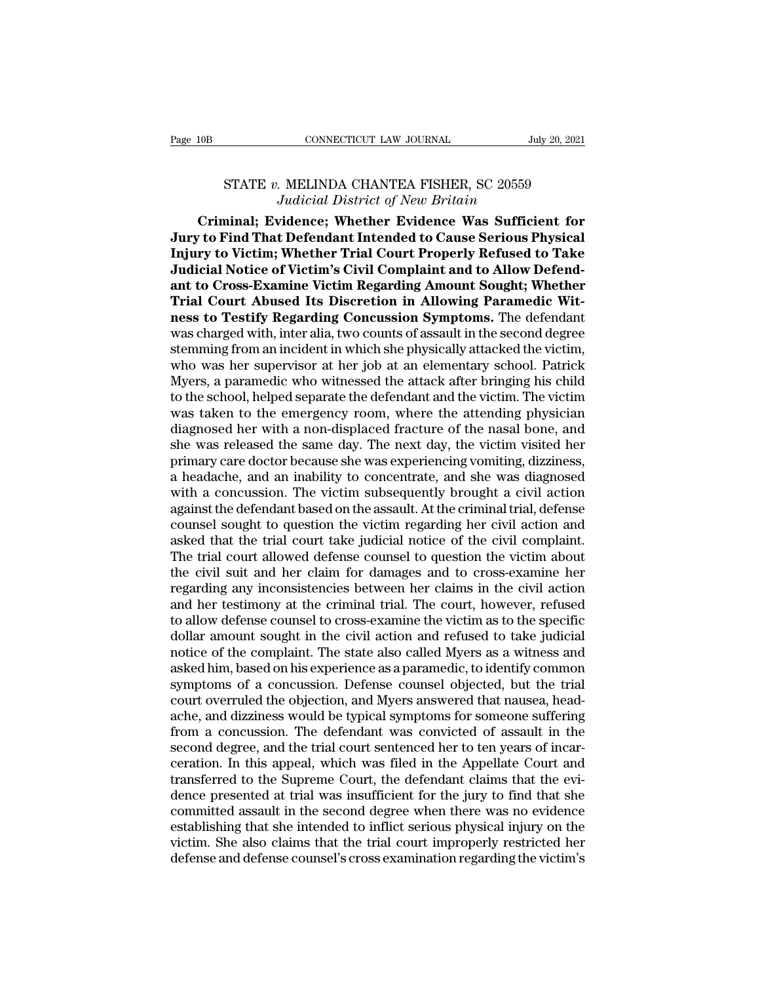## CONNECTICUT LAW JOURNAL<br>
STATE *v.* MELINDA CHANTEA FISHER, SC 20559<br>
Judicial District of New Britain *Judicial District of New Britain*

CONNECTICUT LAW JOURNAL July 20, 2021<br>
STATE v. MELINDA CHANTEA FISHER, SC 20559<br> *Judicial District of New Britain*<br> **Criminal; Evidence; Whether Evidence Was Sufficient for**<br> **Criminal; Evidence; Whether Evidence Was Suf** Page 10B<br>
CONNECTICUT LAW JOURNAL<br>
STATE v. MELINDA CHANTEA FISHER, SC 20559<br> *Judicial District of New Britain*<br> **Criminal; Evidence; Whether Evidence Was Sufficient for<br>
Jury to Find That Defendant Intended to Cause Seri INGLEM STATE v. MELINDA CHANTEA FISHER, SC 20559**<br> *Indicial District of New Britain*<br> **Criminal; Evidence; Whether Evidence Was Sufficient for**<br> **Jury to Find That Defendant Intended to Cause Serious Physical**<br> **Injury t STATE v. MELINDA CHANTEA FISHER, SC 20559**<br>*Judicial District of New Britain*<br>**Criminal; Evidence; Whether Evidence Was Sufficient for**<br>**Jury to Find That Defendant Intended to Cause Serious Physical**<br>**Injury to Victim; W antifyricangle STATE v. MELINDA CHANTEA FISHER, SC 20559**<br>*Judicial District of New Britain*<br>**Criminal**; Evidence; Whether Evidence Was Sufficient for<br>**Jury to Find That Defendant Intended to Cause Serious Physical**<br>**Inju** Judicial District of New Britain<br>Criminal; Evidence; Whether Evidence Was Sufficient for<br>Jury to Find That Defendant Intended to Cause Serious Physical<br>Injury to Victim; Whether Trial Court Properly Refused to Take<br>Judicia Criminal; Evidence; Whether Evidence Was Sufficient for<br>Jury to Find That Defendant Intended to Cause Serious Physical<br>Injury to Victim; Whether Trial Court Properly Refused to Take<br>Judicial Notice of Victim's Civil Compla Jury to Find That Defendant Intended to Cause Serious Physical<br>Injury to Victim; Whether Trial Court Properly Refused to Take<br>Judicial Notice of Victim's Civil Complaint and to Allow Defend-<br>ant to Cross-Examine Victim Reg Injury to Victim; Whether Trial Court Properly Refused to Take<br>Judicial Notice of Victim's Civil Complaint and to Allow Defend-<br>ant to Cross-Examine Victim Regarding Amount Sought; Whether<br>Trial Court Abused Its Discretion Judicial Notice of Victim's Civil Complaint and to Allow Defend-<br>ant to Cross-Examine Victim Regarding Amount Sought; Whether<br>Trial Court Abused Its Discretion in Allowing Paramedic Wit-<br>ness to Testify Regarding Concussio ant to Cross-Examine Victim Regarding Amount Sought; Whether<br>Trial Court Abused Its Discretion in Allowing Paramedic Wit-<br>ness to Testify Regarding Concussion Symptoms. The defendant<br>was charged with, inter alia, two count Trial Court Abused Its Discretion in Allowing Paramedic Witness to Testify Regarding Concussion Symptoms. The defendant<br>was charged with, inter alia, two counts of assault in the second degree<br>stemming from an incident in ness to Testify Regarding Concussion Symptoms. The defendant<br>was charged with, inter alia, two counts of assault in the second degree<br>stemming from an incident in which she physically attacked the victim,<br>who was her super was charged with, inter alia, two counts of assault in the second degree<br>stemming from an incident in which she physically attacked the victim,<br>who was her supervisor at her job at an elementary school. Patrick<br>Myers, a pa stemming from an incident in which she physically attacked the victim,<br>who was her supervisor at her job at an elementary school. Patrick<br>Myers, a paramedic who witnessed the attack after bringing his child<br>to the school, who was her supervisor at her job at an elementary school. Patrick Myers, a paramedic who witnessed the attack after bringing his child to the school, helped separate the defendant and the victim. The victim was taken to t Myers, a paramedic who witnessed the attack after bringing his child<br>to the school, helped separate the defendant and the victim. The victim<br>was taken to the emergency room, where the attending physician<br>diagnosed her with to the school, helped separate the defendant and the victim. The victim<br>was taken to the emergency room, where the attending physician<br>diagnosed her with a non-displaced fracture of the nasal bone, and<br>she was released the was taken to the emergency room, where the attending physician diagnosed her with a non-displaced fracture of the nasal bone, and she was released the same day. The next day, the victim visited her primary care doctor beca diagnosed her with a non-displaced fracture of the nasal bone, and<br>she was released the same day. The next day, the victim visited her<br>primary care doctor because she was experiencing vomiting, dizziness,<br>a headache, and a she was released the same day. The next day, the victim visited her primary care doctor because she was experiencing vomiting, dizziness, a headache, and an inability to concentrate, and she was diagnosed with a concussion primary care doctor because she was experiencing vomiting, dizziness,<br>a headache, and an inability to concentrate, and she was diagnosed<br>with a concussion. The victim subsequently brought a civil action<br>against the defenda a headache, and an inability to concentrate, and she was diagnosed<br>with a concussion. The victim subsequently brought a civil action<br>against the defendant based on the assault. At the criminal trial, defense<br>counsel sought with a concussion. The victim subsequently brought a civil action<br>against the defendant based on the assault. At the criminal trial, defense<br>counsel sought to question the victim regarding her civil action and<br>asked that t against the defendant based on the assault. At the criminal trial, defense<br>counsel sought to question the victim regarding her civil action and<br>asked that the trial court take judicial notice of the civil complaint.<br>The tr counsel sought to question the victim regarding her civil action and<br>asked that the trial court take judicial notice of the civil complaint.<br>The trial court allowed defense counsel to question the victim about<br>the civil su asked that the trial court take judicial notice of the civil complaint.<br>The trial court allowed defense counsel to question the victim about<br>the civil suit and her claim for damages and to cross-examine her<br>regarding any i The trial court allowed defense counsel to question the victim about<br>the civil suit and her claim for damages and to cross-examine her<br>regarding any inconsistencies between her claims in the civil action<br>and her testimony the civil suit and her claim for damages and to cross-examine her regarding any inconsistencies between her claims in the civil action<br>and her testimony at the criminal trial. The court, however, refused<br>to allow defense c regarding any inconsistencies between her claims in the civil action<br>and her testimony at the criminal trial. The court, however, refused<br>to allow defense counsel to cross-examine the victim as to the specific<br>dollar amoun and her testimony at the criminal trial. The court, however, refused<br>to allow defense counsel to cross-examine the victim as to the specific<br>dollar amount sought in the civil action and refused to take judicial<br>notice of t to allow defense counsel to cross-examine the victim as to the specific<br>dollar amount sought in the civil action and refused to take judicial<br>notice of the complaint. The state also called Myers as a witness and<br>asked him, dollar amount sought in the civil action and refused to take judicial<br>notice of the complaint. The state also called Myers as a witness and<br>asked him, based on his experience as a paramedic, to identify common<br>symptoms of notice of the complaint. The state also called Myers as a witness and asked him, based on his experience as a paramedic, to identify common symptoms of a concussion. Defense counsel objected, but the trial court overruled asked him, based on his experience as a paramedic, to identify common<br>symptoms of a concussion. Defense counsel objected, but the trial<br>court overruled the objection, and Myers answered that nausea, head-<br>ache, and dizzine symptoms of a concussion. Defense counsel objected, but the trial court overruled the objection, and Myers answered that nausea, head-<br>ache, and dizziness would be typical symptoms for someone suffering<br>from a concussion. court overruled the objection, and Myers answered that nausea, head-<br>ache, and dizziness would be typical symptoms for someone suffering<br>from a concussion. The defendant was convicted of assault in the<br>second degree, and t ache, and dizziness would be typical symptoms for someone suffering<br>from a concussion. The defendant was convicted of assault in the<br>second degree, and the trial court sentenced her to ten years of incar-<br>ceration. In this from a concussion. The defendant was convicted of assault in the second degree, and the trial court sentenced her to ten years of incarceration. In this appeal, which was filed in the Appellate Court and transferred to the second degree, and the trial court sentenced her to ten years of incarceration. In this appeal, which was filed in the Appellate Court and transferred to the Supreme Court, the defendant claims that the evidence presented ceration. In this appeal, which was filed in the Appellate Court and transferred to the Supreme Court, the defendant claims that the evidence presented at trial was insufficient for the jury to find that she committed assa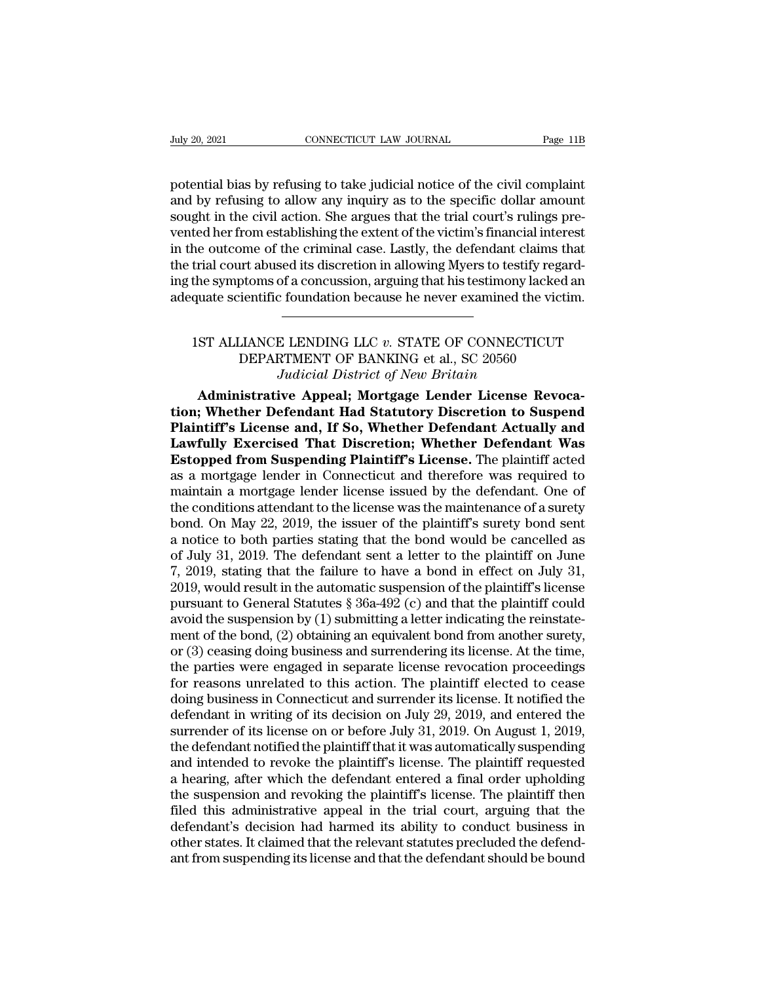potential bias by refusing to take judicial notice of the civil complaint<br>potential bias by refusing to take judicial notice of the civil complaint<br>and by refusing to allow any inquiry as to the specific dollar amount<br>soug Figure 20, 2021<br>
and by refusing to take judicial notice of the civil complaint<br>
and by refusing to allow any inquiry as to the specific dollar amount<br>
sought in the civil action. She argues that the trial court's rulings Suly 20, 2021<br>
Suly 20, 2021<br>
Sought in the civil action. She indicial notice of the civil complaint<br>
Sought in the civil action. She argues that the trial court's rulings pre-<br>
Sought in the civil action. She argues that Vuly 20, 2021 CONNECTICUT LAW JOURNAL Page 11B<br>potential bias by refusing to take judicial notice of the civil complaint<br>and by refusing to allow any inquiry as to the specific dollar amount<br>sought in the civil action. She potential bias by refusing to take judicial notice of the civil complaint<br>and by refusing to allow any inquiry as to the specific dollar amount<br>sought in the civil action. She argues that the trial court's rulings pre-<br>ven potential bias by refusing to take judicial notice of the civil complaint<br>and by refusing to allow any inquiry as to the specific dollar amount<br>sought in the civil action. She argues that the trial court's rulings pre-<br>ven potential bias by refusing to take judicial notice of the civil complaint<br>and by refusing to allow any inquiry as to the specific dollar amount<br>sought in the civil action. She argues that the trial court's rulings pre-<br>ven and by refusing to allow any inquiry as to the specific dollar amount sought in the civil action. She argues that the trial court's rulings prevented her from establishing the extent of the victim's financial interest in t the outcome of the criminal case. Lastly, the defendant claims that<br>trial court abused its discretion in allowing Myers to testify regard-<br>the symptoms of a concussion, arguing that his testimony lacked an<br>quate scientific Internal and Solution in allowing Myers to testify regard to the property of a concussion, arguing that his testimony lacked a sientific foundation because he never examined the victimental contraction of the new set of CO

# of a concussion, arguing that his testimony lack<br> *L* foundation because he never examined the v.<br> **Judicial District of New Britain**<br> **Judicial District of New Britain**<br> **Judicial District of New Britain**<br> **ive Appeal; Mo** quate scientific foundation because he never examined the victim.<br> **ADMINIST ALLIANCE LENDING LLC v. STATE OF CONNECTICUT**<br>
DEPARTMENT OF BANKING et al., SC 20560<br> *Judicial District of New Britain*<br> **Administrative Appeal**

**the Table 15T ALLIANCE LENDING LLC v. STATE OF CONNECTICUT**<br>
DEPARTMENT OF BANKING et al., SC 20560<br> *Judicial District of New Britain*<br> **Administrative Appeal; Mortgage Lender License Revocation; Whether Defendant Had St** 1ST ALLIANCE LENDING LLC v. STATE OF CONNECTICUT<br>DEPARTMENT OF BANKING et al., SC 20560<br>*Judicial District of New Britain*<br>**Administrative Appeal; Mortgage Lender License Revoca-<br>tion; Whether Defendant Had Statutory Discr** IST ALLIANCE LENDING LLC v. STATE OF CONNECTICUT<br>DEPARTMENT OF BANKING et al., SC 20560<br>*Judicial District of New Britain*<br>**Administrative Appeal; Mortgage Lender License Revoca-<br>tion; Whether Defendant Had Statutory Discr** DEPARTMENT OF BANKING et al., SC 20560<br>*Judicial District of New Britain*<br>**Administrative Appeal; Mortgage Lender License Revoca-<br>tion; Whether Defendant Had Statutory Discretion to Suspend<br>Plaintiff's License and, If So,** Judicial District of New Britain<br>
Administrative Appeal; Mortgage Lender License Revoca-<br>
tion; Whether Defendant Had Statutory Discretion to Suspend<br>
Plaintiff's License and, If So, Whether Defendant Actually and<br>
Lawfull Administrative Appeal; Mortgage Lender License Revocation; Whether Defendant Had Statutory Discretion to Suspend<br>Plaintiff's License and, If So, Whether Defendant Actually and<br>Lawfully Exercised That Discretion; Whether De tion; Whether Defendant Had Statutory Discretion to Suspend<br>Plaintiff's License and, If So, Whether Defendant Actually and<br>Lawfully Exercised That Discretion; Whether Defendant Was<br>Estopped from Suspending Plaintiff's Lice **Plaintiff's License and, If So, Whether Defendant Actually and Lawfully Exercised That Discretion; Whether Defendant Was Estopped from Suspending Plaintiff's License. The plaintiff acted as a mortgage lender in Connecticu Lawfully Exercised That Discretion; Whether Defendant Was**<br>**Estopped from Suspending Plaintiff's License.** The plaintiff acted<br>as a mortgage lender in Connecticut and therefore was required to<br>maintain a mortgage lender **Estopped from Suspending Plaintiff's License.** The plaintiff acted as a mortgage lender in Connecticut and therefore was required to maintain a mortgage lender license issued by the defendant. One of the conditions atten as a mortgage lender in Connecticut and therefore was required to<br>maintain a mortgage lender license issued by the defendant. One of<br>the conditions attendant to the license was the maintenance of a surety<br>bond. On May 22, maintain a mortgage lender license issued by the defendant. One of<br>the conditions attendant to the license was the maintenance of a surety<br>bond. On May 22, 2019, the issuer of the plaintiff's surety bond sent<br>a notice to the conditions attendant to the license was the maintenance of a surety<br>bond. On May 22, 2019, the issuer of the plaintiff's surety bond sent<br>a notice to both parties stating that the bond would be cancelled as<br>of July 31 bond. On May 22, 2019, the issuer of the plaintiff's surety bond sent<br>a notice to both parties stating that the bond would be cancelled as<br>of July 31, 2019. The defendant sent a letter to the plaintiff on June<br>7, 2019, st a notice to both parties stating that the bond would be cancelled as<br>of July 31, 2019. The defendant sent a letter to the plaintiff on June<br>7, 2019, stating that the failure to have a bond in effect on July 31,<br>2019, woul or July 31, 2019. The defendant sent a letter to the plaintiff on June 7, 2019, stating that the failure to have a bond in effect on July 31, 2019, would result in the automatic suspension of the plaintiff's license pursu 7, 2019, stating that the failure to have a bond in effect on July 31, 2019, would result in the automatic suspension of the plaintiff's license pursuant to General Statutes  $\S 36a-492$  (c) and that the plaintiff could av 2019, would result in the automatic suspension of the plaintiff's license<br>pursuant to General Statutes  $\S$  36a-492 (c) and that the plaintiff could<br>avoid the suspension by (1) submitting a letter indicating the reinstatepursuant to General Statutes § 36a-492 (c) and that the plaintiff could<br>avoid the suspension by (1) submitting a letter indicating the reinstate-<br>ment of the bond, (2) obtaining an equivalent bond from another surety,<br>or ( avoid the suspension by (1) submitting a letter indicating the reinstatement of the bond, (2) obtaining an equivalent bond from another surety, or (3) ceasing doing business and surrendering its license. At the time, the p ment of the bond, (2) obtaining an equivalent bond from another surety,<br>or (3) ceasing doing business and surrendering its license. At the time,<br>the parties were engaged in separate license revocation proceedings<br>for reaso or (3) ceasing doing business and surrendering its license. At the time,<br>the parties were engaged in separate license revocation proceedings<br>for reasons unrelated to this action. The plaintiff elected to cease<br>doing busine the parties were engaged in separate license revocation proceedings<br>for reasons unrelated to this action. The plaintiff elected to cease<br>doing business in Connecticut and surrender its license. It notified the<br>defendant in for reasons unrelated to this action. The plaintiff elected to cease<br>doing business in Connecticut and surrender its license. It notified the<br>defendant in writing of its decision on July 29, 2019, and entered the<br>surrender doing business in Connecticut and surrender its license. It notified the<br>defendant in writing of its decision on July 29, 2019, and entered the<br>surrender of its license on or before July 31, 2019. On August 1, 2019,<br>the de defendant in writing of its decision on July 29, 2019, and entered the<br>surrender of its license on or before July 31, 2019. On August 1, 2019,<br>the defendant notified the plaintiff that it was automatically suspending<br>and i surrender of its license on or before July 31, 2019. On August 1, 2019,<br>the defendant notified the plaintiff that it was automatically suspending<br>and intended to revoke the plaintiff's license. The plaintiff requested<br>a he the defendant notified the plaintiff that it was automatically suspending<br>and intended to revoke the plaintiff's license. The plaintiff requested<br>a hearing, after which the defendant entered a final order upholding<br>the sus and intended to revoke the plaintiff's license. The plaintiff requested<br>a hearing, after which the defendant entered a final order upholding<br>the suspension and revoking the plaintiff's license. The plaintiff then<br>filed thi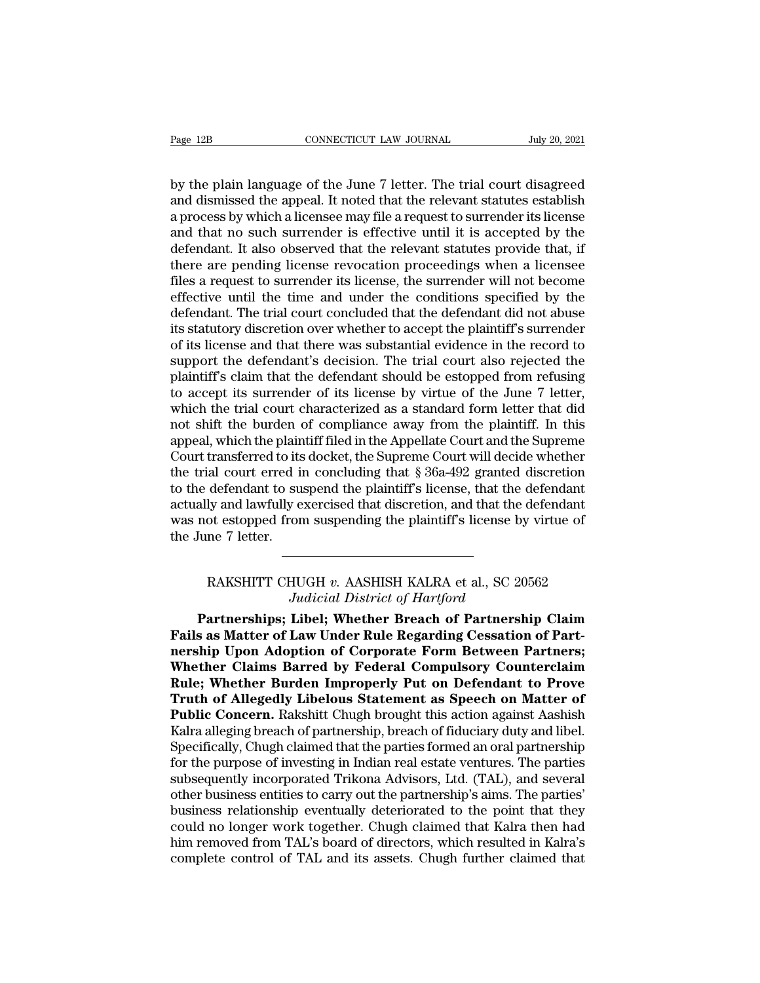Page 12B CONNECTICUT LAW JOURNAL July 20, 2021<br>by the plain language of the June 7 letter. The trial court disagreed<br>and dismissed the appeal. It noted that the relevant statutes establish<br>a process by which a license may Page 12B CONNECTICUT LAW JOURNAL July 20, 2021<br>by the plain language of the June 7 letter. The trial court disagreed<br>and dismissed the appeal. It noted that the relevant statutes establish<br>a process by which a licensee may Page 12B CONNECTICUT LAW JOURNAL July 20, 2021<br>by the plain language of the June 7 letter. The trial court disagreed<br>and dismissed the appeal. It noted that the relevant statutes establish<br>a process by which a licensee may Page 12B CONNECTICUT LAW JOURNAL July 20, 2021<br>by the plain language of the June 7 letter. The trial court disagreed<br>and dismissed the appeal. It noted that the relevant statutes establish<br>a process by which a licensee may by the plain language of the June 7 letter. The trial court disagreed<br>and dismissed the appeal. It noted that the relevant statutes establish<br>a process by which a licensee may file a request to surrender its license<br>and th by the plain language of the June 7 letter. The trial court disagreed<br>and dismissed the appeal. It noted that the relevant statutes establish<br>a process by which a licensee may file a request to surrender its license<br>and th by the plain language of the June 7 letter. The trial court disagreed<br>and dismissed the appeal. It noted that the relevant statutes establish<br>a process by which a licensee may file a request to surrender its license<br>and th and dismissed the appeal. It noted that the relevant statutes establish<br>a process by which a licensee may file a request to surrender its license<br>and that no such surrender is effective until it is accepted by the<br>defendan a process by which a licensee may file a request to surrender its license<br>and that no such surrender is effective until it is accepted by the<br>defendant. It also observed that the relevant statutes provide that, if<br>there ar and that no such surrender is effective until it is accepted by the defendant. It also observed that the relevant statutes provide that, if there are pending license revocation proceedings when a licensee files a request t defendant. It also observed that the relevant statutes provide that, if<br>there are pending license revocation proceedings when a licensee<br>files a request to surrender its license, the surrender will not become<br>effective unt there are pending license revocation proceedings when a licensee<br>files a request to surrender its license, the surrender will not become<br>effective until the time and under the conditions specified by the<br>defendant. The tri files a request to surrender its license, the surrender will not become<br>effective until the time and under the conditions specified by the<br>defendant. The trial court concluded that the defendant did not abuse<br>its statutory effective until the time and under the conditions specified by the defendant. The trial court concluded that the defendant did not abuse its statutory discretion over whether to accept the plaintiff's surrender of its lice defendant. The trial court concluded that the defendant did not abuse<br>its statutory discretion over whether to accept the plaintiff's surrender<br>of its license and that there was substantial evidence in the record to<br>suppor its statutory discretion over whether to accept the plaintiff's surrender<br>of its license and that there was substantial evidence in the record to<br>support the defendant's decision. The trial court also rejected the<br>plaintif of its license and that there was substantial evidence in the record to<br>support the defendant's decision. The trial court also rejected the<br>plaintiff's claim that the defendant should be estopped from refusing<br>to accept i support the defendant's decision. The trial court also rejected the plaintiff's claim that the defendant should be estopped from refusing to accept its surrender of its license by virtue of the June 7 letter, which the tri plaintiff's claim that the defendant should be estopped from refusing<br>to accept its surrender of its license by virtue of the June 7 letter,<br>which the trial court characterized as a standard form letter that did<br>not shift to accept its surrender of its license by virtue of the June 7 letter,<br>which the trial court characterized as a standard form letter that did<br>not shift the burden of compliance away from the plaintiff. In this<br>appeal, whic which the trial court characterized as a standard form letter that did<br>not shift the burden of compliance away from the plaintiff. In this<br>appeal, which the plaintiff filed in the Appellate Court and the Supreme<br>Court tran not shift the burden of compliance away from the plaintiff. In this appeal, which the plaintiff filed in the Appellate Court and the Supreme Court transferred to its docket, the Supreme Court will decide whether the trial appeal, which the plain<br>Court transferred to its<br>the trial court erred in<br>to the defendant to su<br>actually and lawfully e<br>was not estopped from<br>the June 7 letter. defendant to suspend the plaintiff's license, that the defendant<br>ly and lawfully exercised that discretion, and that the defendant<br>ot estopped from suspending the plaintiff's license by virtue of<br>me 7 letter.<br>AAKSHITT CHUG *Judicial Distriction, and that the deform suspending the plaintiff's license by*<br>*Judicial District of Hartford*<br>**Libel; Whether Breach of Partnershi** 

not estopped from suspending the plaintiff's license by virtue of<br>
Fune 7 letter.<br> **PAKSHITT CHUGH v. AASHISH KALRA et al., SC 20562**<br> *Judicial District of Hartford*<br> **Partnerships; Libel; Whether Breach of Partnership Cl Factor Assember 2**<br>
FAKSHITT CHUGH v. AASHISH KALRA et al., SC 20562<br> *Judicial District of Hartford*<br> **Partnerships; Libel; Whether Breach of Partnership Claim**<br> **Fails as Matter of Law Under Rule Regarding Cessation of** RAKSHITT CHUGH v. AASHISH KALRA et al., SC 20562<br>
Judicial District of Hartford<br> **Partnerships; Libel; Whether Breach of Partnership Claim**<br> **Fails as Matter of Law Under Rule Regarding Cessation of Part-<br>
nership Upon Ado** RAKSHITT CHUGH v. AASHISH KALRA et al., SC 20562<br>*Judicial District of Hartford*<br>**Partnerships; Libel; Whether Breach of Partnership Claim**<br>**Fails as Matter of Law Under Rule Regarding Cessation of Part-<br>nership Upon Adopt RAKSHITT CHUGH v. AASHISH KALRA et al., SC 20562**<br>*Judicial District of Hartford*<br>**Partnerships; Libel; Whether Breach of Partnership Claim**<br>**Fails as Matter of Law Under Rule Regarding Cessation of Part-<br>nership Upon Ado** *Judicial District of Hartford*<br> **Partnerships; Libel; Whether Breach of Partnership Claim**<br> **Fails as Matter of Law Under Rule Regarding Cessation of Part-**<br> **nership Upon Adoption of Corporate Form Between Partners;**<br> **W Partnerships; Libel; Whether Breach of Partnership Claim**<br>Fails as Matter of Law Under Rule Regarding Cessation of Part-<br>nership Upon Adoption of Corporate Form Between Partners;<br>Whether Claims Barred by Federal Compulsor Fails as Matter of Law Under Rule Regarding Cessation of Part-<br>nership Upon Adoption of Corporate Form Between Partners;<br>Whether Claims Barred by Federal Compulsory Counterclaim<br>Rule; Whether Burden Improperly Put on Defen nership Upon Adoption of Corporate Form Between Partners;<br>Whether Claims Barred by Federal Compulsory Counterclaim<br>Rule; Whether Burden Improperly Put on Defendant to Prove<br>Truth of Allegedly Libelous Statement as Speech o Whether Claims Barred by Federal Compulsory Counterclaim<br>Rule; Whether Burden Improperly Put on Defendant to Prove<br>Truth of Allegedly Libelous Statement as Speech on Matter of<br>Public Concern. Rakshitt Chugh brought this ac Rule; Whether Burden Improperly Put on Defendant to Prove<br>Truth of Allegedly Libelous Statement as Speech on Matter of<br>Public Concern. Rakshitt Chugh brought this action against Aashish<br>Kalra alleging breach of partnership Truth of Allegedly Libelous Statement as Speech on Matter of<br>Public Concern. Rakshitt Chugh brought this action against Aashish<br>Kalra alleging breach of partnership, breach of fiduciary duty and libel.<br>Specifically, Chugh **Public Concern.** Rakshitt Chugh brought this action against Aashish Kalra alleging breach of partnership, breach of fiduciary duty and libel.<br>Specifically, Chugh claimed that the parties formed an oral partnership<br>for the Kalra alleging breach of partnership, breach of fiduciary duty and libel.<br>Specifically, Chugh claimed that the parties formed an oral partnership<br>for the purpose of investing in Indian real estate ventures. The parties<br>sub Specifically, Chugh claimed that the parties formed an oral partnership<br>for the purpose of investing in Indian real estate ventures. The parties<br>subsequently incorporated Trikona Advisors, Ltd. (TAL), and several<br>other bus for the purpose of investing in Indian real estate ventures. The parties subsequently incorporated Trikona Advisors, Ltd. (TAL), and several other business entities to carry out the partnership's aims. The parties' busines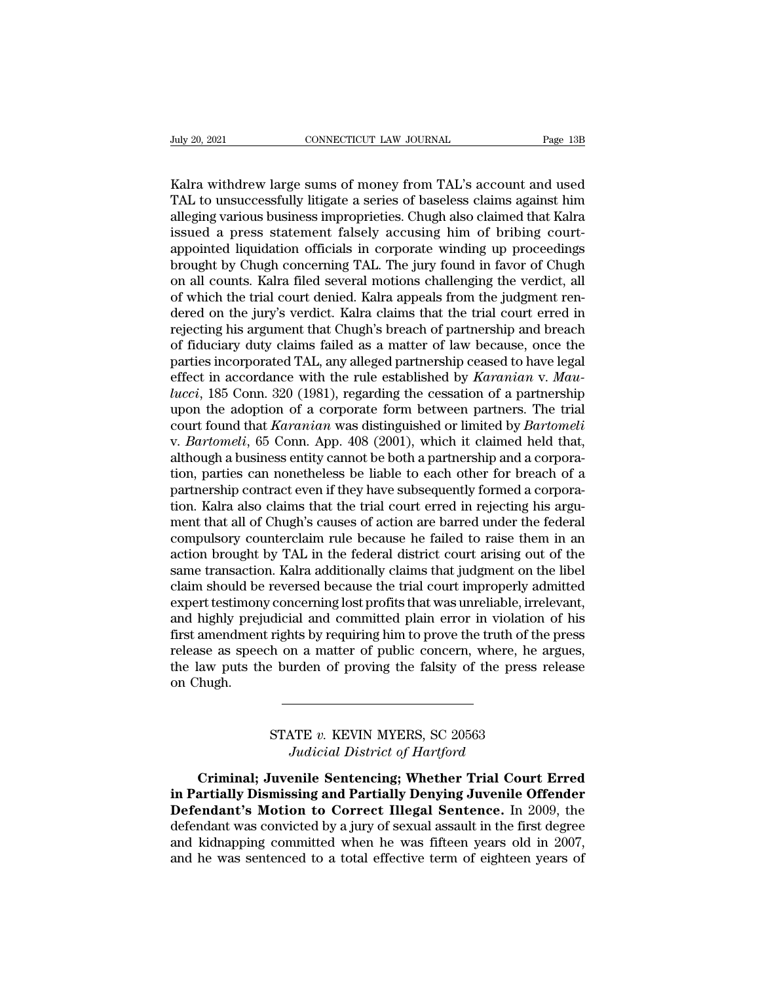Vuly 20, 2021<br>
CONNECTICUT LAW JOURNAL<br>
Kalra withdrew large sums of money from TAL's account and used<br>
TAL to unsuccessfully litigate a series of baseless claims against him<br>
alloging various business impropriaties. Chugh The 20, 2021<br>
The 20, 2021<br>
TAL to unsuccessfully litigate a series of baseless claims against him<br>
TAL to unsuccessfully litigate a series of baseless claims against him<br>
alleging various business improprieties. Chugh als For the 138 connection of the 138 connection of the 138 connection of the 138 connection of the 138 connection of that Kalra and the STAL to unsuccessfully litigate a series of baseless claims against him alleging various July 20, 2021 CONNECTICUT LAW JOURNAL Page 13B<br>
Kalra withdrew large sums of money from TAL's account and used<br>
TAL to unsuccessfully litigate a series of baseless claims against him<br>
alleging various business improprietie Kalra withdrew large sums of money from TAL's account and used<br>TAL to unsuccessfully litigate a series of baseless claims against him<br>alleging various business improprieties. Chugh also claimed that Kalra<br>issued a press st Kalra withdrew large sums of money from TAL's account and used<br>TAL to unsuccessfully litigate a series of baseless claims against him<br>alleging various business improprieties. Chugh also claimed that Kalra<br>issued a press st Kalra withdrew large sums of money from TAL's account and used<br>TAL to unsuccessfully litigate a series of baseless claims against him<br>alleging various business improprieties. Chugh also claimed that Kalra<br>issued a press st TAL to unsuccessfully litigate a series of baseless claims against him alleging various business improprieties. Chugh also claimed that Kalra issued a press statement falsely accusing him of bribing court-<br>appointed liquid alleging various business improprieties. Chugh also claimed that Kalra<br>issued a press statement falsely accusing him of bribing court-<br>appointed liquidation officials in corporate winding up proceedings<br>brought by Chugh co issued a press statement falsely accusing him of bribing court-<br>appointed liquidation officials in corporate winding up proceedings<br>brought by Chugh concerning TAL. The jury found in favor of Chugh<br>on all counts. Kalra fil appointed liquidation officials in corporate winding up proceedings<br>brought by Chugh concerning TAL. The jury found in favor of Chugh<br>on all counts. Kalra filed several motions challenging the verdict, all<br>of which the tri brought by Chugh concerning TAL. The jury found in favor of Chugh<br>on all counts. Kalra filed several motions challenging the verdict, all<br>of which the trial court denied. Kalra appeals from the judgment ren-<br>dered on the j on all counts. Kalra filed several motions challenging the verdict, all<br>of which the trial court denied. Kalra appeals from the judgment ren-<br>dered on the jury's verdict. Kalra claims that the trial court erred in<br>rejectin of which the trial court denied. Kalra appeals from the judgment ren-<br>dered on the jury's verdict. Kalra claims that the trial court erred in<br>rejecting his argument that Chugh's breach of partnership and breach<br>of fiduciar dered on the jury's verdict. Kalra claims that the trial court erred in<br>rejecting his argument that Chugh's breach of partnership and breach<br>of fiduciary duty claims failed as a matter of law because, once the<br>parties inco rejecting his argument that Chugh's breach of partnership and breach<br>of fiduciary duty claims failed as a matter of law because, once the<br>parties incorporated TAL, any alleged partnership ceased to have legal<br>effect in acc of fiduciary duty claims failed as a matter of law because, once the parties incorporated TAL, any alleged partnership ceased to have legal effect in accordance with the rule established by *Karanian* v. *Maulucci*, 185 Co parties incorporated TAL, any alleged partnership ceased to have legal<br>effect in accordance with the rule established by *Karanian* v. *Mau-<br>lucci*, 185 Conn. 320 (1981), regarding the cessation of a partnership<br>upon the a effect in accordance with the rule established by *Karanian* v. *Mau-<br>lucci*, 185 Conn. 320 (1981), regarding the cessation of a partnership<br>upon the adoption of a corporate form between partners. The trial<br>court found tha lucci, 185 Conn. 320 (1981), regarding the cessation of a partnership<br>upon the adoption of a corporate form between partners. The trial<br>court found that *Karanian* was distinguished or limited by *Bartomeli*<br>v. *Bartomeli* upon the adoption of a corporate form between partners. The trial court found that *Karanian* was distinguished or limited by *Bartomeli* v. *Bartomeli*, 65 Conn. App. 408 (2001), which it claimed held that, although a bus court found that *Karanian* was distinguished or limited by *Bartomeli* v. *Bartomeli*, 65 Conn. App. 408 (2001), which it claimed held that, although a business entity cannot be both a partnership and a corporation, parti v. *Bartomeli*, 65 Conn. App. 408 (2001), which it claimed held that, although a business entity cannot be both a partnership and a corporation, parties can nonetheless be liable to each other for breach of a partnership c although a business entity cannot be both a partnership and a corporation, parties can nonetheless be liable to each other for breach of a partnership contract even if they have subsequently formed a corporation. Kalra als tion, parties can nonetheless be liable to each other for breach of a<br>partnership contract even if they have subsequently formed a corpora-<br>tion. Kalra also claims that the trial court erred in rejecting his argu-<br>ment tha partnership contract even if they have subsequently formed a corporation. Kalra also claims that the trial court erred in rejecting his argument that all of Chugh's causes of action are barred under the federal compulsory tion. Kalra also claims that the trial court erred in rejecting his argument that all of Chugh's causes of action are barred under the federal compulsory counterclaim rule because he failed to raise them in an action broug ment that all of Chugh's causes of action are barred under the federal<br>compulsory counterclaim rule because he failed to raise them in an<br>action brought by TAL in the federal district court arising out of the<br>same transact compulsory counterclaim rule because he failed to raise them in an action brought by TAL in the federal district court arising out of the same transaction. Kalra additionally claims that judgment on the libel claim should action brought by TAL in the federal district court arising out of the same transaction. Kalra additionally claims that judgment on the libel claim should be reversed because the trial court improperly admitted expert test same transaction. Kalra additionally claims that judgment on the libel<br>claim should be reversed because the trial court improperly admitted<br>expert testimony concerning lost profits that was unreliable, irrelevant,<br>and high claim should be<br>expert testimon<br>and highly prej<br>first amendmen<br>release as spee<br>the law puts th<br>on Chugh. rights by requiring him to prove the truth of the<br>h on a matter of public concern, where, he a<br>e burden of proving the falsity of the press r<br>STATE v. KEVIN MYERS, SC 20563<br>Judicial District of Hartford In a matter of public concern, where, he<br>Inden of proving the falsity of the press<br>*Judicial District of Hartford*<br>Parile Sentencing; Whether Trial Cour

FIATE *v*. KEVIN MYERS, SC 20563<br> *Judicial District of Hartford*<br> **Criminal; Juvenile Sentencing; Whether Trial Court Erred**<br> **Action to Coure Illogal Sentence, In 2000** the **in Partially Dismissing and Partially Denying Juvenile Sentencing:**<br> **in Partially Dismissing and Partially Denying Juvenile Offender**<br> **Defendant's Motion to Correct Illegal Sentence.** In 2009, the<br>
defendant was convict STATE *v*. KEVIN MYERS, SC 20563<br>Judicial District of Hartford<br>Criminal; Juvenile Sentencing; Whether Trial Court Erred<br>in Partially Dismissing and Partially Denying Juvenile Offender<br>Defendant's Motion to Correct Illegal STATE v. KEVIN MYERS, SC 20563<br>Judicial District of Hartford<br>**Criminal**; Juvenile Sentencing; Whether Trial Court Erred<br>in Partially Dismissing and Partially Denying Juvenile Offender<br>Defendant's Motion to Correct Illegal Final conductions, so assessed<br>In Criminal; Juvenile Sentencing; Whether Trial Court Erred<br>in Partially Dismissing and Partially Denying Juvenile Offender<br>Defendant's Motion to Correct Illegal Sentence. In 2009, the<br>defend **Criminal; Juvenile Sentencing; Whether Trial Court Erred**<br>in Partially Dismissing and Partially Denying Juvenile Offender<br>Defendant's Motion to Correct Illegal Sentence. In 2009, the<br>defendant was convicted by a jury of s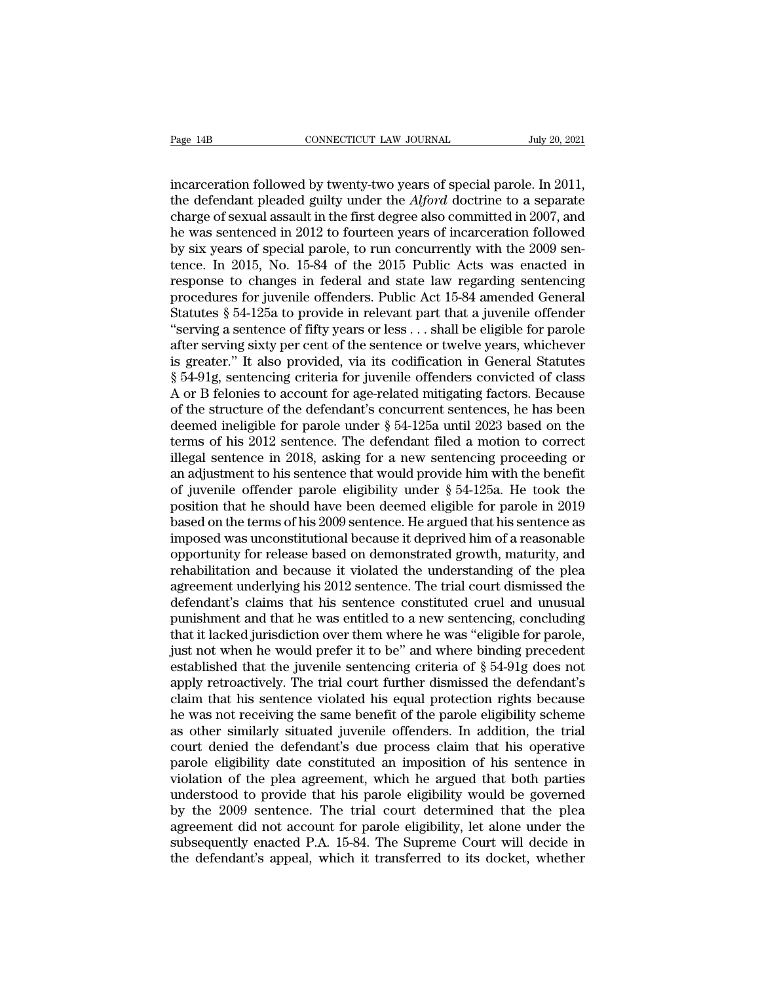Page 14B CONNECTICUT LAW JOURNAL July 20, 2021<br>incarceration followed by twenty-two years of special parole. In 2011,<br>the defendant pleaded guilty under the *Alford* doctrine to a separate<br>charge of soxual assault in the f The defendant pleaded guilty under the *Alford* doctrine to a separate<br>charge of sexual assault in the first degree also committed in 2007, and<br>the was soptoneed in 2012 to fourteen wears of incarcoration followed<br>he was s Page 14B<br>
connectricut LAW JOURNAL<br>
incarceration followed by twenty-two years of special parole. In 2011,<br>
the defendant pleaded guilty under the *Alford* doctrine to a separate<br>
charge of sexual assault in the first deg Page 14B **CONNECTICUT LAW JOURNAL** July 20, 2021<br>
incarceration followed by twenty-two years of special parole. In 2011,<br>
the defendant pleaded guilty under the *Alford* doctrine to a separate<br>
charge of sexual assault in incarceration followed by twenty-two years of special parole. In 2011,<br>the defendant pleaded guilty under the *Alford* doctrine to a separate<br>charge of sexual assault in the first degree also committed in 2007, and<br>he was incarceration followed by twenty-two years of special parole. In 2011,<br>the defendant pleaded guilty under the *Alford* doctrine to a separate<br>charge of sexual assault in the first degree also committed in 2007, and<br>he was incarceration followed by twenty-two years of special parole. In 2011,<br>the defendant pleaded guilty under the *Alford* doctrine to a separate<br>charge of sexual assault in the first degree also committed in 2007, and<br>he was the defendant pleaded guilty under the *Alford* doctrine to a separate charge of sexual assault in the first degree also committed in 2007, and he was sentenced in 2012 to fourteen years of incarceration followed by six ye charge of sexual assault in the first degree also committed in 2007, and<br>he was sentenced in 2012 to fourteen years of incarceration followed<br>by six years of special parole, to run concurrently with the 2009 sen-<br>tence. In he was sentenced in 2012 to fourteen years of incarceration followed<br>by six years of special parole, to run concurrently with the 2009 sen-<br>tence. In 2015, No. 15-84 of the 2015 Public Acts was enacted in<br>response to chang by six years of special parole, to run concurrently with the 2009 sentence. In 2015, No. 15-84 of the 2015 Public Acts was enacted in response to changes in federal and state law regarding sentencing procedures for juvenil tence. In 2015, No. 15-84 of the 2015 Public Acts was enacted in response to changes in federal and state law regarding sentencing procedures for juvenile offenders. Public Act 15-84 amended General Statutes § 54-125a to p response to changes in federal and state law regarding sentencing<br>procedures for juvenile offenders. Public Act 15-84 amended General<br>Statutes § 54-125a to provide in relevant part that a juvenile offender<br>"serving a sente procedures for juvenile offenders. Public Act 15-84 amended General<br>Statutes § 54-125a to provide in relevant part that a juvenile offender<br>"serving a sentence of fifty years or less . . . shall be eligible for parole<br>aft Statutes § 54-125a to provide in relevant part that a juvenile offender<br>"serving a sentence of fifty years or less . . . shall be eligible for parole<br>after serving sixty per cent of the sentence or twelve years, whichever "serving a sentence of fifty years or less . . . shall be eligible for parole<br>after serving sixty per cent of the sentence or twelve years, whichever<br>is greater." It also provided, via its codification in General Statutes after serving sixty per cent of the sentence or twelve years, whichever<br>is greater." It also provided, via its codification in General Statutes<br>§ 54-91g, sentencing criteria for juvenile offenders convicted of class<br>A or B is greater." It also provided, via its codification in General Statutes  $\S$  54-91g, sentencing criteria for juvenile offenders convicted of class A or B felonies to account for age-related mitigating factors. Because of t § 54-91g, sentencing criteria for juvenile offenders convicted of class<br>A or B felonies to account for age-related mitigating factors. Because<br>of the structure of the defendant's concurrent sentences, he has been<br>deemed i A or B felonies to account for age-related mitigating factors. Because<br>of the structure of the defendant's concurrent sentences, he has been<br>deemed ineligible for parole under  $\S 54-125a$  until 2023 based on the<br>terms of of the structure of the defendant's concurrent sentences, he has been<br>deemed ineligible for parole under  $\S 54-125a$  until 2023 based on the<br>terms of his 2012 sentence. The defendant filed a motion to correct<br>illegal sent deemed ineligible for parole under § 54-125a until 2023 based on the<br>terms of his 2012 sentence. The defendant filed a motion to correct<br>illegal sentence in 2018, asking for a new sentencing proceeding or<br>an adjustment to terms of his 2012 sentence. The defendant filed a motion to correct<br>illegal sentence in 2018, asking for a new sentencing proceeding or<br>an adjustment to his sentence that would provide him with the benefit<br>of juvenile offe illegal sentence in 2018, asking for a new sentencing proceeding or<br>an adjustment to his sentence that would provide him with the benefit<br>of juvenile offender parole eligibility under § 54-125a. He took the<br>position that h an adjustment to his sentence that would provide him with the benefit<br>of juvenile offender parole eligibility under  $\S 54-125a$ . He took the<br>position that he should have been deemed eligible for parole in 2019<br>based on th of juvenile offender parole eligibility under § 54-125a. He took the position that he should have been deemed eligible for parole in 2019 based on the terms of his 2009 sentence. He argued that his sentence as imposed was position that he should have been deemed eligible for parole in 2019<br>based on the terms of his 2009 sentence. He argued that his sentence as<br>imposed was unconstitutional because it deprived him of a reasonable<br>opportunity based on the terms of his 2009 sentence. He argued that his sentence as<br>imposed was unconstitutional because it deprived him of a reasonable<br>opportunity for release based on demonstrated growth, maturity, and<br>rehabilitatio imposed was unconstitutional because it deprived him of a reasonable<br>opportunity for release based on demonstrated growth, maturity, and<br>rehabilitation and because it violated the understanding of the plea<br>agreement underl opportunity for release based on demonstrated growth, maturity, and<br>rehabilitation and because it violated the understanding of the plea<br>agreement underlying his 2012 sentence. The trial court dismissed the<br>defendant's cla rehabilitation and because it violated the understanding of the plea<br>agreement underlying his 2012 sentence. The trial court dismissed the<br>defendant's claims that his sentence constituted cruel and unusual<br>punishment and t agreement underlying his 2012 sentence. The trial court dismissed the defendant's claims that his sentence constituted cruel and unusual punishment and that he was entitled to a new sentencing, concluding that it lacked ju defendant's claims that his sentence constituted cruel and unusual<br>punishment and that he was entitled to a new sentencing, concluding<br>that it lacked jurisdiction over them where he was "eligible for parole,<br>just not when punishment and that he was entitled to a new sentencing, concluding<br>that it lacked jurisdiction over them where he was "eligible for parole,<br>just not when he would prefer it to be" and where binding precedent<br>established t that it lacked jurisdiction over them where he was "eligible for parole,<br>just not when he would prefer it to be" and where binding precedent<br>established that the juvenile sentencing criteria of § 54-91g does not<br>apply retr just not when he would prefer it to be" and where binding precedent established that the juvenile sentencing criteria of  $\S$  54-91g does not apply retroactively. The trial court further dismissed the defendant's claim tha established that the juvenile sentencing criteria of § 54-91g does not<br>apply retroactively. The trial court further dismissed the defendant's<br>claim that his sentence violated his equal protection rights because<br>he was not apply retroactively. The trial court further dismissed the defendant's<br>claim that his sentence violated his equal protection rights because<br>he was not receiving the same benefit of the parole eligibility scheme<br>as other si claim that his sentence violated his equal protection rights because<br>he was not receiving the same benefit of the parole eligibility scheme<br>as other similarly situated juvenile offenders. In addition, the trial<br>court denie he was not receiving the same benefit of the parole eligibility scheme<br>as other similarly situated juvenile offenders. In addition, the trial<br>court denied the defendant's due process claim that his operative<br>parole eligib as other similarly situated juvenile offenders. In addition, the trial<br>court denied the defendant's due process claim that his operative<br>parole eligibility date constituted an imposition of his sentence in<br>violation of the court denied the defendant's due process claim that his operative<br>parole eligibility date constituted an imposition of his sentence in<br>violation of the plea agreement, which he argued that both parties<br>understood to provid parole eligibility date constituted an imposition of his sentence in violation of the plea agreement, which he argued that both parties understood to provide that his parole eligibility would be governed by the 2009 senten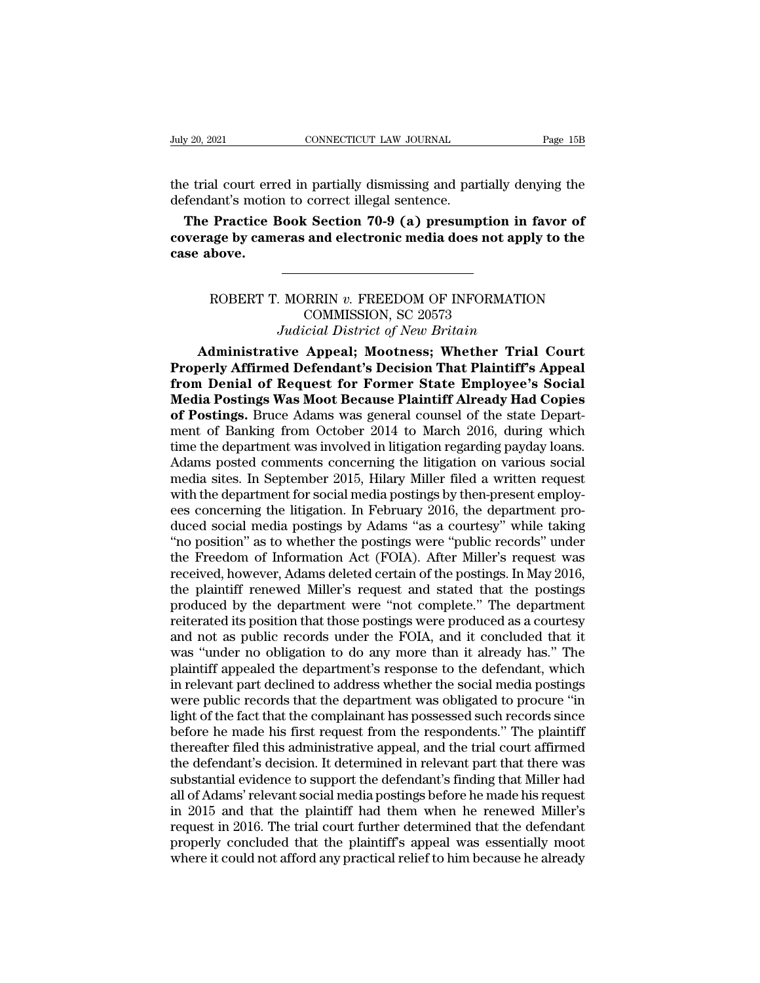Figure 20, 2021<br>the trial court erred in partially dismissing and partially denying the<br>defendant's motion to correct illegal sentence. July 20, 2021 CONNECTICUT LAW JOURNAL<br>the trial court erred in partially dismissing and part<br>defendant's motion to correct illegal sentence.<br>**The Practice Book Section 70-9 (a) presump** 

**The Practice Book Section 70-9 (a) presumption in favor of**<br> **The Practice Book Section 70-9 (a) presumption in favor of**<br> **The Practice Book Section 70-9 (a) presumption in favor of**<br> **The Practice Book Section 70-9 (a) connecticut LAW JOURNAL** Page 15B<br>
the trial court erred in partially dismissing and partially denying the<br>
defendant's motion to correct illegal sentence.<br> **The Practice Book Section 70-9 (a) presumption in favor of<br>
cov** the trial court erredefendant's motion<br> **The Practice B**<br> **coverage by came**<br> **case above.** lant's motion to correct illegal sentence.<br> **Practice Book Section 70-9 (a) presumption in favor of**<br> **age by cameras and electronic media does not apply to the**<br> **hove.**<br> **ROBERT T. MORRIN** *v.* **FREEDOM OF INFORMATION<br>
COM** 

## Expection 70-9 (a) presumption<br>
and electronic media does not a<br>
FREEDOM OF INFORMA<br>
COMMISSION, SC 20573<br>
Content of New Britain **Frame and electronic media does not apply to the finally community of New Britain Judicial District of New Britain (Justine Appeal; Mootness; Whether Trial Company of New Britain (Fig. 1) and the Appeal; Mootness; Whether Above.**<br> **ADDERT T. MORRIN v. FREEDOM OF INFORMATION**<br> **COMMISSION, SC 20573**<br> *Judicial District of New Britain*<br> **Administrative Appeal; Mootness; Whether Trial Court**<br> **Administrative Appeal; Mootness; Whether Trial Co**

**Properly Affirm Administrative Appeal; MORRIN v. FREEDOM OF INFORMATION**<br>
COMMISSION, SC 20573<br> *Judicial District of New Britain*<br> **Administrative Appeal; Mootness; Whether Trial Court<br>
Properly Affirmed Defendant's Deci FREEDOM OF INFORMATION**<br>
COMMISSION, SC 20573<br>
Judicial District of New Britain<br> **Administrative Appeal; Mootness; Whether Trial Court<br>
<b>Properly Affirmed Defendant's Decision That Plaintiff's Appeal**<br> **from Denial of Req** ROBERT T. MORRIN v. FREEDOM OF INFORMATION<br>COMMISSION, SC 20573<br>Judicial District of New Britain<br>**Administrative Appeal; Mootness; Whether Trial Court**<br>**Properly Affirmed Defendant's Decision That Plaintiff's Appeal**<br>**from** COMMISSION, SC 20573<br>Judicial District of New Britain<br>**Administrative Appeal; Mootness; Whether Trial Court**<br>**Properly Affirmed Defendant's Decision That Plaintiff's Appeal**<br>**from Denial of Request for Former State Employe** Judicial District of New Britain<br> **Administrative Appeal; Mootness; Whether Trial Court**<br> **Properly Affirmed Defendant's Decision That Plaintiff's Appeal**<br> **from Denial of Request for Former State Employee's Social**<br> **Medi** Administrative Appeal; Mootness; Whether Trial Court<br>Properly Affirmed Defendant's Decision That Plaintiff's Appeal<br>from Denial of Request for Former State Employee's Social<br>Media Postings Was Moot Because Plaintiff Alread **Properly Affirmed Defendant's Decision That Plaintiff's Appeal**<br>from Denial of Request for Former State Employee's Social<br>Media Postings Was Moot Because Plaintiff Already Had Copies<br>of Postings. Bruce Adams was general c from Denial of Request for Former State Employee's Social<br>Media Postings Was Moot Because Plaintiff Already Had Copies<br>of Postings. Bruce Adams was general counsel of the state Depart-<br>ment of Banking from October 2014 to Media Postings Was Moot Because Plaintiff Already Had Copies<br>of Postings. Bruce Adams was general counsel of the state Depart-<br>ment of Banking from October 2014 to March 2016, during which<br>time the department was involved of Postings. Bruce Adams was general counsel of the state Department of Banking from October 2014 to March 2016, during which time the department was involved in litigation regarding payday loans. Adams posted comments con ment of Banking from October 2014 to March 2016, during which<br>time the department was involved in litigation regarding payday loans.<br>Adams posted comments concerning the litigation on various social<br>media sites. In Septemb time the department was involved in litigation regarding payday loans.<br>Adams posted comments concerning the litigation on various social<br>media sites. In September 2015, Hilary Miller filed a written request<br>with the depart Adams posted comments concerning the litigation on various social<br>media sites. In September 2015, Hilary Miller filed a written request<br>with the department for social media postings by then-present employ-<br>ees concerning t media sites. In September 2015, Hilary Miller filed a written request<br>with the department for social media postings by then-present employ-<br>ees concerning the litigation. In February 2016, the department pro-<br>duced social with the department for social media postings by then-present employ-<br>ees concerning the litigation. In February 2016, the department pro-<br>duced social media postings by Adams "as a courtesy" while taking<br>"no position" as ees concerning the litigation. In February 2016, the department produced social media postings by Adams "as a courtesy" while taking "no position" as to whether the postings were "public records" under the Freedom of Infor duced social media postings by Adams "as a courtesy" while taking<br>"no position" as to whether the postings were "public records" under<br>the Freedom of Information Act (FOIA). After Miller's request was<br>received, however, Ad "no position" as to whether the postings were "public records" under<br>the Freedom of Information Act (FOIA). After Miller's request was<br>received, however, Adams deleted certain of the postings. In May 2016,<br>the plaintiff re the Freedom of Information Act (FOIA). After Miller's request was<br>received, however, Adams deleted certain of the postings. In May 2016,<br>the plaintiff renewed Miller's request and stated that the postings<br>produced by the d received, however, Adams deleted certain of the postings. In May 2016,<br>the plaintiff renewed Miller's request and stated that the postings<br>produced by the department were "not complete." The department<br>reiterated its posit the plaintiff renewed Miller's request and stated that the postings<br>produced by the department were "not complete." The department<br>reiterated its position that those postings were produced as a courtesy<br>and not as public r produced by the department were "not complete." The department<br>reiterated its position that those postings were produced as a courtesy<br>and not as public records under the FOIA, and it concluded that it<br>was "under no obliga reiterated its position that those postings were produced as a courtesy<br>and not as public records under the FOIA, and it concluded that it<br>was "under no obligation to do any more than it already has." The<br>plaintiff appeale and not as public records under the FOIA, and it concluded that it was "under no obligation to do any more than it already has." The plaintiff appealed the department's response to the defendant, which in relevant part dec was "under no obligation to do any more than it already has." The plaintiff appealed the department's response to the defendant, which in relevant part declined to address whether the social media postings were public reco plaintiff appealed the department's response to the defendant, which<br>in relevant part declined to address whether the social media postings<br>were public records that the department was obligated to procure "in<br>light of the in relevant part declined to address whether the social media postings<br>were public records that the department was obligated to procure "in<br>light of the fact that the complainant has possessed such records since<br>before he were public records that the department was obligated to procure "in light of the fact that the complainant has possessed such records since before he made his first request from the respondents." The plaintiff thereafter light of the fact that the complainant has possessed such records since<br>before he made his first request from the respondents." The plaintiff<br>thereafter filed this administrative appeal, and the trial court affirmed<br>the de before he made his first request from the respondents." The plaintiff<br>thereafter filed this administrative appeal, and the trial court affirmed<br>the defendant's decision. It determined in relevant part that there was<br>substa thereafter filed this administrative appeal, and the trial court affirmed<br>the defendant's decision. It determined in relevant part that there was<br>substantial evidence to support the defendant's finding that Miller had<br>all the defendant's decision. It determined in relevant part that there was substantial evidence to support the defendant's finding that Miller had all of Adams' relevant social media postings before he made his request in 201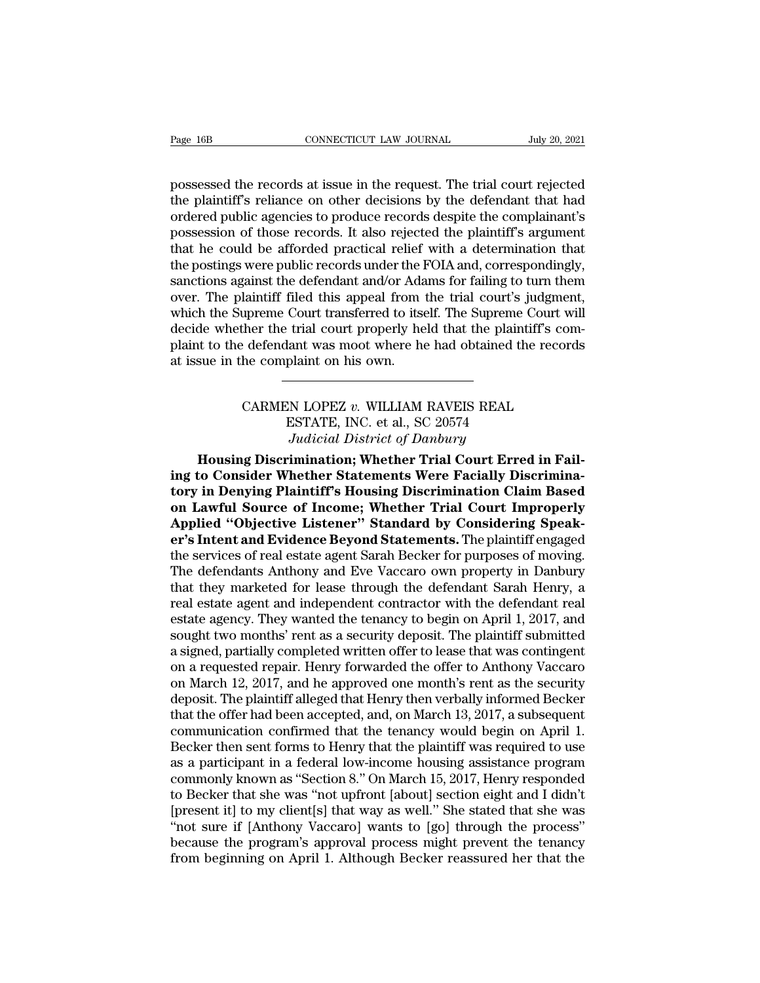Page 16B<br>
CONNECTICUT LAW JOURNAL<br>
possessed the records at issue in the request. The trial court rejected<br>
the plaintiff's reliance on other decisions by the defendant that had<br>
ordered public agoncies to produce records The plaintiff's reliance on other decisions by the defendant that had ordered public agencies to produce records despite the complainant's processes of these records. It also rejected the plaintiff's exament Page 16B CONNECTICUT LAW JOURNAL July 20, 2021<br>possessed the records at issue in the request. The trial court rejected<br>the plaintiff's reliance on other decisions by the defendant that had<br>ordered public agencies to produc Page 16B CONNECTICUT LAW JOURNAL July 20, 2021<br>possessed the records at issue in the request. The trial court rejected<br>the plaintiff's reliance on other decisions by the defendant that had<br>ordered public agencies to produc possessed the records at issue in the request. The trial court rejected<br>the plaintiff's reliance on other decisions by the defendant that had<br>ordered public agencies to produce records despite the complainant's<br>possession possessed the records at issue in the request. The trial court rejected<br>the plaintiff's reliance on other decisions by the defendant that had<br>ordered public agencies to produce records despite the complainant's<br>possession possessed the records at issue in the request. The trial court rejected<br>the plaintiff's reliance on other decisions by the defendant that had<br>ordered public agencies to produce records despite the complainant's<br>possession the plaintiff's reliance on other decisions by the defendant that had<br>ordered public agencies to produce records despite the complainant's<br>possession of those records. It also rejected the plaintiff's argument<br>that he coul ordered public agencies to produce records despite the complainant's<br>possession of those records. It also rejected the plaintiff's argument<br>that he could be afforded practical relief with a determination that<br>the postings possession of those records. It also rejected the plaintiff's argument<br>that he could be afforded practical relief with a determination that<br>the postings were public records under the FOIA and, correspondingly,<br>sanctions ag that he could be afforded practical relief with a determination that<br>the postings were public records under the FOIA and, correspondingly,<br>sanctions against the defendant and/or Adams for failing to turn them<br>over. The pla the postings were public records under the l<br>sanctions against the defendant and/or Ada<br>over. The plaintiff filed this appeal from<br>which the Supreme Court transferred to its<br>decide whether the trial court properly he<br>plain upreme Court transferred to itself. The Supreme Court will<br>ther the trial court properly held that the plaintiff's com-<br>edendant was moot where he had obtained the records<br>he complaint on his own.<br>CARMEN LOPEZ *v.* WILLIAM Example 1: trial court properly held that the plaint<br>dant was moot where he had obtained the plaint on his own.<br>ESTATE, INC. et al., SC 20574<br>Judicial District of Danbury

# ant was moot where he had obtained the<br>
plaint on his own.<br> *N* LOPEZ v. WILLIAM RAVEIS REAL<br>
ESTATE, INC. et al., SC 20574<br> *Judicial District of Danbury*<br> **imination; Whether Trial Court Erred**

**Housing Discrimination; Whether Statements Were Facially Discrimination; Properties Algents Consider Whether Statements Were Facially Discrimination; Properties Algents Consider Whether Statements Were Facially Discrimina** CARMEN LOPEZ v. WILLIAM RAVEIS REAL<br>
ESTATE, INC. et al., SC 20574<br>
Judicial District of Danbury<br> **ing to Consider Whether Statements Were Facially Discrimina-**<br> **ing to Consider Whether Statements Were Facially Discrimina** CARMEN LOPEZ v. WILLIAM RAVEIS REAL<br>
ESTATE, INC. et al., SC 20574<br>
Judicial District of Danbury<br> **Housing Discrimination; Whether Trial Court Erred in Fail-<br>
ing to Consider Whether Statements Were Facially Discrimina-<br>
t** CARMEN LOPEZ v. WILLIAM RAVEIS REAL<br>
ESTATE, INC. et al., SC 20574<br>
Judicial District of Danbury<br> **Housing Discrimination; Whether Trial Court Erred in Fail-<br>
ing to Consider Whether Statements Were Facially Discrimina-<br>
t** ESTATE, INC. et al., SC 20574<br>*Judicial District of Danbury*<br>**Housing Discrimination; Whether Trial Court Erred in Fail-<br>ing to Consider Whether Statements Were Facially Discrimina-<br>tory in Denying Plaintiff's Housing Disc** *Judicial District of Danbury*<br> **error Housing Discrimination; Whether Trial Court Erred in Fail-<br>
ing to Consider Whether Statements Were Facially Discrimina-<br>
tory in Denying Plaintiff's Housing Discrimination Claim Base** Housing Discrimination; Whether Trial Court Erred in Fail-<br>ing to Consider Whether Statements Were Facially Discrimina-<br>tory in Denying Plaintiff's Housing Discrimination Claim Based<br>on Lawful Source of Income; Whether Tri ing to Consider Whether Statements Were Facially Discrimina-<br>tory in Denying Plaintiff's Housing Discrimination Claim Based<br>on Lawful Source of Income; Whether Trial Court Improperly<br>Applied "Objective Listener" Standard b tory in Denying Plaintiff's Housing Discrimination Claim Based<br>on Lawful Source of Income; Whether Trial Court Improperly<br>Applied "Objective Listener" Standard by Considering Speak-<br>er's Intent and Evidence Beyond Statemen on Lawful Source of Income; Whether Trial Court Improperly<br>Applied "Objective Listener" Standard by Considering Speak-<br>er's Intent and Evidence Beyond Statements. The plaintiff engaged<br>the services of real estate agent Sar Applied "Objective Listener" Standard by Considering Speaker's Intent and Evidence Beyond Statements. The plaintiff engaged the services of real estate agent Sarah Becker for purposes of moving. The defendants Anthony and er's Intent and Evidence Beyond Statements. The plaintiff engaged<br>the services of real estate agent Sarah Becker for purposes of moving.<br>The defendants Anthony and Eve Vaccaro own property in Danbury<br>that they marketed for the services of real estate agent Sarah Becker for purposes of moving.<br>The defendants Anthony and Eve Vaccaro own property in Danbury<br>that they marketed for lease through the defendant Sarah Henry, a<br>real estate agency. Th The defendants Anthony and Eve Vaccaro own property in Danbury<br>that they marketed for lease through the defendant Sarah Henry, a<br>real estate agent and independent contractor with the defendant real<br>estate agency. They want that they marketed for lease through the defendant Sarah Henry, a<br>real estate agent and independent contractor with the defendant real<br>estate agency. They wanted the tenancy to begin on April 1, 2017, and<br>sought two months real estate agent and independent contractor with the defendant real<br>estate agency. They wanted the tenancy to begin on April 1, 2017, and<br>sought two months' rent as a security deposit. The plaintiff submitted<br>a signed, pa estate agency. They wanted the tenancy to begin on April 1, 2017, and<br>sought two months' rent as a security deposit. The plaintiff submitted<br>a signed, partially completed written offer to lease that was contingent<br>on a req sought two months' rent as a security deposit. The plaintiff submitted<br>a signed, partially completed written offer to lease that was contingent<br>on a requested repair. Henry forwarded the offer to Anthony Vaccaro<br>on March 1 a signed, partially completed written offer to lease that was contingent<br>on a requested repair. Henry forwarded the offer to Anthony Vaccaro<br>on March 12, 2017, and he approved one month's rent as the security<br>deposit. The on a requested repair. Henry forwarded the offer to Anthony Vaccaro<br>on March 12, 2017, and he approved one month's rent as the security<br>deposit. The plaintiff alleged that Henry then verbally informed Becker<br>that the offer on March 12, 2017, and he approved one month's rent as the security<br>deposit. The plaintiff alleged that Henry then verbally informed Becker<br>that the offer had been accepted, and, on March 13, 2017, a subsequent<br>communicati deposit. The plaintiff alleged that Henry then verbally informed Becker<br>that the offer had been accepted, and, on March 13, 2017, a subsequent<br>communication confirmed that the tenancy would begin on April 1.<br>Becker then se that the offer had been accepted, and, on March 13, 2017, a subsequent<br>communication confirmed that the tenancy would begin on April 1.<br>Becker then sent forms to Henry that the plaintiff was required to use<br>as a participan communication confirmed that the tenancy would begin on April 1.<br>Becker then sent forms to Henry that the plaintiff was required to use<br>as a participant in a federal low-income housing assistance program<br>commonly known as Becker then sent forms to Henry that the plaintiff was required to use<br>as a participant in a federal low-income housing assistance program<br>commonly known as "Section 8." On March 15, 2017, Henry responded<br>to Becker that sh as a participant in a federal low-income housing assistance program<br>commonly known as "Section 8." On March 15, 2017, Henry responded<br>to Becker that she was "not upfront [about] section eight and I didn't<br>[present it] to m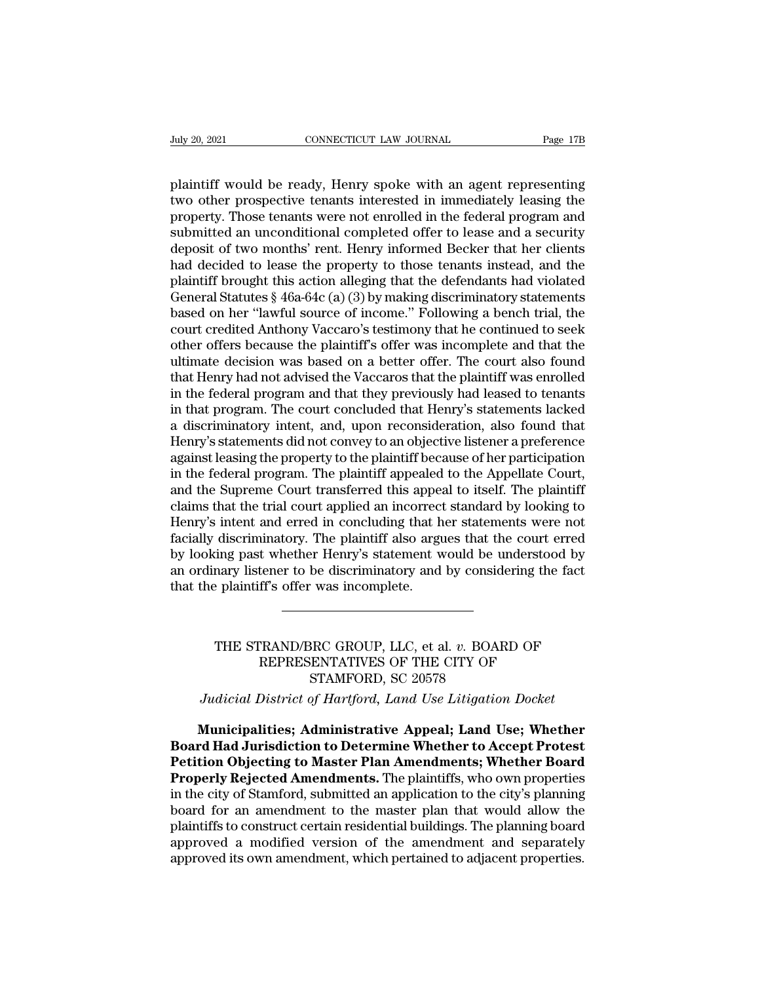Puly 20, 2021<br> **EXECUTE CONNECTICUT LAW JOURNAL**<br>
Page 17B<br>
plaintiff would be ready, Henry spoke with an agent representing<br>
two other prospective tenants interested in immediately leasing the<br>
property. These tenants wer the prospective tenants interested in immediately leasing the property. Those tenants were not enrolled in the federal program and submitted an unconditional completed offer to logo and a socurity. property. Those tenants were not enrolled in the federal program and submitted an unconditional completed offer to lease and a security denotes the federal program and submitted an unconditional completed offer to lease an Fuly 20, 2021 CONNECTICUT LAW JOURNAL Page 17B<br>plaintiff would be ready, Henry spoke with an agent representing<br>two other prospective tenants interested in immediately leasing the<br>property. Those tenants were not enrolled plaintiff would be ready, Henry spoke with an agent representing<br>two other prospective tenants interested in immediately leasing the<br>property. Those tenants were not enrolled in the federal program and<br>submitted an uncondi plaintiff would be ready, Henry spoke with an agent representing<br>two other prospective tenants interested in immediately leasing the<br>property. Those tenants were not enrolled in the federal program and<br>submitted an uncondi plaintiff would be ready, Henry spoke with an agent representing<br>two other prospective tenants interested in immediately leasing the<br>property. Those tenants were not enrolled in the federal program and<br>submitted an uncondi two other prospective tenants interested in immediately leasing the<br>property. Those tenants were not enrolled in the federal program and<br>submitted an unconditional completed offer to lease and a security<br>deposit of two mon property. Those tenants were not enrolled in the federal program and<br>submitted an unconditional completed offer to lease and a security<br>deposit of two months' rent. Henry informed Becker that her clients<br>had decided to lea submitted an unconditional completed offer to lease and a security<br>deposit of two months' rent. Henry informed Becker that her clients<br>had decided to lease the property to those tenants instead, and the<br>plaintiff brought t deposit of two months' rent. Henry informed Becker that her clients<br>had decided to lease the property to those tenants instead, and the<br>plaintiff brought this action alleging that the defendants had violated<br>General Statut had decided to lease the property to those tenants instead, and the plaintiff brought this action alleging that the defendants had violated General Statutes § 46a-64c (a) (3) by making discriminatory statements based on he plaintiff brought this action alleging that the defendants had violated<br>General Statutes § 46a-64c (a) (3) by making discriminatory statements<br>based on her "lawful source of income." Following a bench trial, the<br>court cred General Statutes § 46a-64c (a) (3) by making discriminatory statements<br>based on her "lawful source of income." Following a bench trial, the<br>court credited Anthony Vaccaro's testimony that he continued to seek<br>other offers based on her "lawful source of income." Following a bench trial, the<br>court credited Anthony Vaccaro's testimony that he continued to seek<br>other offers because the plaintiff's offer was incomplete and that the<br>ultimate deci court credited Anthony Vaccaro's testimony that he continued to seek<br>other offers because the plaintiff's offer was incomplete and that the<br>ultimate decision was based on a better offer. The court also found<br>that Henry had other offers because the plaintiff's offer was incomplete and that the ultimate decision was based on a better offer. The court also found that Henry had not advised the Vaccaros that the plaintiff was enrolled in the fede ultimate decision was based on a better offer. The court also found<br>that Henry had not advised the Vaccaros that the plaintiff was enrolled<br>in the federal program and that they previously had leased to tenants<br>in that prog that Henry had not advised the Vaccaros that the plaintiff was enrolled<br>in the federal program and that they previously had leased to tenants<br>in that program. The court concluded that Henry's statements lacked<br>a discrimina in the federal program and that they previously had leased to tenants<br>in that program. The court concluded that Henry's statements lacked<br>a discriminatory intent, and, upon reconsideration, also found that<br>Henry's statemen in that program. The court concluded that Henry's statements lacked<br>a discriminatory intent, and, upon reconsideration, also found that<br>Henry's statements did not convey to an objective listener a preference<br>against leasin a discriminatory intent, and, upon reconsideration, also found that<br>Henry's statements did not convey to an objective listener a preference<br>against leasing the property to the plaintiff because of her participation<br>in the Henry's statements did not convey to an objective listener a preference<br>against leasing the property to the plaintiff because of her participation<br>in the federal program. The plaintiff appealed to the Appellate Court,<br>and against leasing the property to the plaintiff because of her participation<br>in the federal program. The plaintiff appealed to the Appellate Court,<br>and the Supreme Court transferred this appeal to itself. The plaintiff<br>claim in the federal program. The plaintiff appealed to the Appellate Court, and the Supreme Court transferred this appeal to itself. The plaintiff claims that the trial court applied an incorrect standard by looking to Henry's and the Supreme Court transferred this appear claims that the trial court applied an incorrect Henry's intent and erred in concluding that h<br>facially discriminatory. The plaintiff also arge by looking past whether Henry's The statement would be understood by<br>
mary listener to be discriminatory and by considering the fact<br>
Fact plaintiff's offer was incomplete.<br>
THE STRAND/BRC GROUP, LLC, et al. *v.* BOARD OF<br>
REPRESENTATIVES OF THE CITY OF<br>

## Experiment to be discriminatory and by considering the fa<br>ff's offer was incomplete.<br>TRAND/BRC GROUP, LLC, et al. v. BOARD OF<br>REPRESENTATIVES OF THE CITY OF<br>STAMFORD, SC 20578 Note that the set of the set of the SRC GROUP, LLC, et al. v. BOAR<br>SRC GROUP, LLC, et al. v. BOAR<br>STAMFORD, SC 20578<br>STAMFORD, SC 20578<br>Of Hartford, Land Use Litigation **JUDICITY OF THE STRAND/BRC GROUP, LLC, et al. v. BOARD OF REPRESENTATIVES OF THE CITY OF STAMFORD, SC 20578**<br>*Judicial District of Hartford, Land Use Litigation Docket*<br>**Municipalities: Administrative Anneal: Land Use: Wh** THE STRAND/BRC GROUP, LLC, et al. v. BOARD OF<br>
REPRESENTATIVES OF THE CITY OF<br>
STAMFORD, SC 20578<br>
Judicial District of Hartford, Land Use Litigation Docket<br> **Municipalities; Administrative Appeal; Land Use; Whether**<br> **Mun**

THE STRAND/BRC GROUP, LLC, et al. v. BOARD OF<br>
REPRESENTATIVES OF THE CITY OF<br>
STAMFORD, SC 20578<br>
Judicial District of Hartford, Land Use Litigation Docket<br> **Municipalities: Administrative Appeal; Land Use; Whether<br>
Board PEPRESENTATIVES OF THE CITY OF**<br> **PERIMPORD, SC 20578**<br> *Pudicial District of Hartford, Land Use Litigation Docket*<br> **Municipalities; Administrative Appeal; Land Use; Whether Board Had Jurisdiction to Determine Whether to** STAMFORD, SC 20578<br> *Judicial District of Hartford, Land Use Litigation Docket*<br> **Municipalities: Administrative Appeal; Land Use; Whether<br>
Board Had Jurisdiction to Determine Whether to Accept Protest<br>
Petition Objecting** Judicial District of Hartford, Land Use Litigation Docket<br> **Municipalities; Administrative Appeal; Land Use; Whether**<br> **Board Had Jurisdiction to Determine Whether to Accept Protest**<br> **Petition Objecting to Master Plan Ame** Municipalities; Administrative Appeal; Land Use; Whether<br>Board Had Jurisdiction to Determine Whether to Accept Protest<br>Petition Objecting to Master Plan Amendments; Whether Board<br>Properly Rejected Amendments. The plaintiff Municipalities; Administrative Appeal; Land Use; Whether<br>Board Had Jurisdiction to Determine Whether to Accept Protest<br>Petition Objecting to Master Plan Amendments; Whether Board<br>Properly Rejected Amendments. The plaintiff **Board Had Jurisdiction to Determine Whether to Accept Protest**<br>**Petition Objecting to Master Plan Amendments; Whether Board**<br>**Properly Rejected Amendments.** The plaintiffs, who own properties<br>in the city of Stamford, subm **Petition Objecting to Master Plan Amendments; Whether Board Properly Rejected Amendments.** The plaintiffs, who own properties in the city of Stamford, submitted an application to the city's planning board for an amendment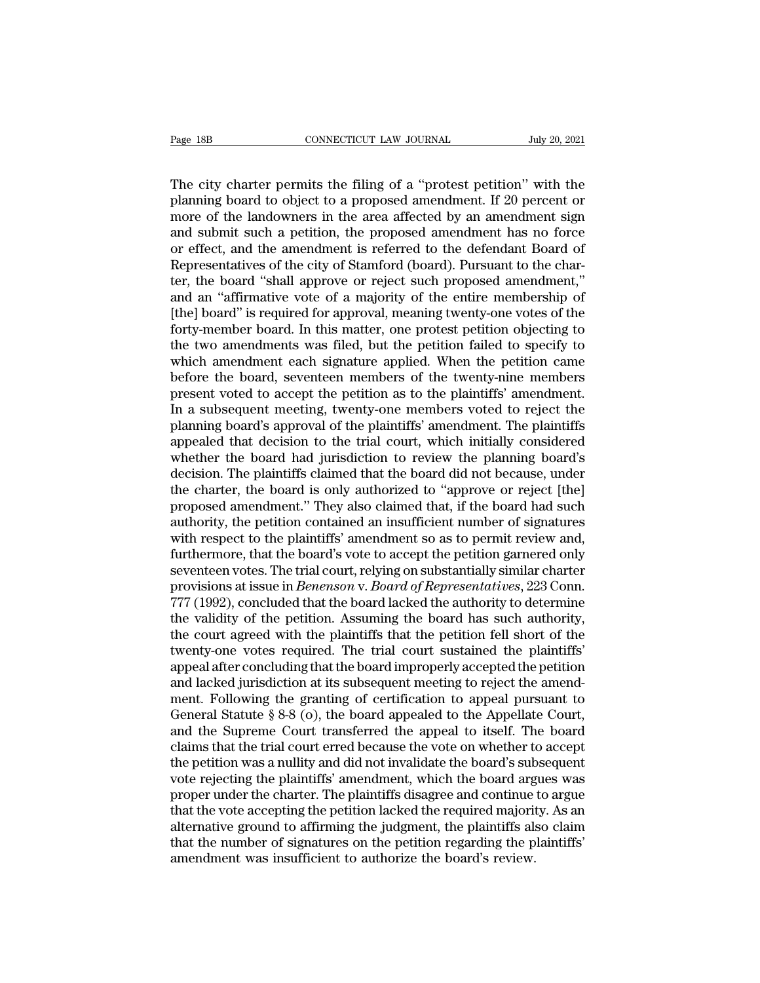Page 18B CONNECTICUT LAW JOURNAL July 20, 2021<br>The city charter permits the filing of a "protest petition" with the<br>planning board to object to a proposed amendment. If 20 percent or<br>more of the landowners in the area affe Page 18B CONNECTICUT LAW JOURNAL July 20, 2021<br>The city charter permits the filing of a "protest petition" with the<br>planning board to object to a proposed amendment. If 20 percent or<br>more of the landowners in the area affe Page 18B CONNECTICUT LAW JOURNAL July 20, 2021<br>The city charter permits the filing of a "protest petition" with the<br>planning board to object to a proposed amendment. If 20 percent or<br>more of the landowners in the area affe Page 18B **CONNECTICUT LAW JOURNAL** July 20, 2021<br>
The city charter permits the filing of a "protest petition" with the<br>
planning board to object to a proposed amendment. If 20 percent or<br>
more of the landowners in the are The city charter permits the filing of a "protest petition" with the planning board to object to a proposed amendment. If 20 percent or more of the landowners in the area affected by an amendment sign and submit such a pet The city charter permits the filing of a "protest petition" with the planning board to object to a proposed amendment. If 20 percent or more of the landowners in the area affected by an amendment sign and submit such a pet The city charter permits the filing of a "protest petition" with the planning board to object to a proposed amendment. If 20 percent or more of the landowners in the area affected by an amendment sign and submit such a pet planning board to object to a proposed amendment. If 20 percent or<br>more of the landowners in the area affected by an amendment sign<br>and submit such a petition, the proposed amendment has no force<br>or effect, and the amendme more of the landowners in the area affected by an amendment sign<br>and submit such a petition, the proposed amendment has no force<br>or effect, and the amendment is referred to the defendant Board of<br>Representatives of the cit and submit such a petition, the proposed amendment has no force<br>or effect, and the amendment is referred to the defendant Board of<br>Representatives of the city of Stamford (board). Pursuant to the char-<br>ter, the board "shal or effect, and the amendment is referred to the defendant Board of<br>Representatives of the city of Stamford (board). Pursuant to the char-<br>ter, the board "shall approve or reject such proposed amendment,"<br>and an "affirmativ Representatives of the city of Stamford (board). Pursuant to the charter, the board "shall approve or reject such proposed amendment," and an "affirmative vote of a majority of the entire membership of [the] board" is requ ter, the board "shall approve or reject such proposed amendment,"<br>and an "affirmative vote of a majority of the entire membership of<br>[the] board" is required for approval, meaning twenty-one votes of the<br>forty-member board and an "affirmative vote of a majority of the entire membership of [the] board" is required for approval, meaning twenty-one votes of the forty-member board. In this matter, one protest petition objecting to the two amendm [the] board" is required for approval, meaning twenty-one votes of the forty-member board. In this matter, one protest petition objecting to the two amendments was filed, but the petition failed to specify to which amendme forty-member board. In this matter, one protest petition objecting to<br>the two amendments was filed, but the petition failed to specify to<br>which amendment each signature applied. When the petition came<br>before the board, sev the two amendments was filed, but the petition failed to specify to which amendment each signature applied. When the petition came before the board, seventeen members of the twenty-nine members present voted to accept the which amendment each signature applied. When the petition came<br>before the board, seventeen members of the twenty-nine members<br>present voted to accept the petition as to the plaintiffs' amendment.<br>In a subsequent meeting, t before the board, seventeen members of the twenty-nine members<br>present voted to accept the petition as to the plaintiffs' amendment.<br>In a subsequent meeting, twenty-one members voted to reject the<br>planning board's approval present voted to accept the petition as to the plaintiffs' amendment.<br>In a subsequent meeting, twenty-one members voted to reject the<br>planning board's approval of the plaintiffs' amendment. The plaintiffs<br>appealed that dec In a subsequent meeting, twenty-one members voted to reject the planning board's approval of the plaintiffs' amendment. The plaintiffs appealed that decision to the trial court, which initially considered whether the board planning board's approval of the plaintiffs' amendment. The plaintiffs<br>appealed that decision to the trial court, which initially considered<br>whether the board had jurisdiction to review the planning board's<br>decision. The p appealed that decision to the trial court, which initially considered<br>whether the board had jurisdiction to review the planning board's<br>decision. The plaintiffs claimed that the board did not because, under<br>the charter, th whether the board had jurisdiction to review the planning board's<br>decision. The plaintiffs claimed that the board did not because, under<br>the charter, the board is only authorized to "approve or reject [the]<br>proposed amendm decision. The plaintiffs claimed that the board did not because, under<br>the charter, the board is only authorized to "approve or reject [the]<br>proposed amendment." They also claimed that, if the board had such<br>authority, the the charter, the board is only authorized to "approve or reject [the]<br>proposed amendment." They also claimed that, if the board had such<br>authority, the petition contained an insufficient number of signatures<br>with respect t proposed amendment." They also claimed that, if the board had such authority, the petition contained an insufficient number of signatures with respect to the plaintiffs' amendment so as to permit review and, furthermore, t authority, the petition contained an insufficient number of signatures<br>with respect to the plaintiffs' amendment so as to permit review and,<br>furthermore, that the board's vote to accept the petition garnered only<br>seventeen with respect to the plaintiffs' amendment so as to permit review and,<br>furthermore, that the board's vote to accept the petition garnered only<br>seventeen votes. The trial court, relying on substantially similar charter<br>provi furthermore, that the board's vote to accept the petition garnered only<br>seventeen votes. The trial court, relying on substantially similar charter<br>provisions at issue in *Benenson* v. *Board of Representatives*, 223 Conn.<br> seventeen votes. The trial court, relying on substantially similar charter<br>provisions at issue in *Benenson v. Board of Representatives*, 223 Conn.<br>777 (1992), concluded that the board lacked the authority to determine<br>the provisions at issue in *Benenson* v. *Board of Representatives*, 223 Conn.<br>777 (1992), concluded that the board lacked the authority to determine<br>the validity of the petition. Assuming the board has such authority,<br>the cou 777 (1992), concluded that the board lacked the authority to determine<br>the validity of the petition. Assuming the board has such authority,<br>the court agreed with the plaintiffs that the petition fell short of the<br>twenty-o the validity of the petition. Assuming the board has such authority,<br>the court agreed with the plaintiffs that the petition fell short of the<br>twenty-one votes required. The trial court sustained the plaintiffs'<br>appeal afte the court agreed with the plaintiffs that the petition fell short of the twenty-one votes required. The trial court sustained the plaintiffs' appeal after concluding that the board improperly accepted the petition and lack twenty-one votes required. The trial court sustained the plaintiffs'<br>appeal after concluding that the board improperly accepted the petition<br>and lacked jurisdiction at its subsequent meeting to reject the amend-<br>ment. Foll appeal after concluding that the board improperly accepted the petition<br>and lacked jurisdiction at its subsequent meeting to reject the amend-<br>ment. Following the granting of certification to appeal pursuant to<br>General Sta and lacked jurisdiction at its subsequent meeting to reject the amendment. Following the granting of certification to appeal pursuant to General Statute § 8-8 (o), the board appealed to the Appellate Court, and the Supreme ment. Following the granting of certification to appeal pursuant to<br>General Statute § 8-8 (o), the board appealed to the Appellate Court,<br>and the Supreme Court transferred the appeal to itself. The board<br>claims that the tr General Statute § 8-8 (o), the board appealed to the Appellate Court,<br>and the Supreme Court transferred the appeal to itself. The board<br>claims that the trial court erred because the vote on whether to accept<br>the petition w and the Supreme Court transferred the appeal to itself. The board<br>claims that the trial court erred because the vote on whether to accept<br>the petition was a nullity and did not invalidate the board's subsequent<br>vote reject claims that the trial court erred because the vote on whether to accept<br>the petition was a nullity and did not invalidate the board's subsequent<br>vote rejecting the plaintiffs' amendment, which the board argues was<br>proper u the petition was a nullity and did not invalidate the board's subvote rejecting the plaintiffs' amendment, which the board arg proper under the charter. The plaintiffs disagree and continue that the vote accepting the peti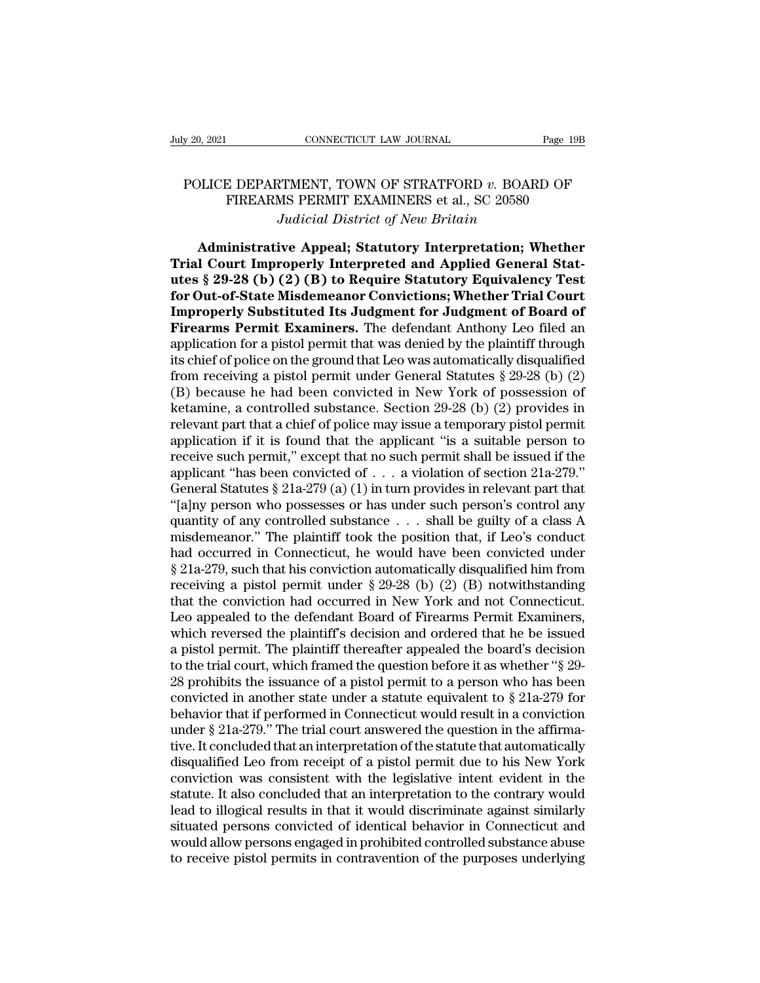## POLICE DEPARTMENT, TOWN OF STRATFORD *v*. BOARD OF FIREARMS PERMIT EXAMINERS et al., SC 20580 CONNECTICUT LAW JOURNAL Page 19B<br>E DEPARTMENT, TOWN OF STRATFORD  $v$ . BOARD OF<br>FIREARMS PERMIT EXAMINERS et al., SC 20580<br>Judicial District of New Britain *Judicial CONNECTICUT LAW JOURNAL* Page 19B<br>
POLICE DEPARTMENT, TOWN OF STRATFORD *v*. BOARD OF<br>
FIREARMS PERMIT EXAMINERS et al., SC 20580<br> *Judicial District of New Britain*<br> **Administrative Appeal; Statutory Interpretat**

PLICE DEPARTMENT, TOWN OF STRATFORD *v*. BOARD OF<br>FIREARMS PERMIT EXAMINERS et al., SC 20580<br>*Judicial District of New Britain*<br>**Administrative Appeal; Statutory Interpretation; Whether**<br>**I Court Improperly Interpreted and POLICE DEPARTMENT, TOWN OF STRATFORD v. BOARD OF**<br>
FIREARMS PERMIT EXAMINERS et al., SC 20580<br> *Judicial District of New Britain*<br> **Administrative Appeal; Statutory Interpretation; Whether<br>
Trial Court Improperly Interpre** POLICE DEPARTMENT, TOWN OF STRATFORD *v*. BOARD OF<br>FIREARMS PERMIT EXAMINERS et al., SC 20580<br>*Judicial District of New Britain*<br>**Administrative Appeal; Statutory Interpretation; Whether<br>Trial Court Improperly Interpreted** FIREARMS PERMIT EXAMINERS et al., SC 20580<br>*Judicial District of New Britain*<br>**Administrative Appeal; Statutory Interpretation; Whether<br>Trial Court Improperly Interpreted and Applied General Stat-<br>utes § 29-28 (b) (2) (B)** *Judicial District of New Britain*<br> **Administrative Appeal; Statutory Interpretation; Whether<br>
Trial Court Improperly Interpreted and Applied General Stat-<br>
utes § 29-28 (b) (2) (B) to Require Statutory Equivalency Test<br>
f Firm Administrative Appeal; Statutory Interpretation; Whether Trial Court Improperly Interpreted and Applied General Statutes § 29-28 (b) (2) (B) to Require Statutory Equivalency Test for Out-of-State Misdemeanor Convicti** Administrative Appeal; Statutory Interpretation; Whether<br>Trial Court Improperly Interpreted and Applied General Stat-<br>utes § 29-28 (b) (2) (B) to Require Statutory Equivalency Test<br>for Out-of-State Misdemeanor Convictions Trial Court Improperly Interpreted and Applied General Stat-<br>utes § 29-28 (b) (2) (B) to Require Statutory Equivalency Test<br>for Out-of-State Misdemeanor Convictions; Whether Trial Court<br>Improperly Substituted Its Judgment utes § 29-28 (b) (2) (B) to Require Statutory Equivalency Test<br>for Out-of-State Misdemeanor Convictions; Whether Trial Court<br>Improperly Substituted Its Judgment for Judgment of Board of<br>Firearms Permit Examiners. The defen for Out-of-State Misdemeanor Convictions; Whether Trial Court<br>Improperly Substituted Its Judgment for Judgment of Board of<br>Firearms Permit Examiners. The defendant Anthony Leo filed an<br>application for a pistol permit that **Improperly Substituted Its Judgment for Judgment of Board of Firearms Permit Examiners.** The defendant Anthony Leo filed an application for a pistol permit that was denied by the plaintiff through its chief of police on **Firearms Permit Examiners.** The defendant Anthony Leo filed an application for a pistol permit that was denied by the plaintiff through its chief of police on the ground that Leo was automatically disqualified from recei application for a pistol permit that was denied by the plaintiff through<br>its chief of police on the ground that Leo was automatically disqualified<br>from receiving a pistol permit under General Statutes § 29-28 (b) (2)<br>(B) b its chief of police on the ground that Leo was automatically disqualified<br>from receiving a pistol permit under General Statutes § 29-28 (b) (2)<br>(B) because he had been convicted in New York of possession of<br>ketamine, a co from receiving a pistol permit under General Statutes § 29-28 (b) (2)<br>
(B) because he had been convicted in New York of possession of<br>
ketamine, a controlled substance. Section 29-28 (b) (2) provides in<br>
relevant part tha (B) because he had been convicted in New York of possession of ketamine, a controlled substance. Section 29-28 (b) (2) provides in relevant part that a chief of police may issue a temporary pistol permit application if it ketamine, a controlled substance. Section 29-28 (b) (2) provides in<br>relevant part that a chief of police may issue a temporary pistol permit<br>application if it is found that the applicant "is a suitable person to<br>receive s relevant part that a chief of police may issue a temporary pistol permit<br>application if it is found that the applicant "is a suitable person to<br>receive such permit," except that no such permit shall be issued if the<br>appli application if it is found that the applicant "is a suitable person to<br>receive such permit," except that no such permit shall be issued if the<br>applicant "has been convicted of  $\ldots$  a violation of section  $21a-279$ ."<br>Gene receive such permit," except that no such permit shall be issued if the<br>applicant "has been convicted of . . . a violation of section 21a-279."<br>General Statutes § 21a-279 (a) (1) in turn provides in relevant part that<br>"[a applicant "has been convicted of . . . a violation of section 21a-279."<br>General Statutes § 21a-279 (a) (1) in turn provides in relevant part that<br>"[a]ny person who possesses or has under such person's control any<br>quantity General Statutes § 21a-279 (a) (1) in turn provides in relevant part that "[a]ny person who possesses or has under such person's control any quantity of any controlled substance . . . shall be guilty of a class A misdemea "[a]ny person who possesses or has under such person's control any<br>quantity of any controlled substance . . . shall be guilty of a class A<br>misdemeanor." The plaintiff took the position that, if Leo's conduct<br>had occurred quantity of any controlled substance  $\ldots$  shall be guilty of a class A misdemeanor." The plaintiff took the position that, if Leo's conduct had occurred in Connecticut, he would have been convicted under  $\S$  21a-279, suc misdemeanor." The plaintiff took the position that, if Leo's conduct<br>had occurred in Connecticut, he would have been convicted under<br> $\S$  21a-279, such that his conviction automatically disqualified him from<br>receiving a pi had occurred in Connecticut, he would have been convicted under  $\S$  21a-279, such that his conviction automatically disqualified him from<br>receiving a pistol permit under  $\S$  29-28 (b) (2) (B) notwithstanding<br>that the conv  $\S$  21a-279, such that his conviction automatically disqualified him from<br>receiving a pistol permit under  $\S$  29-28 (b) (2) (B) notwithstanding<br>that the conviction had occurred in New York and not Connecticut.<br>Leo appeale receiving a pistol permit under  $\S 29-28$  (b) (2) (B) notwithstanding<br>that the conviction had occurred in New York and not Connecticut.<br>Leo appealed to the defendant Board of Firearms Permit Examiners,<br>which reversed the that the conviction had occurred in New York and not Connecticut.<br>Leo appealed to the defendant Board of Firearms Permit Examiners,<br>which reversed the plaintiff's decision and ordered that he be issued<br>a pistol permit. Th Leo appealed to the defendant Board of Firearms Permit Examiners,<br>which reversed the plaintiff's decision and ordered that he be issued<br>a pistol permit. The plaintiff thereafter appealed the board's decision<br>to the trial which reversed the plaintiff's decision and ordered that he be issued<br>a pistol permit. The plaintiff thereafter appealed the board's decision<br>to the trial court, which framed the question before it as whether "§ 29-<br>28 pr a pistol permit. The plaintiff thereafter appealed the board's decision<br>to the trial court, which framed the question before it as whether "§ 29-<br>28 prohibits the issuance of a pistol permit to a person who has been<br>convic to the trial court, which framed the question before it as whether "§ 29-<br>28 prohibits the issuance of a pistol permit to a person who has been<br>convicted in another state under a statute equivalent to § 21a-279 for<br>behavi 28 prohibits the issuance of a pistol permit to a person who has been convicted in another state under a statute equivalent to  $\S 21a-279$  for behavior that if performed in Connecticut would result in a conviction under convicted in another state under a statute equivalent to  $\S$  21a-279 for<br>behavior that if performed in Connecticut would result in a conviction<br>under  $\S$  21a-279." The trial court answered the question in the affirma-<br>tiv behavior that if performed in Connecticut would result in a conviction<br>under § 21a-279." The trial court answered the question in the affirma-<br>tive. It concluded that an interpretation of the statute that automatically<br>dis under § 21a-279." The trial court answered the question in the affirmative. It concluded that an interpretation of the statute that automatically disqualified Leo from receipt of a pistol permit due to his New York convict tive. It concluded that an interpretation of the statute that automatically disqualified Leo from receipt of a pistol permit due to his New York conviction was consistent with the legislative intent evident in the statute. disqualified Leo from receipt of a pistol permit due to his New York conviction was consistent with the legislative intent evident in the statute. It also concluded that an interpretation to the contrary would lead to illo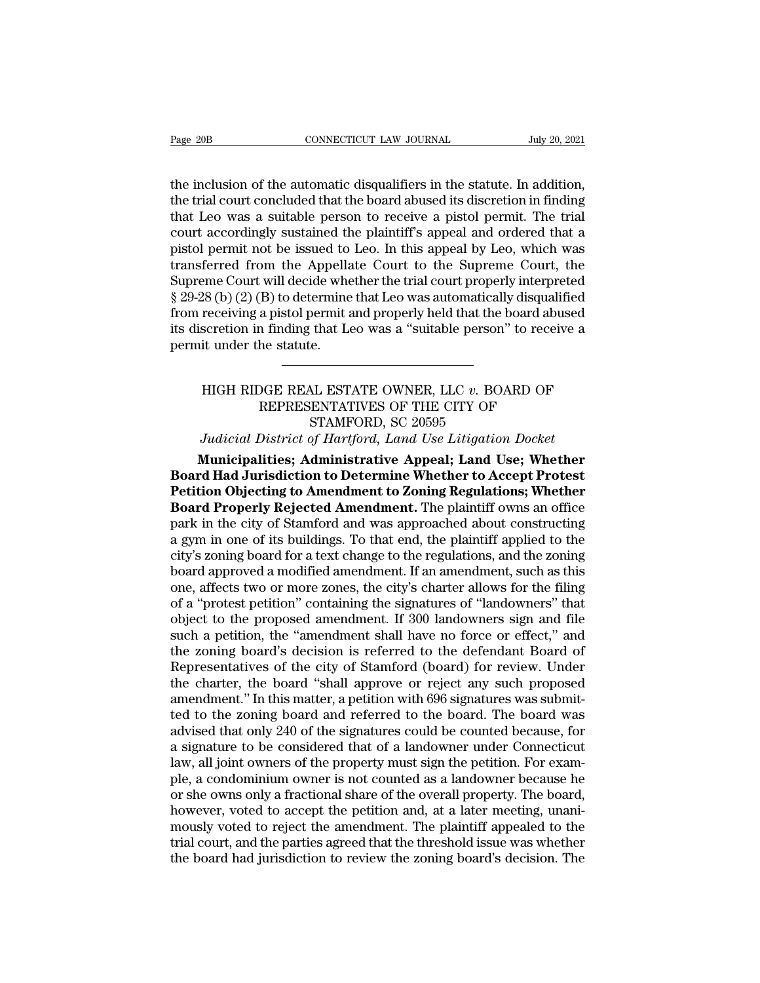Trage 20B CONNECTICUT LAW JOURNAL July 20, 2021<br>the inclusion of the automatic disqualifiers in the statute. In addition,<br>the trial court concluded that the board abused its discretion in finding<br>that Loo was a suitable pe The trial court concluded that the board abused its discretion in finding<br>the trial court concluded that the board abused its discretion in finding<br>that Leo was a suitable person to receive a pistol permit. The trial<br>court Page 20B **CONNECTICUT LAW JOURNAL** July 20, 2021<br>the inclusion of the automatic disqualifiers in the statute. In addition,<br>the trial court concluded that the board abused its discretion in finding<br>that Leo was a suitable Page 20B CONNECTICUT LAW JOURNAL July 20, 2021<br>the inclusion of the automatic disqualifiers in the statute. In addition,<br>the trial court concluded that the board abused its discretion in finding<br>that Leo was a suitable per the inclusion of the automatic disqualifiers in the statute. In addition,<br>the trial court concluded that the board abused its discretion in finding<br>that Leo was a suitable person to receive a pistol permit. The trial<br>court the inclusion of the automatic disqualifiers in the statute. In addition,<br>the trial court concluded that the board abused its discretion in finding<br>that Leo was a suitable person to receive a pistol permit. The trial<br>cour the inclusion of the automatic disqualifiers in the statute. In addition,<br>the trial court concluded that the board abused its discretion in finding<br>that Leo was a suitable person to receive a pistol permit. The trial<br>court the trial court concluded that the board abused its discretion in finding<br>that Leo was a suitable person to receive a pistol permit. The trial<br>court accordingly sustained the plaintiff's appeal and ordered that a<br>pistol pe that Leo was a suitable person to receive a pistol permit. The trial<br>court accordingly sustained the plaintiff's appeal and ordered that a<br>pistol permit not be issued to Leo. In this appeal by Leo, which was<br>transferred fr court accordingly sustained the plaintiff's appeal and ordered that a<br>pistol permit not be issued to Leo. In this appeal by Leo, which was<br>transferred from the Appellate Court to the Supreme Court, the<br>Supreme Court will d pistol permit not be issued to<br>transferred from the Appella<br>Supreme Court will decide whe<br>§ 29-28 (b) (2) (B) to determine<br>from receiving a pistol permit a<br>its discretion in finding that Le<br>permit under the statute. 28 (b) (2) (B) to determine that Leo was automatically disqualified<br>receiving a pistol permit and properly held that the board abused<br>scretion in finding that Leo was a "suitable person" to receive a<br>it under the statute.<br>

### Example 1 a pistol permit and properly held that the board abuse<br>
in finding that Leo was a "suitable person" to receive<br>
he statute.<br>
DGE REAL ESTATE OWNER, LLC v. BOARD OF<br>
REPRESENTATIVES OF THE CITY OF<br>
STAMFORD, SC 20 that Leo was a "suitable person"<br>
E.<br>
STATE OWNER, LLC v. BOA<br>
ENTATIVES OF THE CITY OF<br>
STAMFORD, SC 20595<br>
STAMFORD, SC 20595<br>
STAMFORD, Land Use Litigation *Judicial District of Hartford, Land Use Litigation Docket*<br> *Judicial District of Hartford, Land Use Litigation Docket*<br> **Municipalities; Administrative Appeal; Land Use; Whether MUGH RIDGE REAL ESTATE OWNER, LLC v. BOARD OF<br>
REPRESENTATIVES OF THE CITY OF<br>
STAMFORD, SC 20595<br>** *Judicial District of Hartford, Land Use Litigation Docket***<br>
<b>Municipalities; Administrative Appeal; Land Use; Whether**<br>

HIGH RIDGE REAL ESTATE OWNER, LLC v. BOARD OF<br>REPRESENTATIVES OF THE CITY OF<br>STAMFORD, SC 20595<br>Judicial District of Hartford, Land Use Litigation Docket<br>**Municipalities: Administrative Appeal: Land Use: Whether**<br>**Board Ha PHIGH RIDGE REAL ESTATE OWNER, LLC v. BOARD OF**<br> **REPRESENTATIVES OF THE CITY OF**<br> **PETITY OF**<br> **PETITY OF**<br> **PETITY OF**<br> **PETITY OF**<br> **PETITY OF**<br> **PETITY OF**<br> **PETITY OF**<br> **PETITY OF**<br> **PETITY OF**<br> **PETITY OF**<br> **PETITY** REPRESENTATIVES OF THE CITY OF<br>
STAMFORD, SC 20595<br> *Judicial District of Hartford*, *Land Use Litigation Docket*<br> **Municipalities; Administrative Appeal; Land Use; Whether<br>
<b>Board Had Jurisdiction to Determine Whether to** STAMFORD, SC 20595<br>Judicial District of Hartford, Land Use Litigation Docket<br>**Municipalities: Administrative Appeal; Land Use; Whether**<br>**Board Had Jurisdiction to Determine Whether to Accept Protest**<br>**Petition Objecting to** Judicial District of Hartford, Land Use Litigation Docket<br> **Municipalities; Administrative Appeal; Land Use; Whether**<br> **Board Had Jurisdiction to Determine Whether to Accept Protest**<br> **Petition Objecting to Amendment to Zo** Municipalities; Administrative Appeal; Land Use; Whether<br>Board Had Jurisdiction to Determine Whether to Accept Protest<br>Petition Objecting to Amendment to Zoning Regulations; Whether<br>Board Properly Rejected Amendment. The p **Board Had Jurisdiction to Determine Whether to Accept Protest**<br>**Petition Objecting to Amendment to Zoning Regulations; Whether**<br>**Board Properly Rejected Amendment.** The plaintiff owns an office<br>park in the city of Stamfor **Petition Objecting to Amendment to Zoning Regulations; Whether Board Properly Rejected Amendment.** The plaintiff owns an office park in the city of Stamford and was approached about constructing a gym in one of its buildi **Board Properly Rejected Amendment.** The plaintiff owns an office park in the city of Stamford and was approached about constructing a gym in one of its buildings. To that end, the plaintiff applied to the city's zoning bo park in the city of Stamford and was approached about constructing<br>a gym in one of its buildings. To that end, the plaintiff applied to the<br>city's zoning board for a text change to the regulations, and the zoning<br>board app a gym in one of its buildings. To that end, the plaintiff applied to the city's zoning board for a text change to the regulations, and the zoning board approved a modified amendment. If an amendment, such as this one, affe city's zoning board for a text change to the regulations, and the zoning<br>board approved a modified amendment. If an amendment, such as this<br>one, affects two or more zones, the city's charter allows for the filing<br>of a "pro board approved a modified amendment. If an amendment, such as this<br>one, affects two or more zones, the city's charter allows for the filing<br>of a "protest petition" containing the signatures of "landowners" that<br>object to t one, affects two or more zones, the city's charter allows for the filing<br>of a "protest petition" containing the signatures of "landowners" that<br>object to the proposed amendment. If 300 landowners sign and file<br>such a petit of a "protest petition" containing the signatures of "landowners" that object to the proposed amendment. If 300 landowners sign and file such a petition, the "amendment shall have no force or effect," and the zoning board' object to the proposed amendment. If 300 landowners sign and file<br>such a petition, the "amendment shall have no force or effect," and<br>the zoning board's decision is referred to the defendant Board of<br>Representatives of the such a petition, the "amendment shall have no force or effect," and<br>the zoning board's decision is referred to the defendant Board of<br>Representatives of the city of Stamford (board) for review. Under<br>the charter, the board the zoning board's decision is referred to the defendant Board of<br>Representatives of the city of Stamford (board) for review. Under<br>the charter, the board "shall approve or reject any such proposed<br>amendment." In this matt Representatives of the city of Stamford (board) for review. Under<br>the charter, the board "shall approve or reject any such proposed<br>amendment." In this matter, a petition with 696 signatures was submit-<br>ted to the zoning b the charter, the board "shall approve or reject any such proposed<br>amendment." In this matter, a petition with 696 signatures was submit-<br>ted to the zoning board and referred to the board. The board was<br>advised that only 24 amendment." In this matter, a petition with 696 signatures was submit-<br>ted to the zoning board and referred to the board. The board was<br>advised that only 240 of the signatures could be counted because, for<br>a signature to b ted to the zoning board and referred to the board. The board was advised that only 240 of the signatures could be counted because, for a signature to be considered that of a landowner under Connecticut law, all joint owner advised that only 240 of the signatures could be counted because, for<br>a signature to be considered that of a landowner under Connecticut<br>law, all joint owners of the property must sign the petition. For exam-<br>ple, a condom a signature to be considered that of a landowner under Connecticut<br>law, all joint owners of the property must sign the petition. For exam-<br>ple, a condominium owner is not counted as a landowner because he<br>or she owns only law, all joint owners of the property must sign the petition. For example, a condominium owner is not counted as a landowner because he or she owns only a fractional share of the overall property. The board, however, voted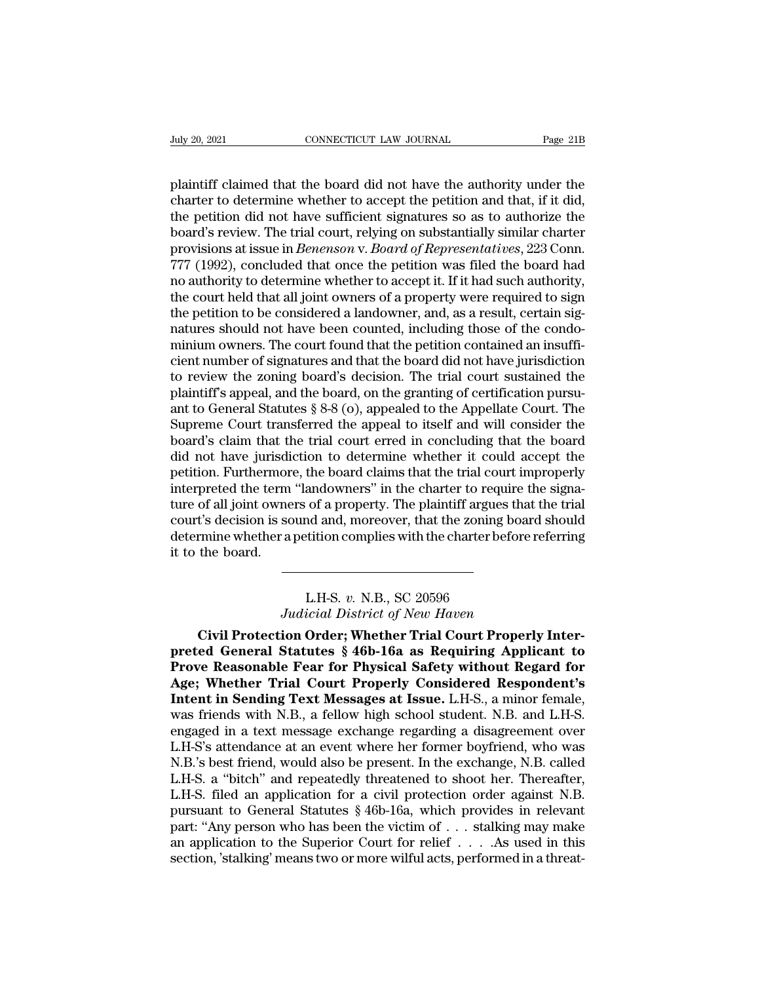plaintiff claimed that the board did not have the authority under the charter to determine whether to accept the petition and that, if it did, the petition did not have sufficient signatures so as to authorize the CONNECTICUT LAW JOURNAL Page 21B<br>plaintiff claimed that the board did not have the authority under the<br>charter to determine whether to accept the petition and that, if it did,<br>the petition did not have sufficient signature Figure 20, 2021<br>
The petition did not have the authority under the<br>
plaintiff claimed that the board did not have the authority under the<br>
charter to determine whether to accept the petition and that, if it did,<br>
the petit box 2021<br>
board in the board did not have the authority under the<br>
plaintiff claimed that the board did not have the authority under the<br>
charter to determine whether to accept the petition and that, if it did,<br>
the petiti plaintiff claimed that the board did not have the authority under the charter to determine whether to accept the petition and that, if it did, the petition did not have sufficient signatures so as to authorize the board's plaintiff claimed that the board did not have the authority under the charter to determine whether to accept the petition and that, if it did, the petition did not have sufficient signatures so as to authorize the board's plaintiff claimed that the board did not have the authority under the charter to determine whether to accept the petition and that, if it did, the petition did not have sufficient signatures so as to authorize the board's charter to determine whether to accept the petition and that, if it did,<br>the petition did not have sufficient signatures so as to authorize the<br>board's review. The trial court, relying on substantially similar charter<br>prov the petition did not have sufficient signatures so as to authorize the board's review. The trial court, relying on substantially similar charter provisions at issue in *Benenson* v. *Board of Representatives*, 223 Conn. 77 board's review. The trial court, relying on substantially similar charter<br>provisions at issue in *Benenson* v. *Board of Representatives*, 223 Conn.<br>777 (1992), concluded that once the petition was filed the board had<br>no a provisions at issue in *Benenson* v. *Board of Representatives*, 223 Conn.<br>777 (1992), concluded that once the petition was filed the board had<br>no authority to determine whether to accept it. If it had such authority,<br>the 777 (1992), concluded that once the petition was filed the board had<br>no authority to determine whether to accept it. If it had such authority,<br>the court held that all joint owners of a property were required to sign<br>the pe no authority to determine whether to accept it. If it had such authority,<br>the court held that all joint owners of a property were required to sign<br>the petition to be considered a landowner, and, as a result, certain sig-<br>n the court held that all joint owners of a property were required to sign<br>the petition to be considered a landowner, and, as a result, certain sig-<br>natures should not have been counted, including those of the condo-<br>minium the petition to be considered a landowner, and, as a result, certain signatures should not have been counted, including those of the condominium owners. The court found that the petition contained an insufficient number of natures should not have been counted, including those of the condominium owners. The court found that the petition contained an insufficient number of signatures and that the board did not have jurisdiction to review the z minium owners. The court found that the petition contained an insufficient number of signatures and that the board did not have jurisdiction<br>to review the zoning board's decision. The trial court sustained the<br>plaintiff's cient number of signatures and that the board did not have jurisdiction<br>to review the zoning board's decision. The trial court sustained the<br>plaintiff's appeal, and the board, on the granting of certification pursu-<br>ant to to review the zoning board's decision. The trial court sustained the plaintiff's appeal, and the board, on the granting of certification pursu-<br>ant to General Statutes § 8-8 (o), appealed to the Appellate Court. The<br>Suprem plaintiff's appeal, and the board, on the granting of certification pursu-<br>ant to General Statutes § 8-8 (o), appealed to the Appellate Court. The<br>Supreme Court transferred the appeal to itself and will consider the<br>board' ant to General Statutes § 8-8 (o), appealed to the Appellate Court. The<br>Supreme Court transferred the appeal to itself and will consider the<br>board's claim that the trial court erred in concluding that the board<br>did not hav Supreme Court transferred the appeal to itself and will consider the<br>board's claim that the trial court erred in concluding that the board<br>did not have jurisdiction to determine whether it could accept the<br>petition. Furthe board's claim that the trial court erred in concluding that the board<br>did not have jurisdiction to determine whether it could accept the<br>petition. Furthermore, the board claims that the trial court improperly<br>interpreted t did not have jurisdi<br>petition. Furthermor<br>interpreted the term<br>ture of all joint owne<br>court's decision is so<br>determine whether a<br>it to the board. of a property. The plaintiff argues<br>
and and, moreover, that the zoning b<br>
tition complies with the charter bef<br>
L.H-S. *v.* N.B., SC 20596<br>
icial District of New Haven Franch and and an and a moreover, that the zoning board state is a petition complies with the charter before ref<br> *Judicial District of New Haven*<br> **Judicial District of New Haven**<br> **Judicial District of New Haven** 

**Civil Protection Order; Whether Trial Court Properly Inter***prediction Correlation Correlation Correlation Correlation Correlation Correlation Correlation Correlation Correlation Correlation Correlation Correlation Correlation Correlation Correlation Correlation Correlation Correl* L.H.-S. *v. N.B.*, SC 20596<br> *Judicial District of New Haven*<br> **Civil Protection Order; Whether Trial Court Properly Inter-<br>
preted General Statutes § 46b-16a as Requiring Applicant to<br>
Prove Reasonable Fear for Physical S** L.H-S. v. N.B., SC 20596<br>*Judicial District of New Haven*<br>**Civil Protection Order; Whether Trial Court Properly Inter-<br>preted General Statutes § 46b-16a as Requiring Applicant to<br>Prove Reasonable Fear for Physical Safety w** L.H-S. v. N.B., SC 20596<br> *Judicial District of New Haven*<br> **Civil Protection Order; Whether Trial Court Properly Inter-**<br>
preted General Statutes § 46b-16a as Requiring Applicant to<br>
Prove Reasonable Fear for Physical Saf Judicial District of New Haven<br>Civil Protection Order; Whether Trial Court Properly Inter-<br>preted General Statutes § 46b-16a as Requiring Applicant to<br>Prove Reasonable Fear for Physical Safety without Regard for<br>Age; Wheth Civil Protection Order; Whether Trial Court Properly Inter-<br>preted General Statutes § 46b-16a as Requiring Applicant to<br>Prove Reasonable Fear for Physical Safety without Regard for<br>Age; Whether Trial Court Properly Consid preted General Statutes § 46b-16a as Requiring Applicant to<br>Prove Reasonable Fear for Physical Safety without Regard for<br>Age; Whether Trial Court Properly Considered Respondent's<br>Intent in Sending Text Messages at Issue. L **Prove Reasonable Fear for Physical Safety without Regard for Age; Whether Trial Court Properly Considered Respondent's Intent in Sending Text Messages at Issue. L.H-S., a minor female, was friends with N.B., a fellow high** Age; Whether Trial Court Properly Considered Respondent's Intent in Sending Text Messages at Issue. L.H-S., a minor female, was friends with N.B., a fellow high school student. N.B. and L.H-S. engaged in a text message exc Intent in Sending Text Messages at Issue. L.H-S., a minor female, was friends with N.B., a fellow high school student. N.B. and L.H-S. engaged in a text message exchange regarding a disagreement over L.H-S's attendance at was friends with N.B., a fellow high school student. N.B. and L.H-S.<br>engaged in a text message exchange regarding a disagreement over<br>L.H-S's attendance at an event where her former boyfriend, who was<br>N.B.'s best friend, w engaged in a text message exchange regarding a disagreement over L.H-S's attendance at an event where her former boyfriend, who was N.B.'s best friend, would also be present. In the exchange, N.B. called L.H-S. a "bitch" a L.H-S's attendance at an event where her former boyfriend, who was<br>N.B.'s best friend, would also be present. In the exchange, N.B. called<br>L.H-S. a "bitch" and repeatedly threatened to shoot her. Thereafter,<br>L.H-S. filed a N.B.'s best friend, would also be present. In the exchange, N.B. called L.H-S. a "bitch" and repeatedly threatened to shoot her. Thereafter, L.H-S. filed an application for a civil protection order against N.B. pursuant to